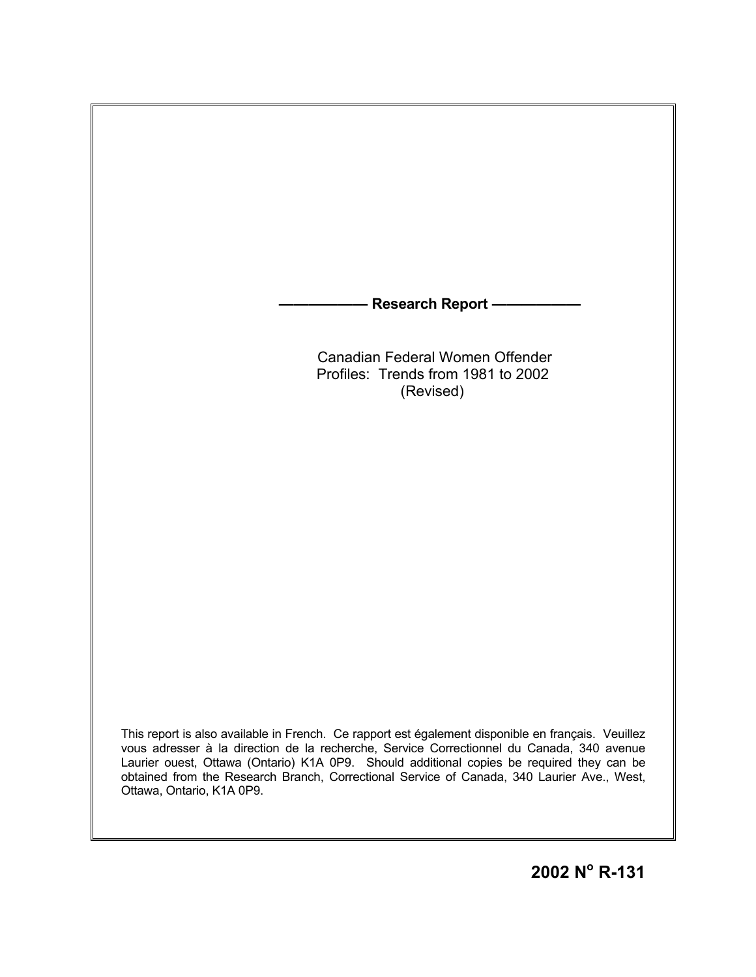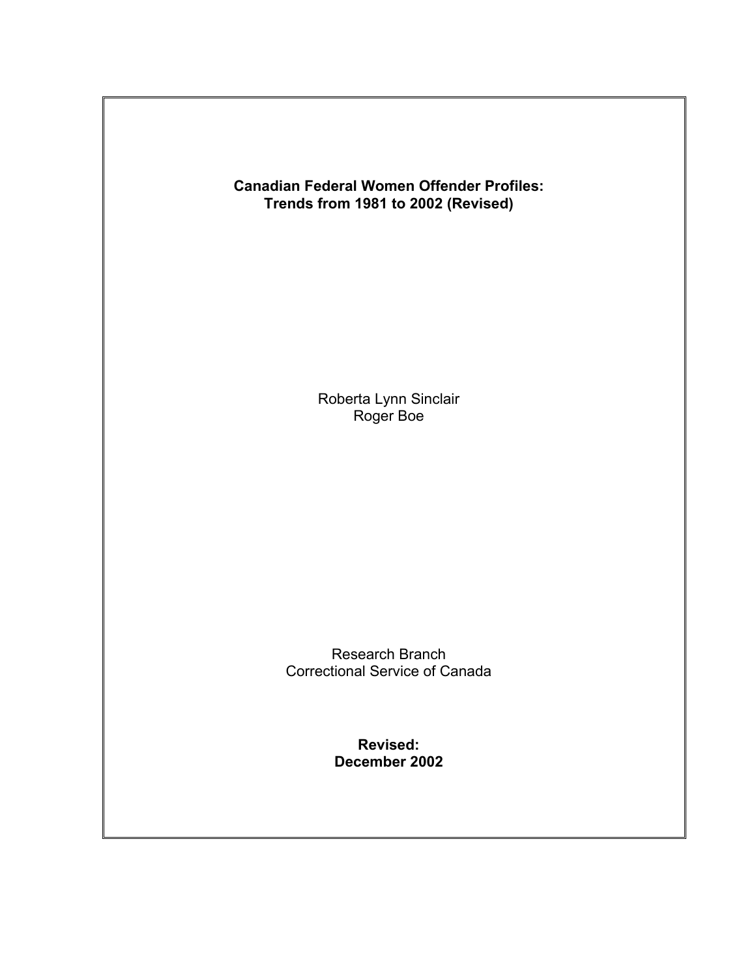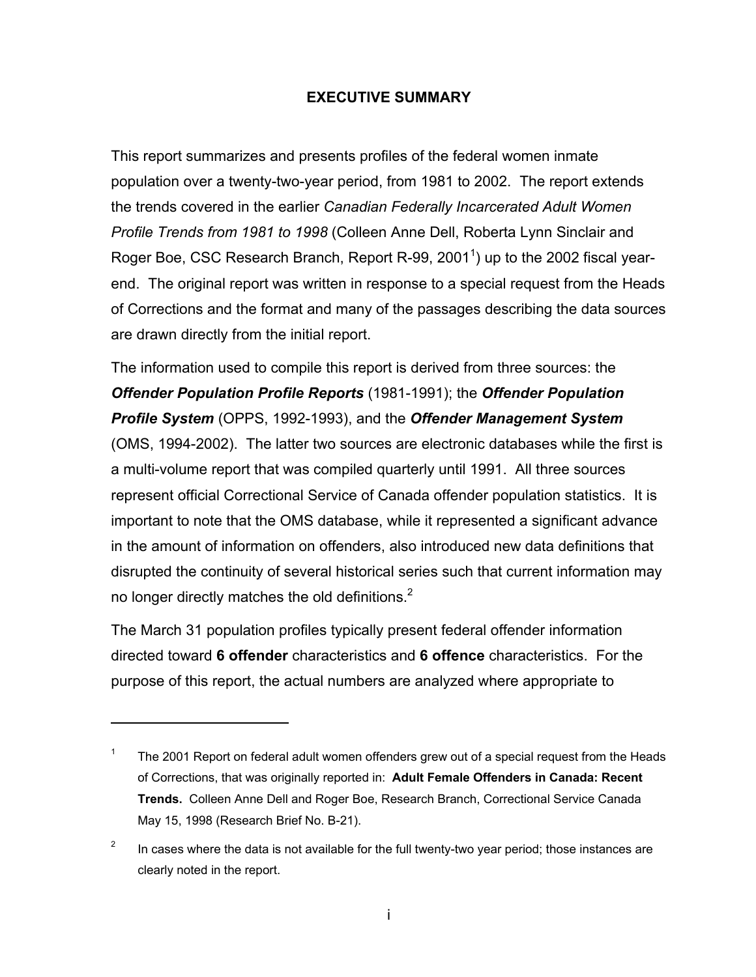#### **EXECUTIVE SUMMARY**

This report summarizes and presents profiles of the federal women inmate population over a twenty-two-year period, from 1981 to 2002. The report extends the trends covered in the earlier *Canadian Federally Incarcerated Adult Women Profile Trends from 1981 to 1998* (Colleen Anne Dell, Roberta Lynn Sinclair and Roger Boe, CSC Research Branch, Report R-99, 200[1](#page-2-0)<sup>1</sup>) up to the 2002 fiscal yearend. The original report was written in response to a special request from the Heads of Corrections and the format and many of the passages describing the data sources are drawn directly from the initial report.

The information used to compile this report is derived from three sources: the *Offender Population Profile Reports* (1981-1991); the *Offender Population Profile System* (OPPS, 1992-1993), and the *Offender Management System* (OMS, 1994-2002). The latter two sources are electronic databases while the first is a multi-volume report that was compiled quarterly until 1991. All three sources represent official Correctional Service of Canada offender population statistics. It is important to note that the OMS database, while it represented a significant advance in the amount of information on offenders, also introduced new data definitions that disrupted the continuity of several historical series such that current information may no longer directly matches the old definitions. $<sup>2</sup>$ </sup>

The March 31 population profiles typically present federal offender information directed toward **6 offender** characteristics and **6 offence** characteristics. For the purpose of this report, the actual numbers are analyzed where appropriate to

<span id="page-2-0"></span><sup>&</sup>lt;sup>1</sup> The 2001 Report on federal adult women offenders grew out of a special request from the Heads of Corrections, that was originally reported in: **Adult Female Offenders in Canada: Recent Trends.** Colleen Anne Dell and Roger Boe, Research Branch, Correctional Service Canada May 15, 1998 (Research Brief No. B-21).

<span id="page-2-1"></span><sup>&</sup>lt;sup>2</sup> In cases where the data is not available for the full twenty-two year period; those instances are clearly noted in the report.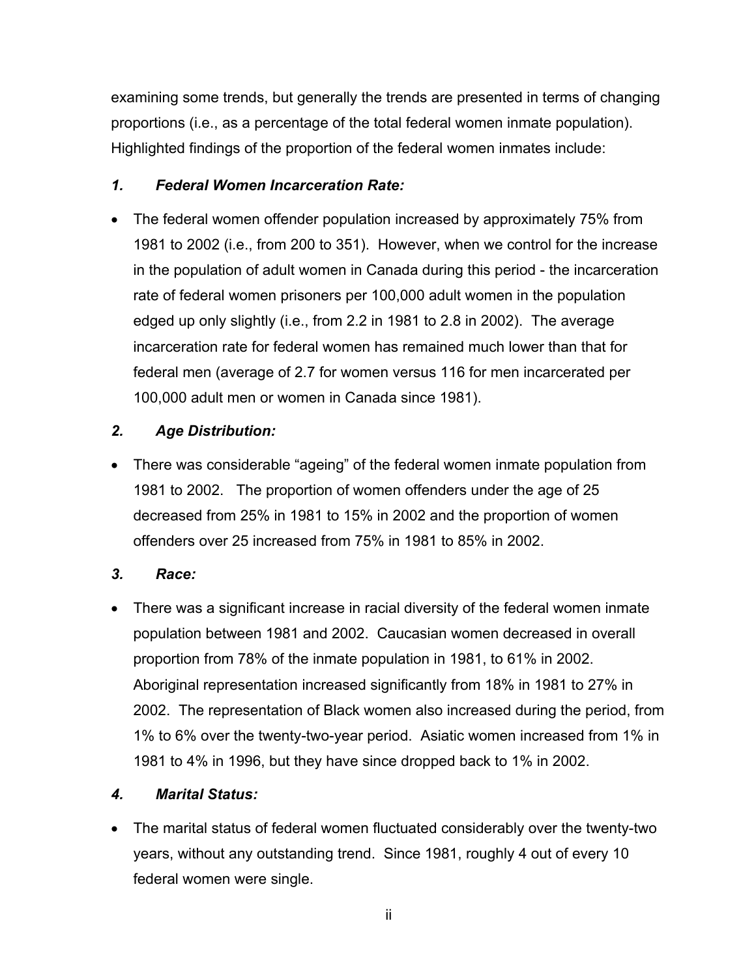examining some trends, but generally the trends are presented in terms of changing proportions (i.e., as a percentage of the total federal women inmate population). Highlighted findings of the proportion of the federal women inmates include:

## *1. Federal Women Incarceration Rate:*

• The federal women offender population increased by approximately 75% from 1981 to 2002 (i.e., from 200 to 351). However, when we control for the increase in the population of adult women in Canada during this period - the incarceration rate of federal women prisoners per 100,000 adult women in the population edged up only slightly (i.e., from 2.2 in 1981 to 2.8 in 2002). The average incarceration rate for federal women has remained much lower than that for federal men (average of 2.7 for women versus 116 for men incarcerated per 100,000 adult men or women in Canada since 1981).

## *2. Age Distribution:*

• There was considerable "ageing" of the federal women inmate population from 1981 to 2002.The proportion of women offenders under the age of 25 decreased from 25% in 1981 to 15% in 2002 and the proportion of women offenders over 25 increased from 75% in 1981 to 85% in 2002.

# *3. Race:*

• There was a significant increase in racial diversity of the federal women inmate population between 1981 and 2002. Caucasian women decreased in overall proportion from 78% of the inmate population in 1981, to 61% in 2002. Aboriginal representation increased significantly from 18% in 1981 to 27% in 2002. The representation of Black women also increased during the period, from 1% to 6% over the twenty-two-year period. Asiatic women increased from 1% in 1981 to 4% in 1996, but they have since dropped back to 1% in 2002.

# *4. Marital Status:*

• The marital status of federal women fluctuated considerably over the twenty-two years, without any outstanding trend. Since 1981, roughly 4 out of every 10 federal women were single.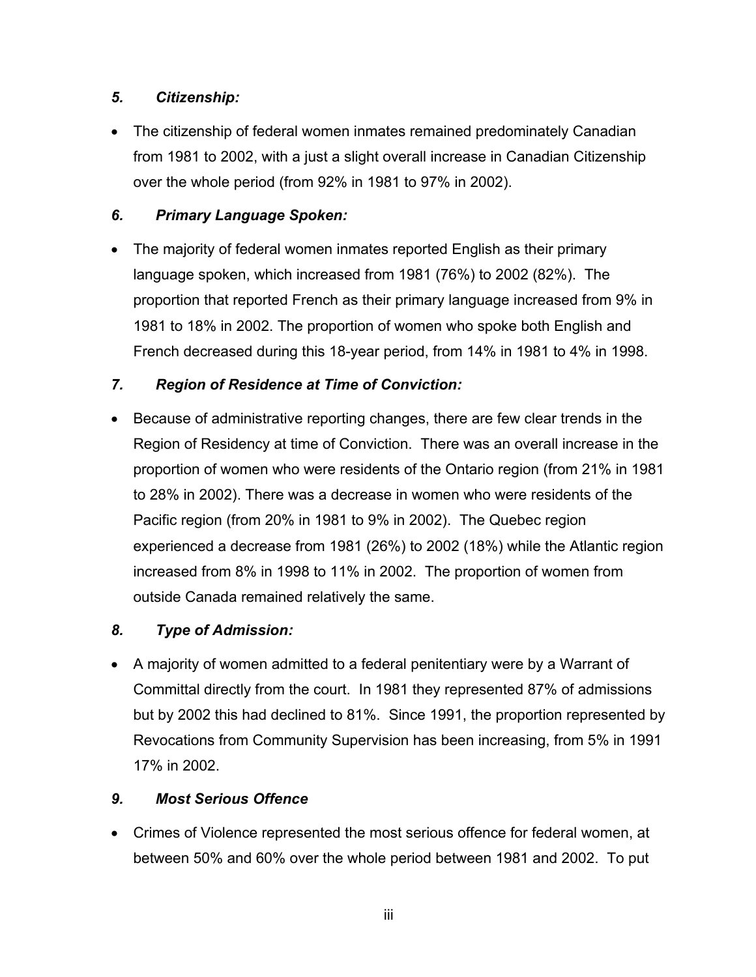## *5. Citizenship:*

• The citizenship of federal women inmates remained predominately Canadian from 1981 to 2002, with a just a slight overall increase in Canadian Citizenship over the whole period (from 92% in 1981 to 97% in 2002).

## *6. Primary Language Spoken:*

• The majority of federal women inmates reported English as their primary language spoken, which increased from 1981 (76%) to 2002 (82%). The proportion that reported French as their primary language increased from 9% in 1981 to 18% in 2002. The proportion of women who spoke both English and French decreased during this 18-year period, from 14% in 1981 to 4% in 1998.

## *7. Region of Residence at Time of Conviction:*

• Because of administrative reporting changes, there are few clear trends in the Region of Residency at time of Conviction. There was an overall increase in the proportion of women who were residents of the Ontario region (from 21% in 1981 to 28% in 2002). There was a decrease in women who were residents of the Pacific region (from 20% in 1981 to 9% in 2002). The Quebec region experienced a decrease from 1981 (26%) to 2002 (18%) while the Atlantic region increased from 8% in 1998 to 11% in 2002. The proportion of women from outside Canada remained relatively the same.

## *8. Type of Admission:*

• A majority of women admitted to a federal penitentiary were by a Warrant of Committal directly from the court. In 1981 they represented 87% of admissions but by 2002 this had declined to 81%. Since 1991, the proportion represented by Revocations from Community Supervision has been increasing, from 5% in 1991 17% in 2002.

## *9. Most Serious Offence*

• Crimes of Violence represented the most serious offence for federal women, at between 50% and 60% over the whole period between 1981 and 2002. To put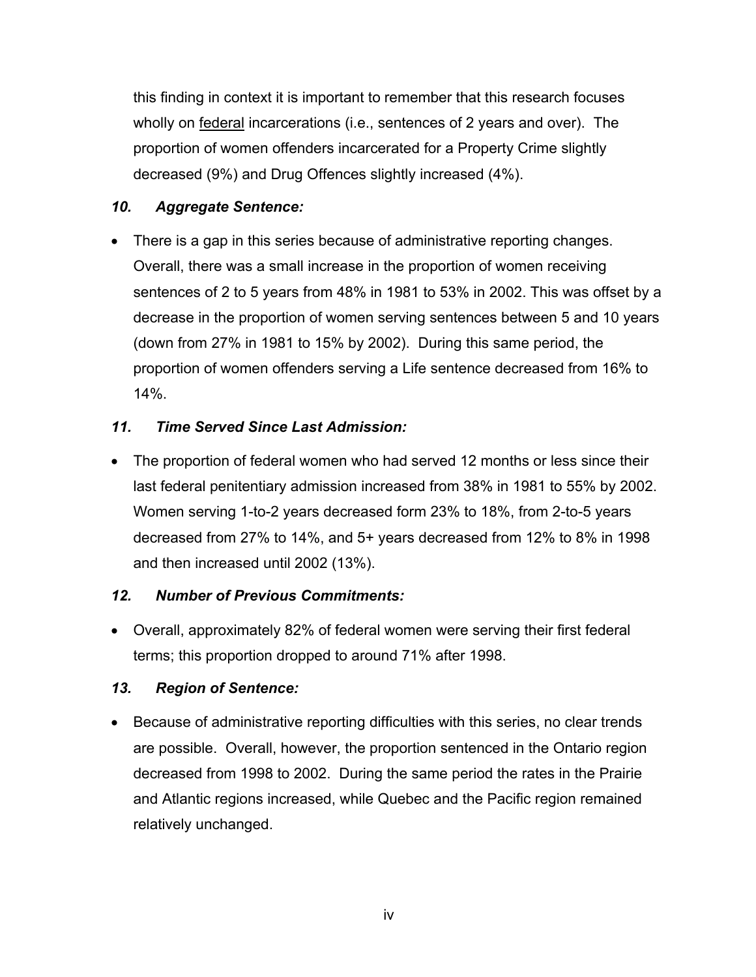this finding in context it is important to remember that this research focuses wholly on federal incarcerations (i.e., sentences of 2 years and over). The proportion of women offenders incarcerated for a Property Crime slightly decreased (9%) and Drug Offences slightly increased (4%).

## *10. Aggregate Sentence:*

• There is a gap in this series because of administrative reporting changes. Overall, there was a small increase in the proportion of women receiving sentences of 2 to 5 years from 48% in 1981 to 53% in 2002. This was offset by a decrease in the proportion of women serving sentences between 5 and 10 years (down from 27% in 1981 to 15% by 2002). During this same period, the proportion of women offenders serving a Life sentence decreased from 16% to 14%.

### *11. Time Served Since Last Admission:*

• The proportion of federal women who had served 12 months or less since their last federal penitentiary admission increased from 38% in 1981 to 55% by 2002. Women serving 1-to-2 years decreased form 23% to 18%, from 2-to-5 years decreased from 27% to 14%, and 5+ years decreased from 12% to 8% in 1998 and then increased until 2002 (13%).

#### *12. Number of Previous Commitments:*

• Overall, approximately 82% of federal women were serving their first federal terms; this proportion dropped to around 71% after 1998.

#### *13. Region of Sentence:*

• Because of administrative reporting difficulties with this series, no clear trends are possible. Overall, however, the proportion sentenced in the Ontario region decreased from 1998 to 2002. During the same period the rates in the Prairie and Atlantic regions increased, while Quebec and the Pacific region remained relatively unchanged.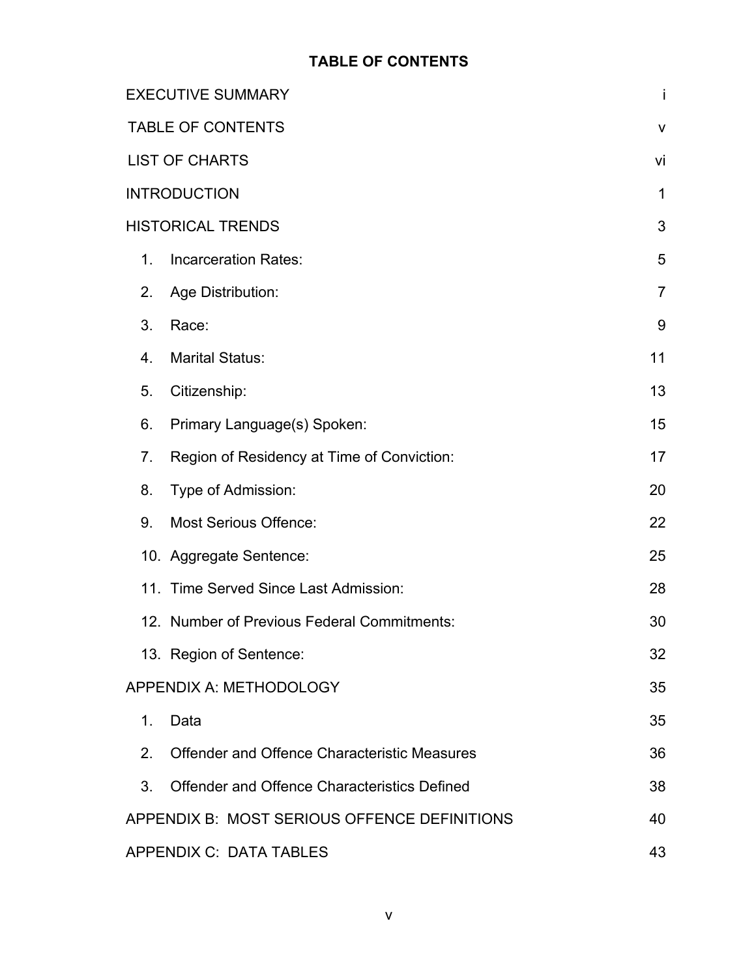## **TABLE OF CONTENTS**

|                          | <b>EXECUTIVE SUMMARY</b>                            | İ              |
|--------------------------|-----------------------------------------------------|----------------|
| <b>TABLE OF CONTENTS</b> |                                                     |                |
|                          | <b>LIST OF CHARTS</b>                               | vi             |
|                          | <b>INTRODUCTION</b>                                 | 1              |
|                          | <b>HISTORICAL TRENDS</b>                            | 3              |
| 1.                       | <b>Incarceration Rates:</b>                         | 5              |
| 2.                       | Age Distribution:                                   | $\overline{7}$ |
| 3.                       | Race:                                               | 9              |
| 4.                       | <b>Marital Status:</b>                              | 11             |
| 5.                       | Citizenship:                                        | 13             |
| 6.                       | Primary Language(s) Spoken:                         | 15             |
| 7 <sub>1</sub>           | Region of Residency at Time of Conviction:          | 17             |
| 8.                       | Type of Admission:                                  | 20             |
| 9.                       | <b>Most Serious Offence:</b>                        | 22             |
|                          | 10. Aggregate Sentence:                             | 25             |
|                          | 11. Time Served Since Last Admission:               | 28             |
|                          | 12. Number of Previous Federal Commitments:         | 30             |
|                          | 13. Region of Sentence:                             | 32             |
|                          | APPENDIX A: METHODOLOGY                             | 35             |
| 1.                       | Data                                                | 35             |
| 2.                       | <b>Offender and Offence Characteristic Measures</b> | 36             |
| 3.                       | <b>Offender and Offence Characteristics Defined</b> | 38             |
|                          | APPENDIX B: MOST SERIOUS OFFENCE DEFINITIONS        | 40             |
|                          | APPENDIX C: DATA TABLES                             | 43             |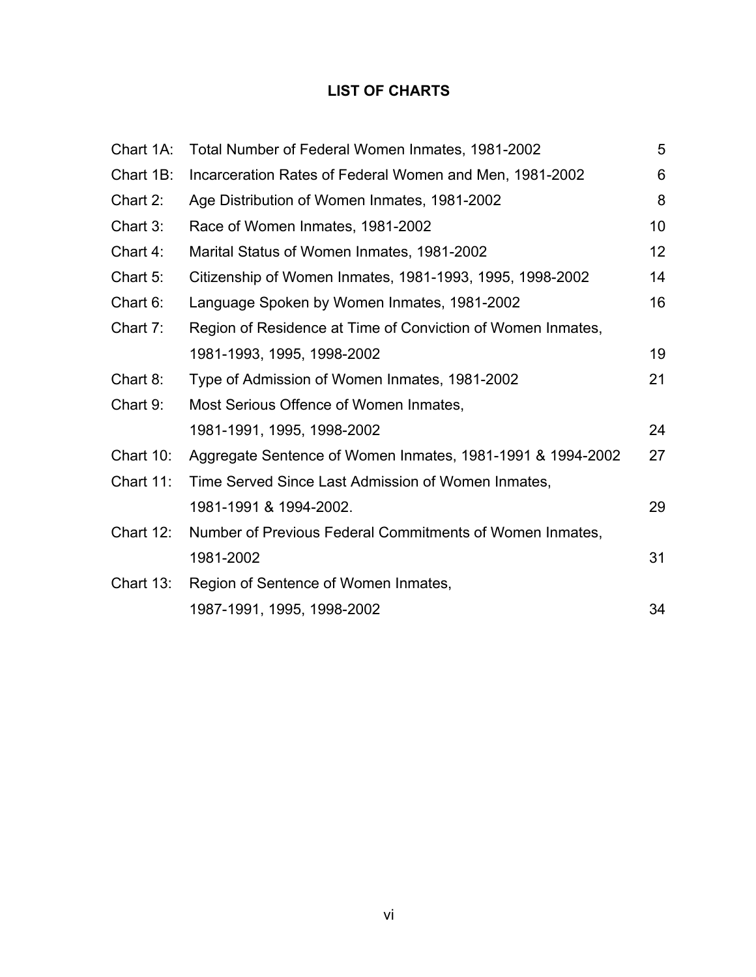## **LIST OF CHARTS**

|              | Chart 1A: Total Number of Federal Women Inmates, 1981-2002  | 5  |
|--------------|-------------------------------------------------------------|----|
| Chart 1B:    | Incarceration Rates of Federal Women and Men, 1981-2002     | 6  |
| Chart 2:     | Age Distribution of Women Inmates, 1981-2002                | 8  |
| Chart $3:$   | Race of Women Inmates, 1981-2002                            | 10 |
| Chart $4$ :  | Marital Status of Women Inmates, 1981-2002                  | 12 |
| Chart 5:     | Citizenship of Women Inmates, 1981-1993, 1995, 1998-2002    | 14 |
| Chart 6:     | Language Spoken by Women Inmates, 1981-2002                 | 16 |
| Chart 7:     | Region of Residence at Time of Conviction of Women Inmates, |    |
|              | 1981-1993, 1995, 1998-2002                                  | 19 |
| Chart 8:     | Type of Admission of Women Inmates, 1981-2002               | 21 |
| Chart $9$ :  | Most Serious Offence of Women Inmates,                      |    |
|              | 1981-1991, 1995, 1998-2002                                  | 24 |
| Chart $10$ : | Aggregate Sentence of Women Inmates, 1981-1991 & 1994-2002  | 27 |
| Chart 11:    | Time Served Since Last Admission of Women Inmates,          |    |
|              | 1981-1991 & 1994-2002.                                      | 29 |
| Chart $12$ : | Number of Previous Federal Commitments of Women Inmates,    |    |
|              | 1981-2002                                                   | 31 |
| Chart 13:    | Region of Sentence of Women Inmates,                        |    |
|              | 1987-1991, 1995, 1998-2002                                  | 34 |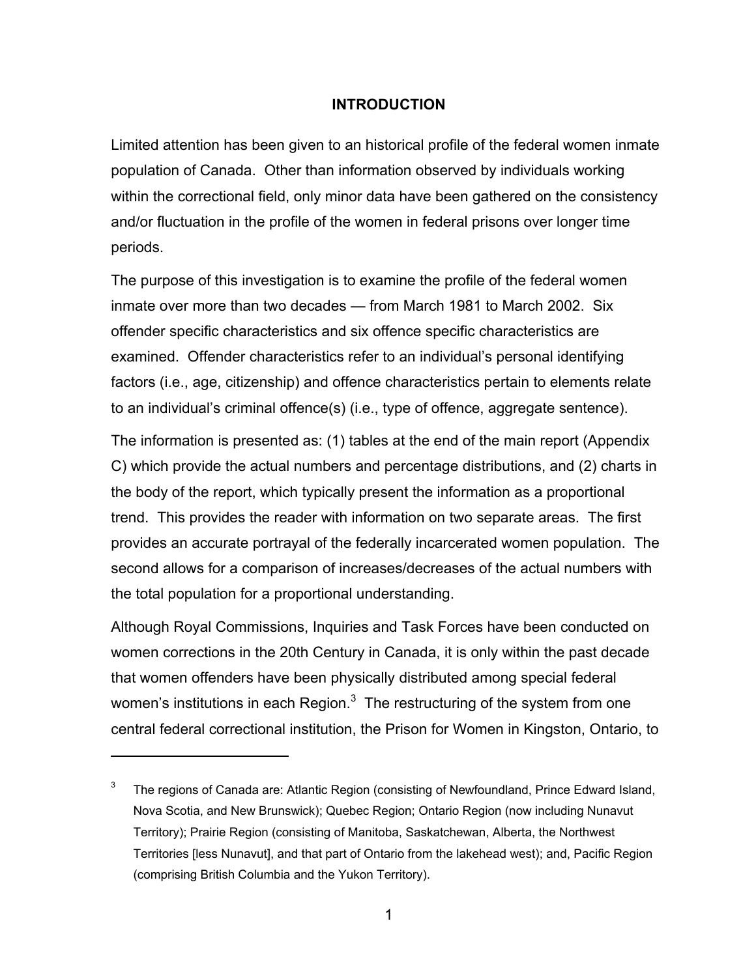#### <span id="page-8-0"></span>**INTRODUCTION**

Limited attention has been given to an historical profile of the federal women inmate population of Canada. Other than information observed by individuals working within the correctional field, only minor data have been gathered on the consistency and/or fluctuation in the profile of the women in federal prisons over longer time periods.

The purpose of this investigation is to examine the profile of the federal women inmate over more than two decades — from March 1981 to March 2002. Six offender specific characteristics and six offence specific characteristics are examined. Offender characteristics refer to an individual's personal identifying factors (i.e., age, citizenship) and offence characteristics pertain to elements relate to an individual's criminal offence(s) (i.e., type of offence, aggregate sentence).

The information is presented as: (1) tables at the end of the main report (Appendix C) which provide the actual numbers and percentage distributions, and (2) charts in the body of the report, which typically present the information as a proportional trend. This provides the reader with information on two separate areas. The first provides an accurate portrayal of the federally incarcerated women population. The second allows for a comparison of increases/decreases of the actual numbers with the total population for a proportional understanding.

Although Royal Commissions, Inquiries and Task Forces have been conducted on women corrections in the 20th Century in Canada, it is only within the past decade that women offenders have been physically distributed among special federal women's institutions in each Region. $^3\,$  $^3\,$  $^3\,$  The restructuring of the system from one central federal correctional institution, the Prison for Women in Kingston, Ontario, to

<span id="page-8-1"></span> $3$  The regions of Canada are: Atlantic Region (consisting of Newfoundland, Prince Edward Island, Nova Scotia, and New Brunswick); Quebec Region; Ontario Region (now including Nunavut Territory); Prairie Region (consisting of Manitoba, Saskatchewan, Alberta, the Northwest Territories [less Nunavut], and that part of Ontario from the lakehead west); and, Pacific Region (comprising British Columbia and the Yukon Territory).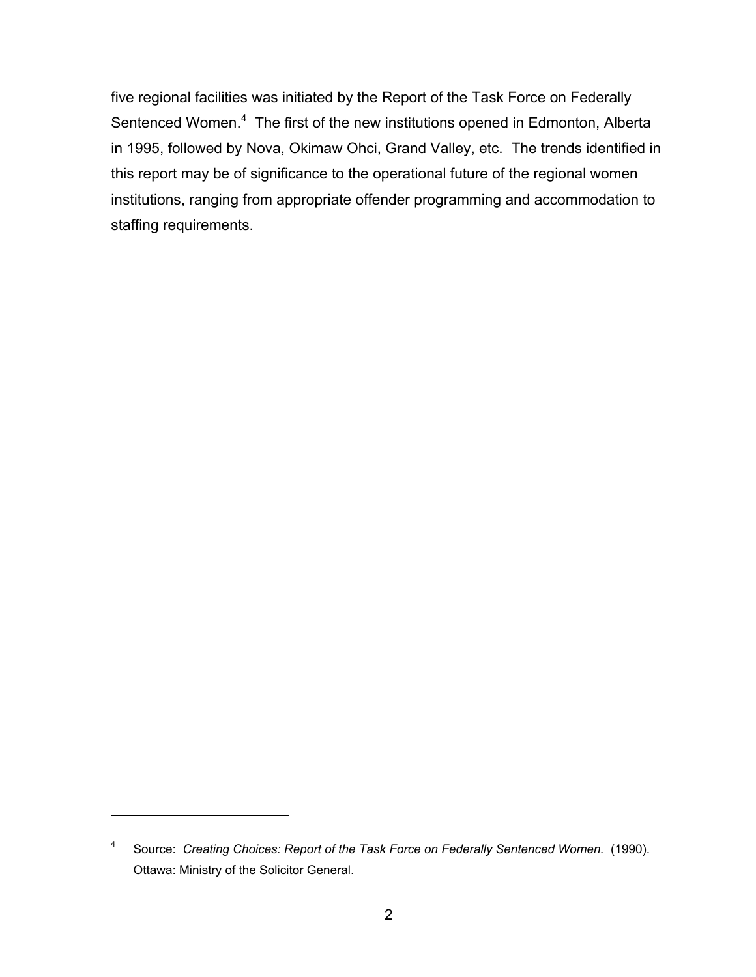five regional facilities was initiated by the Report of the Task Force on Federally Sentenced Women.<sup>[4](#page-9-0)</sup> The first of the new institutions opened in Edmonton, Alberta in 1995, followed by Nova, Okimaw Ohci, Grand Valley, etc. The trends identified in this report may be of significance to the operational future of the regional women institutions, ranging from appropriate offender programming and accommodation to staffing requirements.

<span id="page-9-0"></span><sup>4</sup> Source: *Creating Choices: Report of the Task Force on Federally Sentenced Women.* (1990). Ottawa: Ministry of the Solicitor General.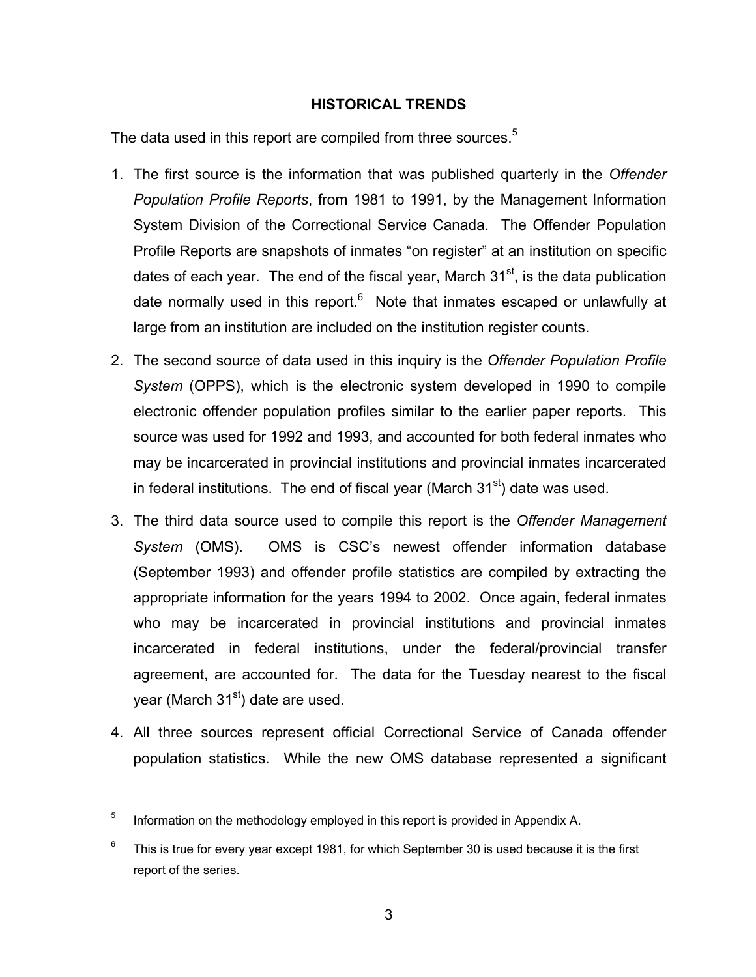#### <span id="page-10-0"></span>**HISTORICAL TRENDS**

The data used in this report are compiled from three sources.<sup>[5](#page-10-1)</sup>

- 1. The first source is the information that was published quarterly in the *Offender Population Profile Reports*, from 1981 to 1991, by the Management Information System Division of the Correctional Service Canada. The Offender Population Profile Reports are snapshots of inmates "on register" at an institution on specific dates of each year. The end of the fiscal year, March  $31<sup>st</sup>$ , is the data publication date normally used in this report.<sup>[6](#page-10-2)</sup> Note that inmates escaped or unlawfully at large from an institution are included on the institution register counts.
- 2. The second source of data used in this inquiry is the *Offender Population Profile System* (OPPS), which is the electronic system developed in 1990 to compile electronic offender population profiles similar to the earlier paper reports. This source was used for 1992 and 1993, and accounted for both federal inmates who may be incarcerated in provincial institutions and provincial inmates incarcerated in federal institutions. The end of fiscal year (March  $31<sup>st</sup>$ ) date was used.
- 3. The third data source used to compile this report is the *Offender Management System* (OMS). OMS is CSC's newest offender information database (September 1993) and offender profile statistics are compiled by extracting the appropriate information for the years 1994 to 2002. Once again, federal inmates who may be incarcerated in provincial institutions and provincial inmates incarcerated in federal institutions, under the federal/provincial transfer agreement, are accounted for. The data for the Tuesday nearest to the fiscal year (March  $31<sup>st</sup>$ ) date are used.
- 4. All three sources represent official Correctional Service of Canada offender population statistics. While the new OMS database represented a significant

<span id="page-10-1"></span> $5$  Information on the methodology employed in this report is provided in Appendix A.

<span id="page-10-2"></span> $6$  This is true for every year except 1981, for which September 30 is used because it is the first report of the series.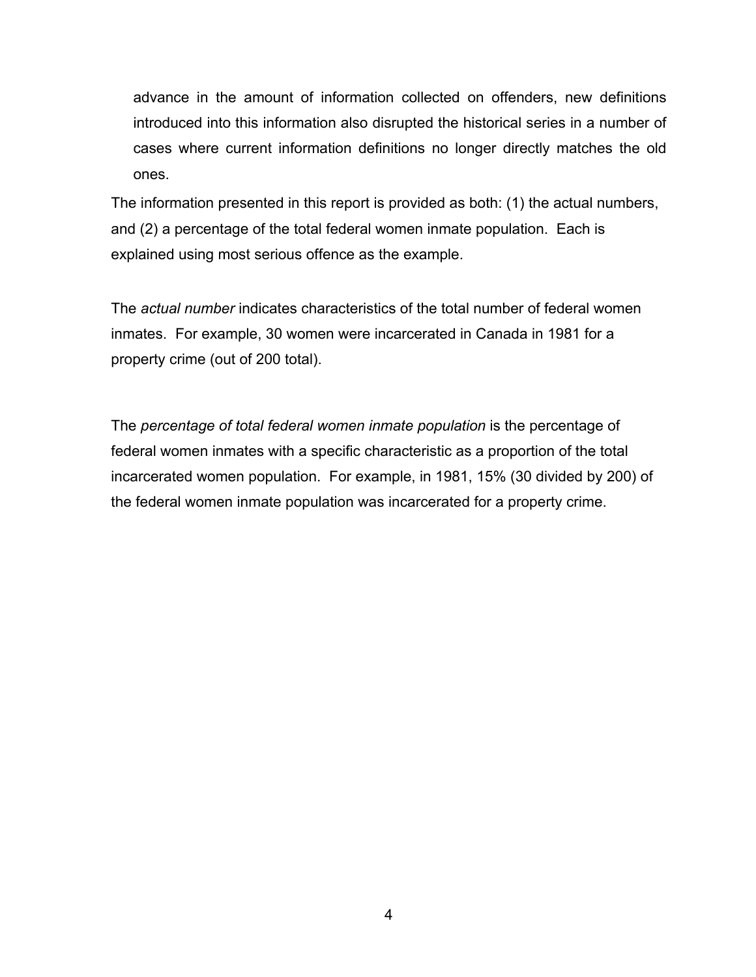advance in the amount of information collected on offenders, new definitions introduced into this information also disrupted the historical series in a number of cases where current information definitions no longer directly matches the old ones.

The information presented in this report is provided as both: (1) the actual numbers, and (2) a percentage of the total federal women inmate population. Each is explained using most serious offence as the example.

The *actual number* indicates characteristics of the total number of federal women inmates. For example, 30 women were incarcerated in Canada in 1981 for a property crime (out of 200 total).

The *percentage of total federal women inmate population* is the percentage of federal women inmates with a specific characteristic as a proportion of the total incarcerated women population. For example, in 1981, 15% (30 divided by 200) of the federal women inmate population was incarcerated for a property crime.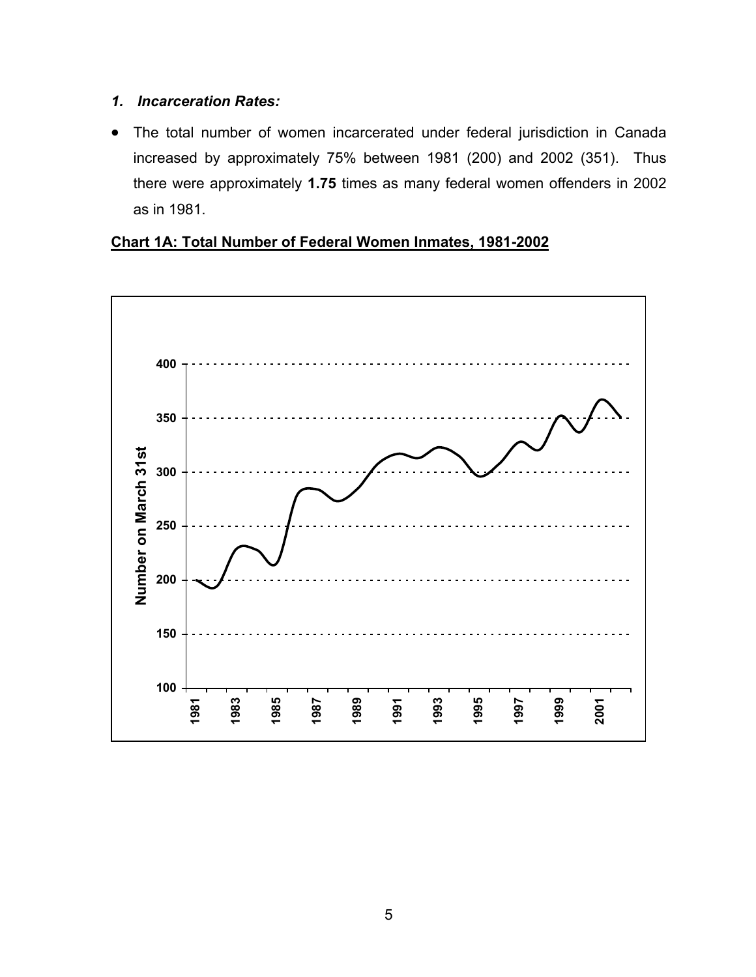#### <span id="page-12-0"></span>*1. Incarceration Rates:*

• The total number of women incarcerated under federal jurisdiction in Canada increased by approximately 75% between 1981 (200) and 2002 (351). Thus there were approximately **1.75** times as many federal women offenders in 2002 as in 1981.

#### <span id="page-12-1"></span>**Chart 1A: Total Number of Federal Women Inmates, 1981-2002**

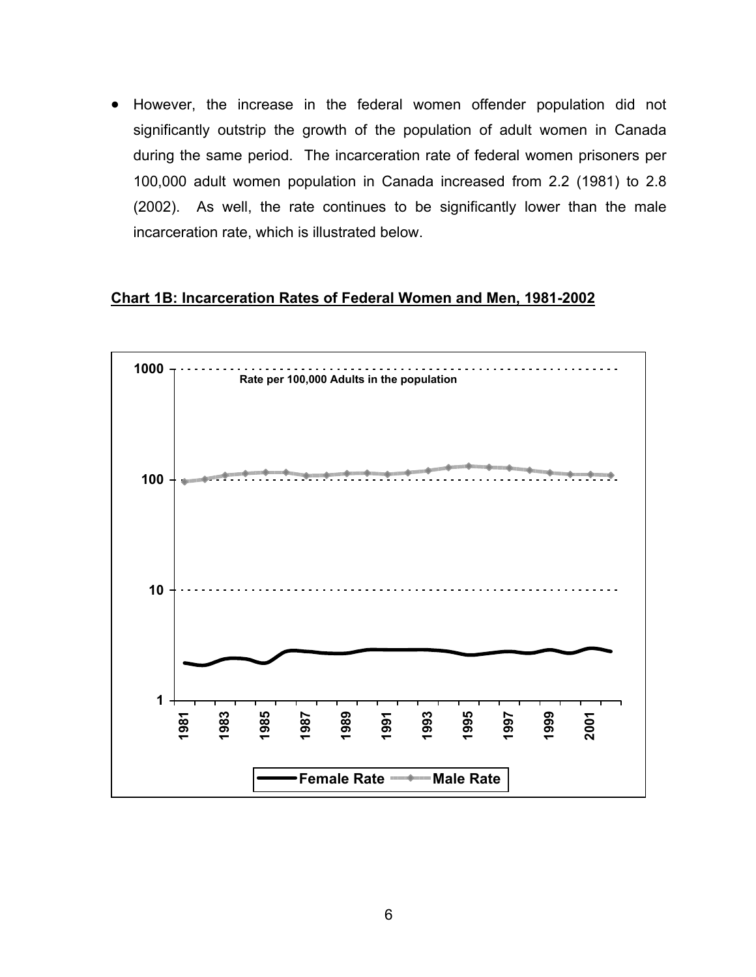• However, the increase in the federal women offender population did not significantly outstrip the growth of the population of adult women in Canada during the same period. The incarceration rate of federal women prisoners per 100,000 adult women population in Canada increased from 2.2 (1981) to 2.8 (2002). As well, the rate continues to be significantly lower than the male incarceration rate, which is illustrated below.

#### <span id="page-13-0"></span>**Chart 1B: Incarceration Rates of Federal Women and Men, 1981-2002**

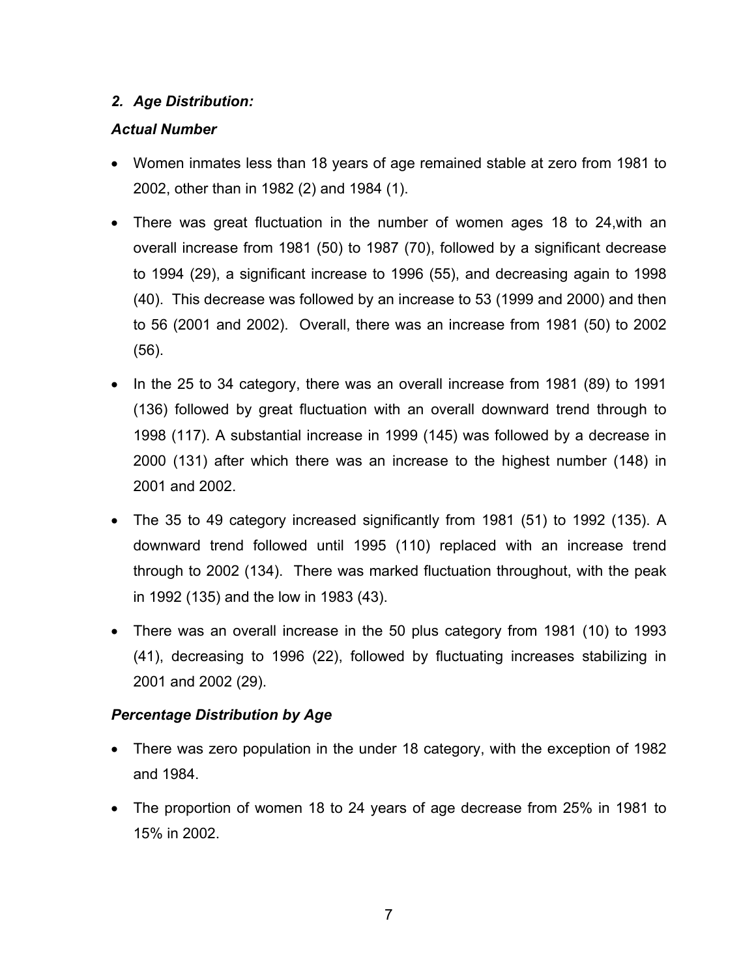#### <span id="page-14-0"></span>*2. Age Distribution:*

#### *Actual Number*

- Women inmates less than 18 years of age remained stable at zero from 1981 to 2002, other than in 1982 (2) and 1984 (1).
- There was great fluctuation in the number of women ages 18 to 24,with an overall increase from 1981 (50) to 1987 (70), followed by a significant decrease to 1994 (29), a significant increase to 1996 (55), and decreasing again to 1998 (40). This decrease was followed by an increase to 53 (1999 and 2000) and then to 56 (2001 and 2002). Overall, there was an increase from 1981 (50) to 2002 (56).
- In the 25 to 34 category, there was an overall increase from 1981 (89) to 1991 (136) followed by great fluctuation with an overall downward trend through to 1998 (117). A substantial increase in 1999 (145) was followed by a decrease in 2000 (131) after which there was an increase to the highest number (148) in 2001 and 2002.
- The 35 to 49 category increased significantly from 1981 (51) to 1992 (135). A downward trend followed until 1995 (110) replaced with an increase trend through to 2002 (134). There was marked fluctuation throughout, with the peak in 1992 (135) and the low in 1983 (43).
- There was an overall increase in the 50 plus category from 1981 (10) to 1993 (41), decreasing to 1996 (22), followed by fluctuating increases stabilizing in 2001 and 2002 (29).

#### *Percentage Distribution by Age*

- There was zero population in the under 18 category, with the exception of 1982 and 1984.
- The proportion of women 18 to 24 years of age decrease from 25% in 1981 to 15% in 2002.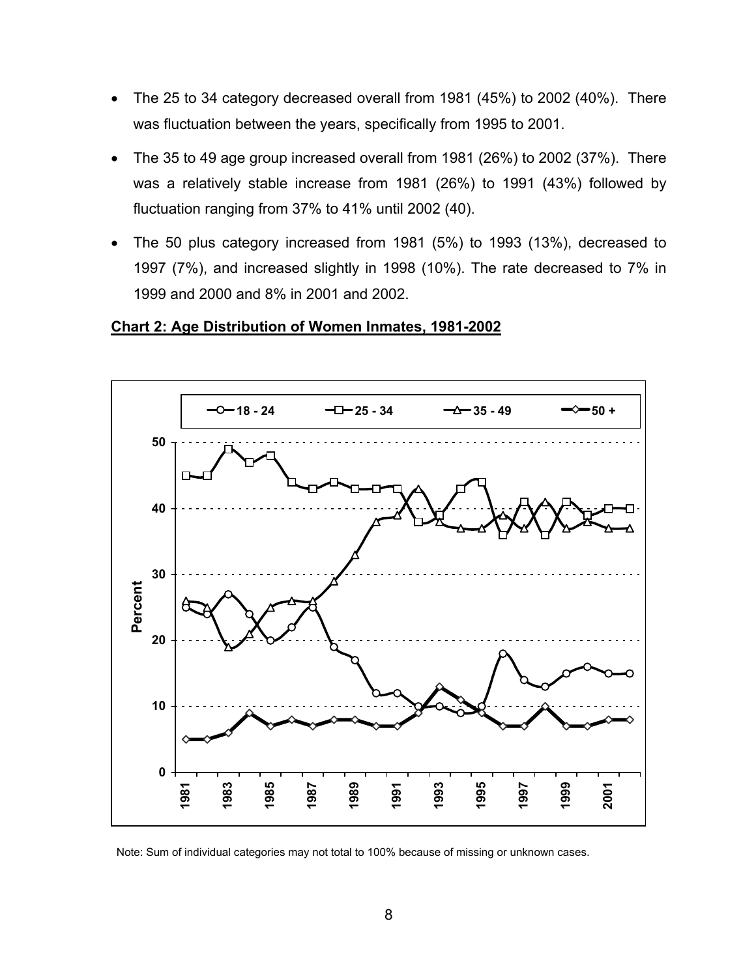- The 25 to 34 category decreased overall from 1981 (45%) to 2002 (40%). There was fluctuation between the years, specifically from 1995 to 2001.
- The 35 to 49 age group increased overall from 1981 (26%) to 2002 (37%). There was a relatively stable increase from 1981 (26%) to 1991 (43%) followed by fluctuation ranging from 37% to 41% until 2002 (40).
- The 50 plus category increased from 1981 (5%) to 1993 (13%), decreased to 1997 (7%), and increased slightly in 1998 (10%). The rate decreased to 7% in 1999 and 2000 and 8% in 2001 and 2002.

#### <span id="page-15-0"></span>**Chart 2: Age Distribution of Women Inmates, 1981-2002**



Note: Sum of individual categories may not total to 100% because of missing or unknown cases.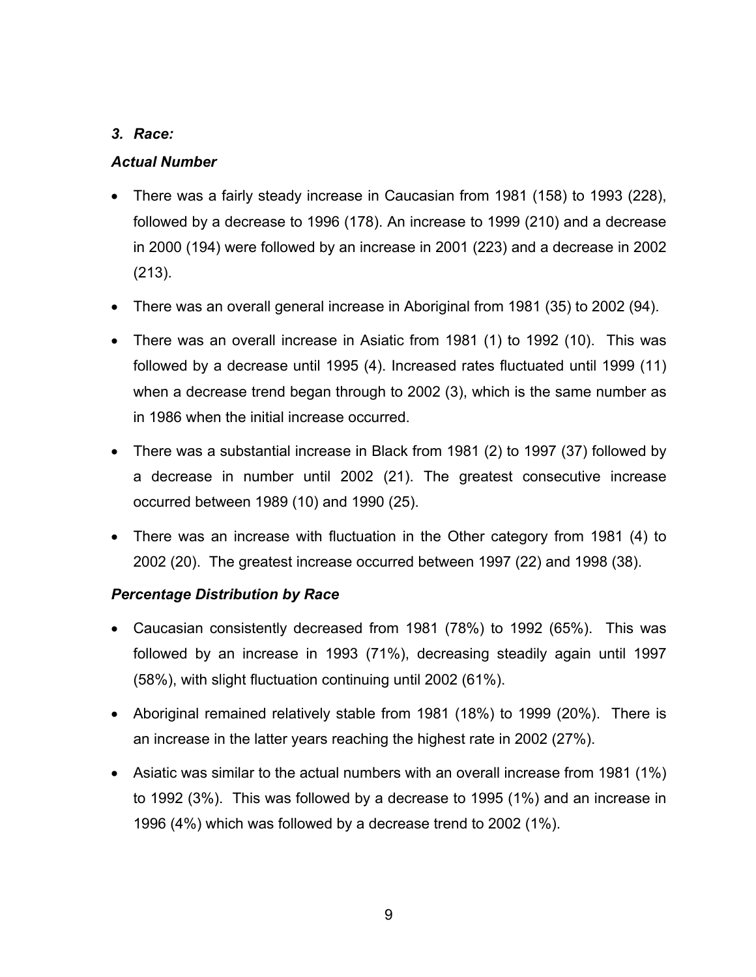#### <span id="page-16-0"></span>*3. Race:*

#### *Actual Number*

- There was a fairly steady increase in Caucasian from 1981 (158) to 1993 (228), followed by a decrease to 1996 (178). An increase to 1999 (210) and a decrease in 2000 (194) were followed by an increase in 2001 (223) and a decrease in 2002 (213).
- There was an overall general increase in Aboriginal from 1981 (35) to 2002 (94).
- There was an overall increase in Asiatic from 1981 (1) to 1992 (10). This was followed by a decrease until 1995 (4). Increased rates fluctuated until 1999 (11) when a decrease trend began through to 2002 (3), which is the same number as in 1986 when the initial increase occurred.
- There was a substantial increase in Black from 1981 (2) to 1997 (37) followed by a decrease in number until 2002 (21). The greatest consecutive increase occurred between 1989 (10) and 1990 (25).
- There was an increase with fluctuation in the Other category from 1981 (4) to 2002 (20). The greatest increase occurred between 1997 (22) and 1998 (38).

#### *Percentage Distribution by Race*

- Caucasian consistently decreased from 1981 (78%) to 1992 (65%). This was followed by an increase in 1993 (71%), decreasing steadily again until 1997 (58%), with slight fluctuation continuing until 2002 (61%).
- Aboriginal remained relatively stable from 1981 (18%) to 1999 (20%). There is an increase in the latter years reaching the highest rate in 2002 (27%).
- Asiatic was similar to the actual numbers with an overall increase from 1981 (1%) to 1992 (3%). This was followed by a decrease to 1995 (1%) and an increase in 1996 (4%) which was followed by a decrease trend to 2002 (1%).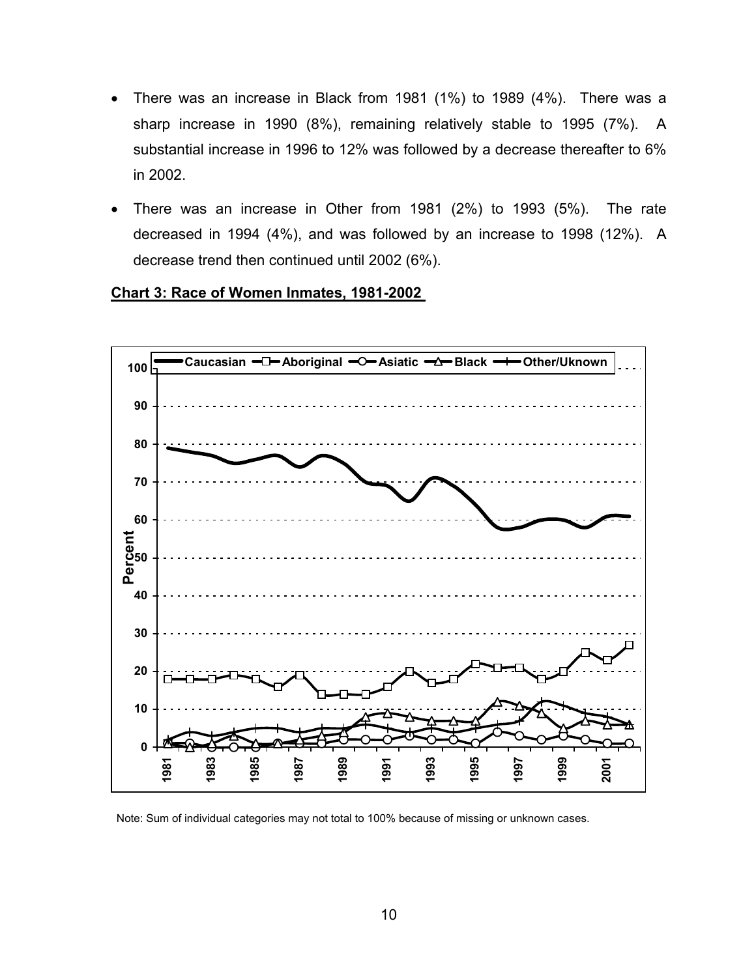- There was an increase in Black from 1981 (1%) to 1989 (4%). There was a sharp increase in 1990 (8%), remaining relatively stable to 1995 (7%). A substantial increase in 1996 to 12% was followed by a decrease thereafter to 6% in 2002.
- There was an increase in Other from 1981 (2%) to 1993 (5%). The rate decreased in 1994 (4%), and was followed by an increase to 1998 (12%). A decrease trend then continued until 2002 (6%).

<span id="page-17-0"></span>



Note: Sum of individual categories may not total to 100% because of missing or unknown cases.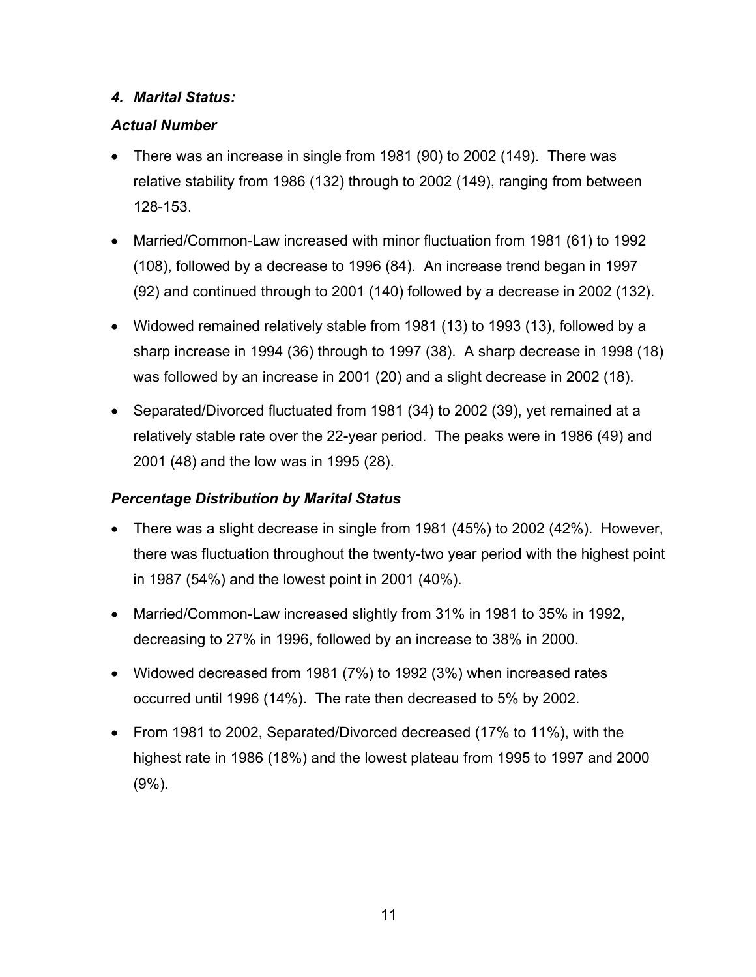#### <span id="page-18-0"></span>*4. Marital Status:*

## *Actual Number*

- There was an increase in single from 1981 (90) to 2002 (149). There was relative stability from 1986 (132) through to 2002 (149), ranging from between 128-153.
- Married/Common-Law increased with minor fluctuation from 1981 (61) to 1992 (108), followed by a decrease to 1996 (84). An increase trend began in 1997 (92) and continued through to 2001 (140) followed by a decrease in 2002 (132).
- Widowed remained relatively stable from 1981 (13) to 1993 (13), followed by a sharp increase in 1994 (36) through to 1997 (38). A sharp decrease in 1998 (18) was followed by an increase in 2001 (20) and a slight decrease in 2002 (18).
- Separated/Divorced fluctuated from 1981 (34) to 2002 (39), yet remained at a relatively stable rate over the 22-year period. The peaks were in 1986 (49) and 2001 (48) and the low was in 1995 (28).

# *Percentage Distribution by Marital Status*

- There was a slight decrease in single from 1981 (45%) to 2002 (42%). However, there was fluctuation throughout the twenty-two year period with the highest point in 1987 (54%) and the lowest point in 2001 (40%).
- Married/Common-Law increased slightly from 31% in 1981 to 35% in 1992, decreasing to 27% in 1996, followed by an increase to 38% in 2000.
- Widowed decreased from 1981 (7%) to 1992 (3%) when increased rates occurred until 1996 (14%). The rate then decreased to 5% by 2002.
- From 1981 to 2002, Separated/Divorced decreased (17% to 11%), with the highest rate in 1986 (18%) and the lowest plateau from 1995 to 1997 and 2000 (9%).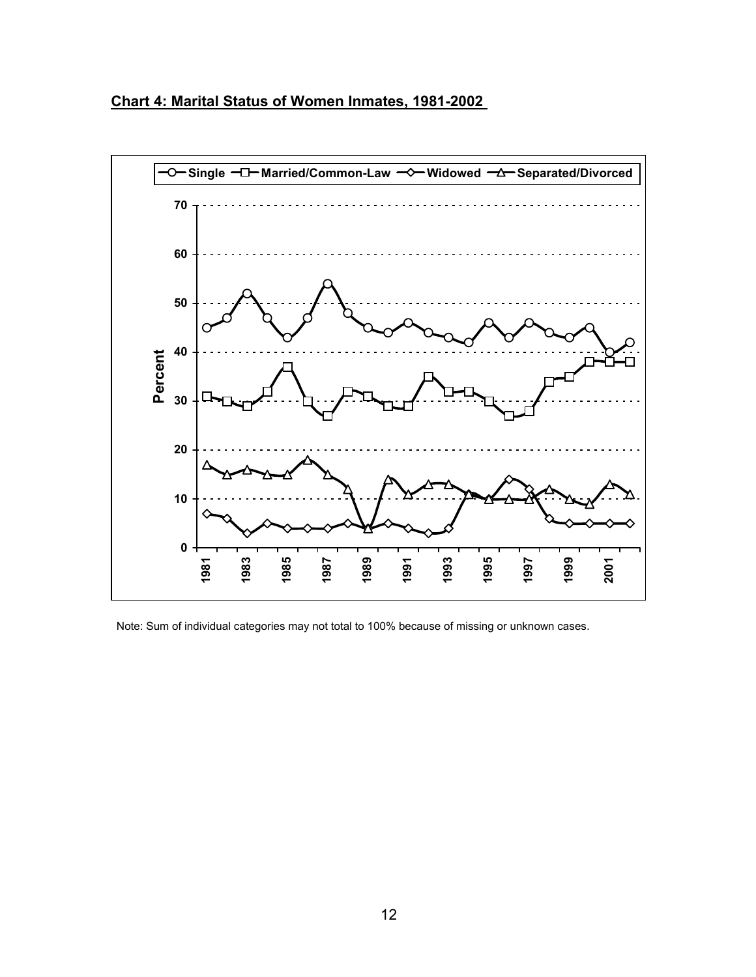<span id="page-19-0"></span>



Note: Sum of individual categories may not total to 100% because of missing or unknown cases.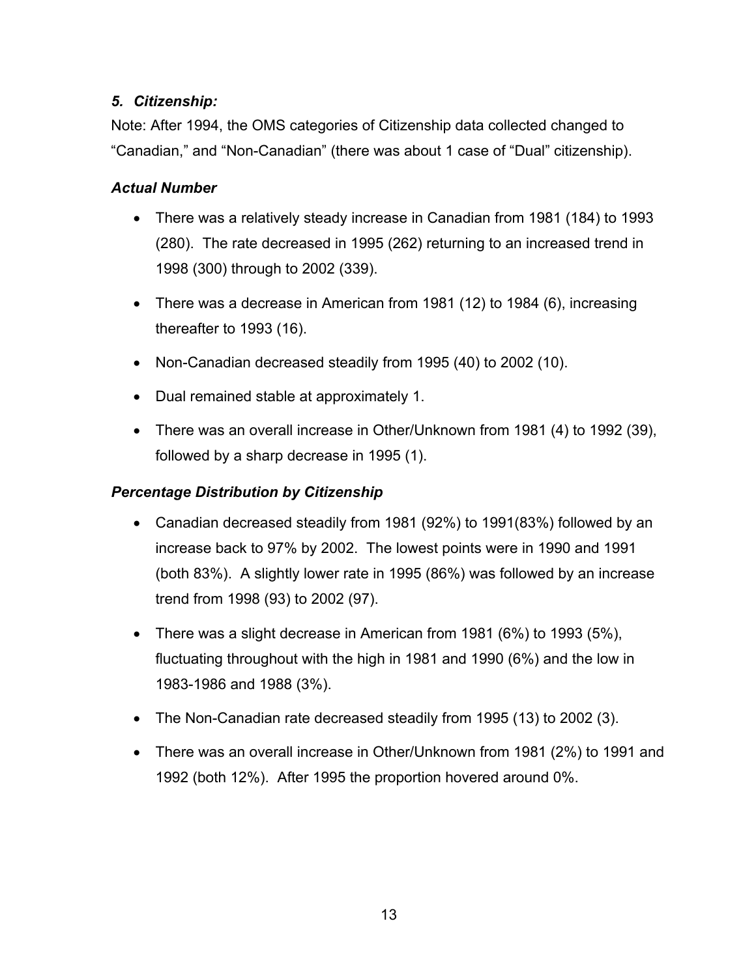## <span id="page-20-0"></span>*5. Citizenship:*

Note: After 1994, the OMS categories of Citizenship data collected changed to "Canadian," and "Non-Canadian" (there was about 1 case of "Dual" citizenship).

## *Actual Number*

- There was a relatively steady increase in Canadian from 1981 (184) to 1993 (280). The rate decreased in 1995 (262) returning to an increased trend in 1998 (300) through to 2002 (339).
- There was a decrease in American from 1981 (12) to 1984 (6), increasing thereafter to 1993 (16).
- Non-Canadian decreased steadily from 1995 (40) to 2002 (10).
- Dual remained stable at approximately 1.
- There was an overall increase in Other/Unknown from 1981 (4) to 1992 (39), followed by a sharp decrease in 1995 (1).

#### *Percentage Distribution by Citizenship*

- Canadian decreased steadily from 1981 (92%) to 1991(83%) followed by an increase back to 97% by 2002. The lowest points were in 1990 and 1991 (both 83%). A slightly lower rate in 1995 (86%) was followed by an increase trend from 1998 (93) to 2002 (97).
- There was a slight decrease in American from 1981 (6%) to 1993 (5%), fluctuating throughout with the high in 1981 and 1990 (6%) and the low in 1983-1986 and 1988 (3%).
- The Non-Canadian rate decreased steadily from 1995 (13) to 2002 (3).
- There was an overall increase in Other/Unknown from 1981 (2%) to 1991 and 1992 (both 12%). After 1995 the proportion hovered around 0%.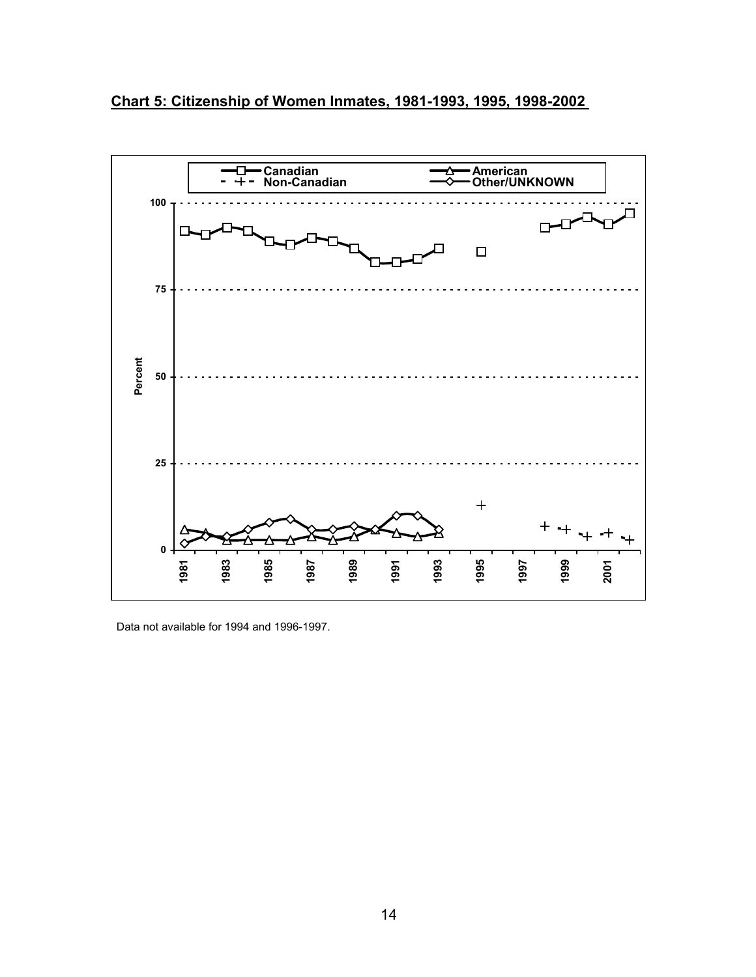<span id="page-21-0"></span>



Data not available for 1994 and 1996-1997.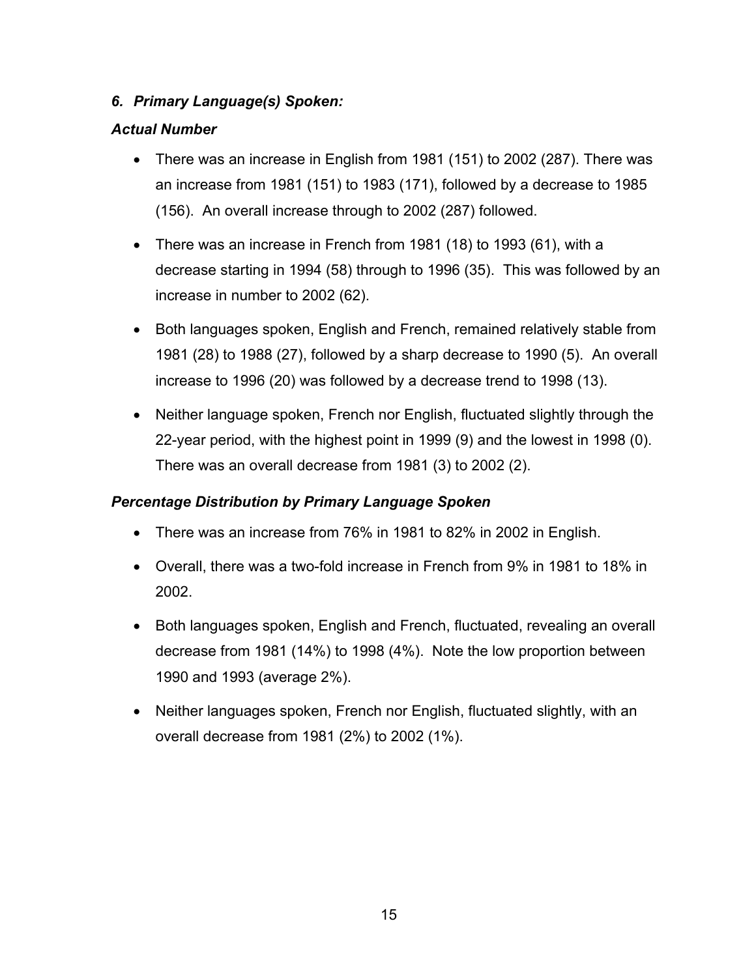## <span id="page-22-0"></span>*6. Primary Language(s) Spoken:*

### *Actual Number*

- There was an increase in English from 1981 (151) to 2002 (287). There was an increase from 1981 (151) to 1983 (171), followed by a decrease to 1985 (156). An overall increase through to 2002 (287) followed.
- There was an increase in French from 1981 (18) to 1993 (61), with a decrease starting in 1994 (58) through to 1996 (35). This was followed by an increase in number to 2002 (62).
- Both languages spoken, English and French, remained relatively stable from 1981 (28) to 1988 (27), followed by a sharp decrease to 1990 (5). An overall increase to 1996 (20) was followed by a decrease trend to 1998 (13).
- Neither language spoken, French nor English, fluctuated slightly through the 22-year period, with the highest point in 1999 (9) and the lowest in 1998 (0). There was an overall decrease from 1981 (3) to 2002 (2).

## *Percentage Distribution by Primary Language Spoken*

- There was an increase from 76% in 1981 to 82% in 2002 in English.
- Overall, there was a two-fold increase in French from 9% in 1981 to 18% in 2002.
- Both languages spoken, English and French, fluctuated, revealing an overall decrease from 1981 (14%) to 1998 (4%). Note the low proportion between 1990 and 1993 (average 2%).
- Neither languages spoken, French nor English, fluctuated slightly, with an overall decrease from 1981 (2%) to 2002 (1%).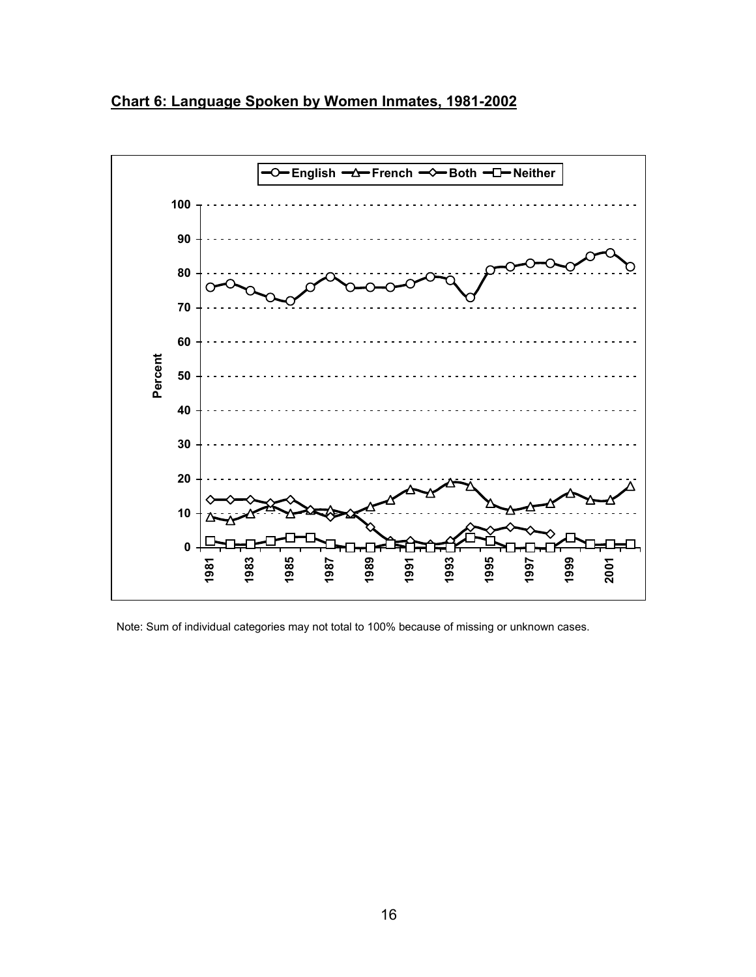<span id="page-23-0"></span>



Note: Sum of individual categories may not total to 100% because of missing or unknown cases.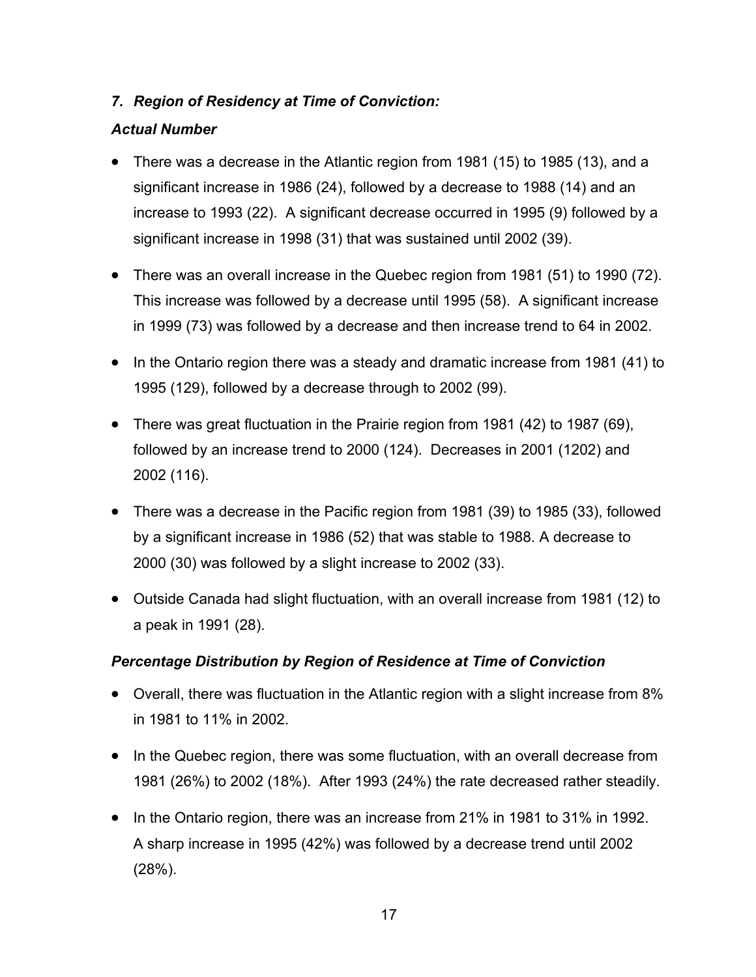## <span id="page-24-0"></span>*7. Region of Residency at Time of Conviction:*

### *Actual Number*

- There was a decrease in the Atlantic region from 1981 (15) to 1985 (13), and a significant increase in 1986 (24), followed by a decrease to 1988 (14) and an increase to 1993 (22). A significant decrease occurred in 1995 (9) followed by a significant increase in 1998 (31) that was sustained until 2002 (39).
- There was an overall increase in the Quebec region from 1981 (51) to 1990 (72). This increase was followed by a decrease until 1995 (58). A significant increase in 1999 (73) was followed by a decrease and then increase trend to 64 in 2002.
- In the Ontario region there was a steady and dramatic increase from 1981 (41) to 1995 (129), followed by a decrease through to 2002 (99).
- There was great fluctuation in the Prairie region from 1981 (42) to 1987 (69), followed by an increase trend to 2000 (124). Decreases in 2001 (1202) and 2002 (116).
- There was a decrease in the Pacific region from 1981 (39) to 1985 (33), followed by a significant increase in 1986 (52) that was stable to 1988. A decrease to 2000 (30) was followed by a slight increase to 2002 (33).
- Outside Canada had slight fluctuation, with an overall increase from 1981 (12) to a peak in 1991 (28).

#### *Percentage Distribution by Region of Residence at Time of Conviction*

- Overall, there was fluctuation in the Atlantic region with a slight increase from 8% in 1981 to 11% in 2002.
- In the Quebec region, there was some fluctuation, with an overall decrease from 1981 (26%) to 2002 (18%). After 1993 (24%) the rate decreased rather steadily.
- In the Ontario region, there was an increase from 21% in 1981 to 31% in 1992. A sharp increase in 1995 (42%) was followed by a decrease trend until 2002 (28%).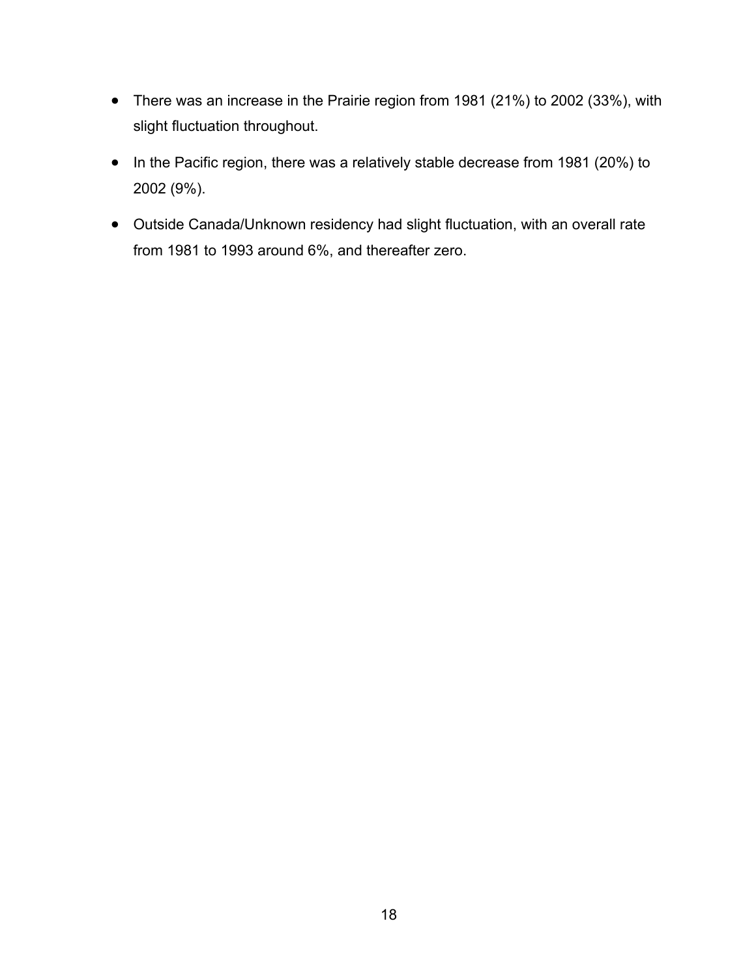- There was an increase in the Prairie region from 1981 (21%) to 2002 (33%), with slight fluctuation throughout.
- In the Pacific region, there was a relatively stable decrease from 1981 (20%) to 2002 (9%).
- Outside Canada/Unknown residency had slight fluctuation, with an overall rate from 1981 to 1993 around 6%, and thereafter zero.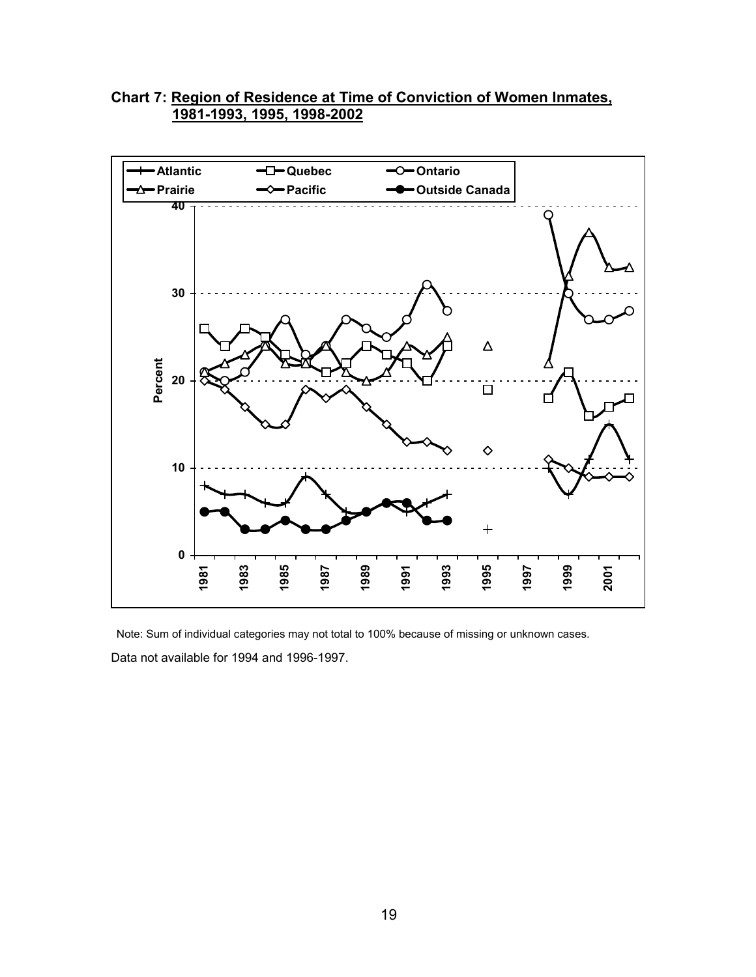#### <span id="page-26-0"></span>**Chart 7: Region of Residence at Time of Conviction of Women Inmates, 1981-1993, 1995, 1998-2002**



Note: Sum of individual categories may not total to 100% because of missing or unknown cases. Data not available for 1994 and 1996-1997.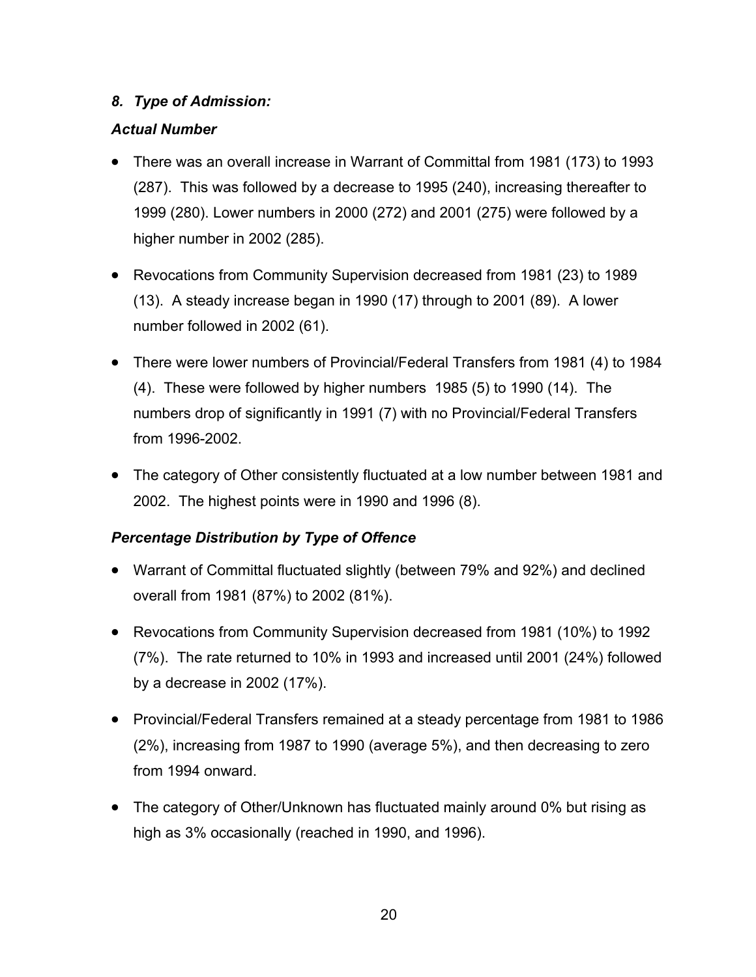## <span id="page-27-0"></span>*8. Type of Admission:*

### *Actual Number*

- There was an overall increase in Warrant of Committal from 1981 (173) to 1993 (287). This was followed by a decrease to 1995 (240), increasing thereafter to 1999 (280). Lower numbers in 2000 (272) and 2001 (275) were followed by a higher number in 2002 (285).
- Revocations from Community Supervision decreased from 1981 (23) to 1989 (13). A steady increase began in 1990 (17) through to 2001 (89). A lower number followed in 2002 (61).
- There were lower numbers of Provincial/Federal Transfers from 1981 (4) to 1984 (4). These were followed by higher numbers 1985 (5) to 1990 (14). The numbers drop of significantly in 1991 (7) with no Provincial/Federal Transfers from 1996-2002.
- The category of Other consistently fluctuated at a low number between 1981 and 2002. The highest points were in 1990 and 1996 (8).

#### *Percentage Distribution by Type of Offence*

- Warrant of Committal fluctuated slightly (between 79% and 92%) and declined overall from 1981 (87%) to 2002 (81%).
- Revocations from Community Supervision decreased from 1981 (10%) to 1992 (7%). The rate returned to 10% in 1993 and increased until 2001 (24%) followed by a decrease in 2002 (17%).
- Provincial/Federal Transfers remained at a steady percentage from 1981 to 1986 (2%), increasing from 1987 to 1990 (average 5%), and then decreasing to zero from 1994 onward.
- The category of Other/Unknown has fluctuated mainly around 0% but rising as high as 3% occasionally (reached in 1990, and 1996).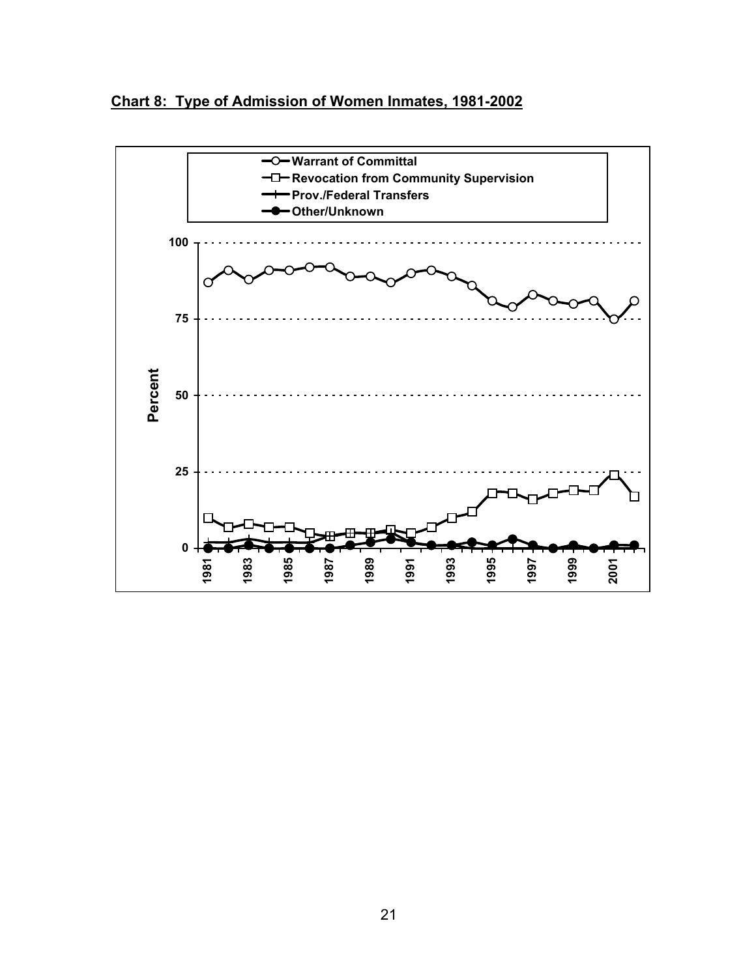<span id="page-28-0"></span>

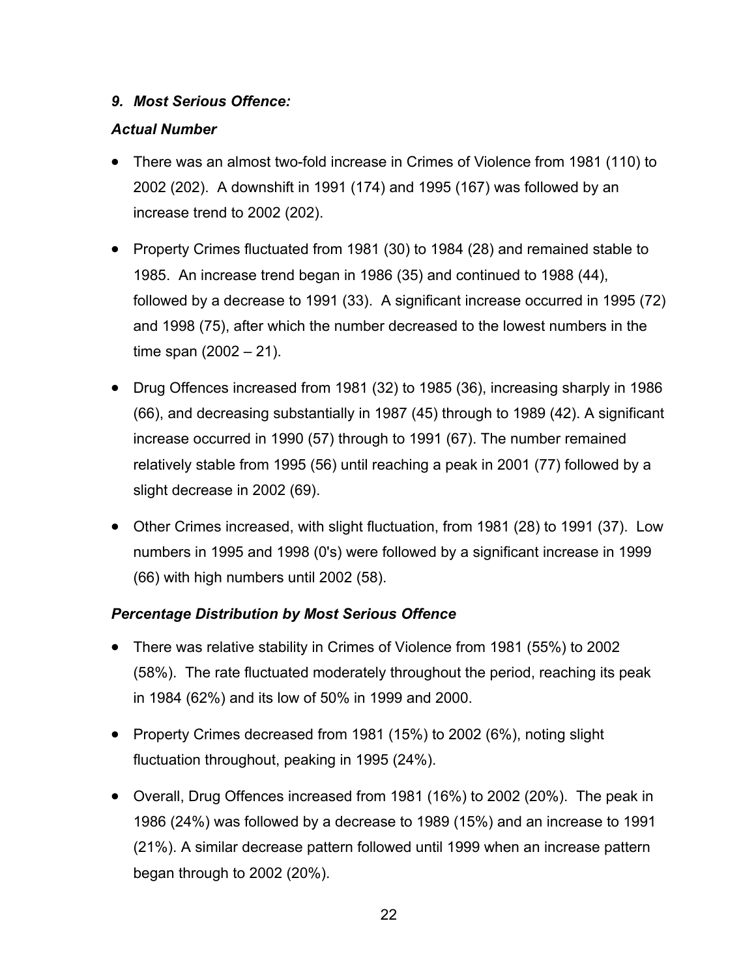### <span id="page-29-0"></span>*9. Most Serious Offence:*

## *Actual Number*

- There was an almost two-fold increase in Crimes of Violence from 1981 (110) to 2002 (202). A downshift in 1991 (174) and 1995 (167) was followed by an increase trend to 2002 (202).
- Property Crimes fluctuated from 1981 (30) to 1984 (28) and remained stable to 1985. An increase trend began in 1986 (35) and continued to 1988 (44), followed by a decrease to 1991 (33). A significant increase occurred in 1995 (72) and 1998 (75), after which the number decreased to the lowest numbers in the time span (2002 – 21).
- Drug Offences increased from 1981 (32) to 1985 (36), increasing sharply in 1986 (66), and decreasing substantially in 1987 (45) through to 1989 (42). A significant increase occurred in 1990 (57) through to 1991 (67). The number remained relatively stable from 1995 (56) until reaching a peak in 2001 (77) followed by a slight decrease in 2002 (69).
- Other Crimes increased, with slight fluctuation, from 1981 (28) to 1991 (37). Low numbers in 1995 and 1998 (0's) were followed by a significant increase in 1999 (66) with high numbers until 2002 (58).

## *Percentage Distribution by Most Serious Offence*

- There was relative stability in Crimes of Violence from 1981 (55%) to 2002 (58%). The rate fluctuated moderately throughout the period, reaching its peak in 1984 (62%) and its low of 50% in 1999 and 2000.
- Property Crimes decreased from 1981 (15%) to 2002 (6%), noting slight fluctuation throughout, peaking in 1995 (24%).
- Overall, Drug Offences increased from 1981 (16%) to 2002 (20%). The peak in 1986 (24%) was followed by a decrease to 1989 (15%) and an increase to 1991 (21%). A similar decrease pattern followed until 1999 when an increase pattern began through to 2002 (20%).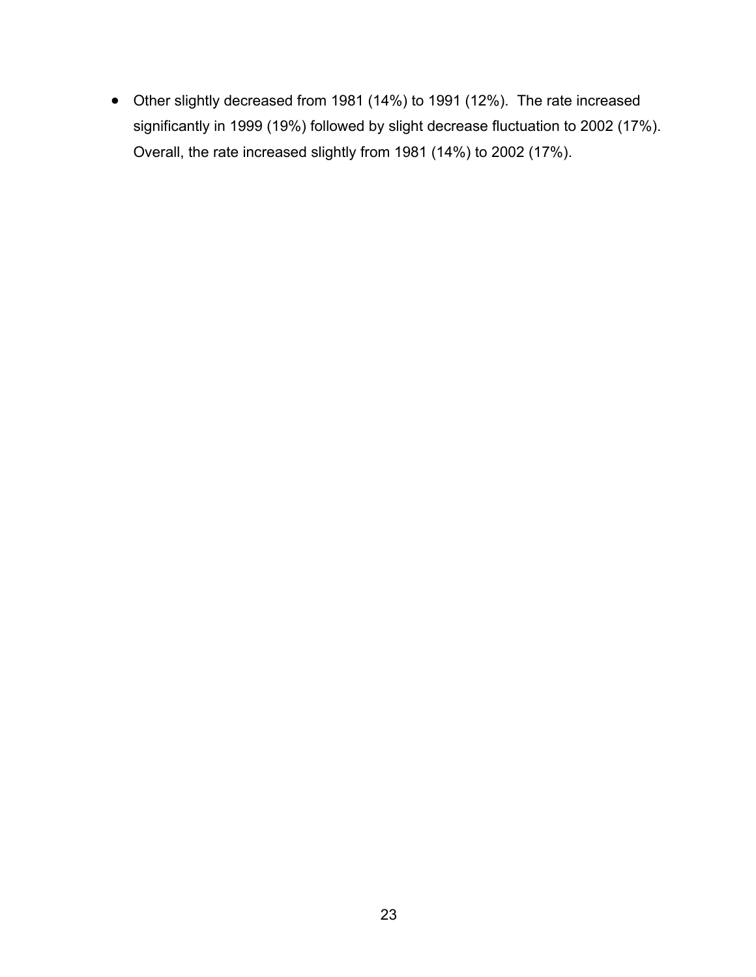• Other slightly decreased from 1981 (14%) to 1991 (12%). The rate increased significantly in 1999 (19%) followed by slight decrease fluctuation to 2002 (17%). Overall, the rate increased slightly from 1981 (14%) to 2002 (17%).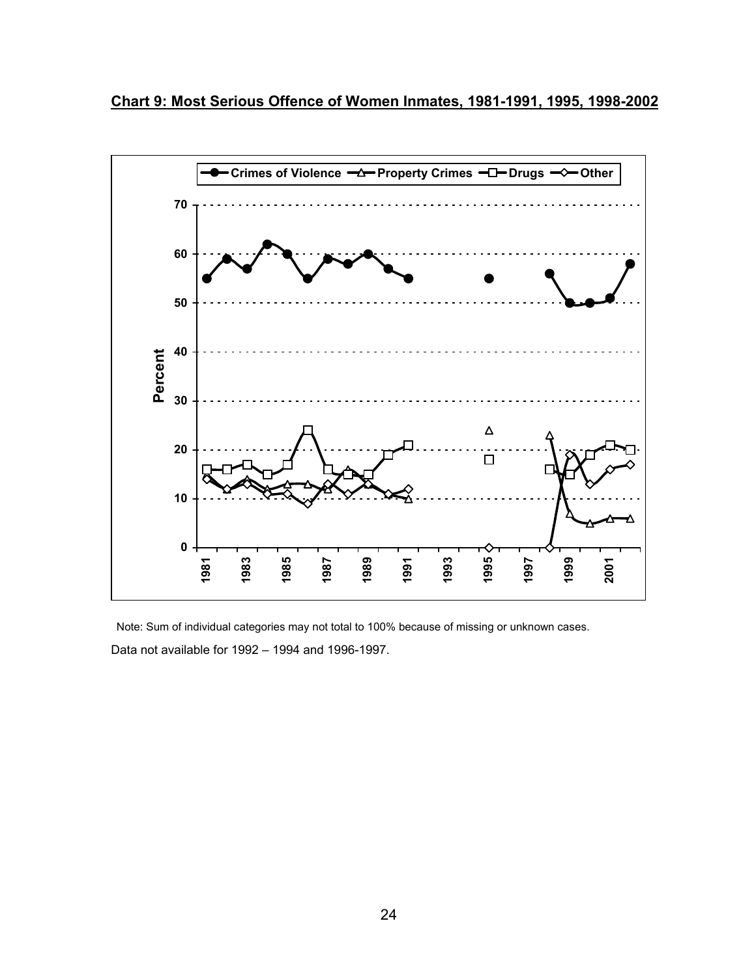<span id="page-31-0"></span>**Chart 9: Most Serious Offence of Women Inmates, 1981-1991, 1995, 1998-2002**



Note: Sum of individual categories may not total to 100% because of missing or unknown cases. Data not available for 1992 – 1994 and 1996-1997.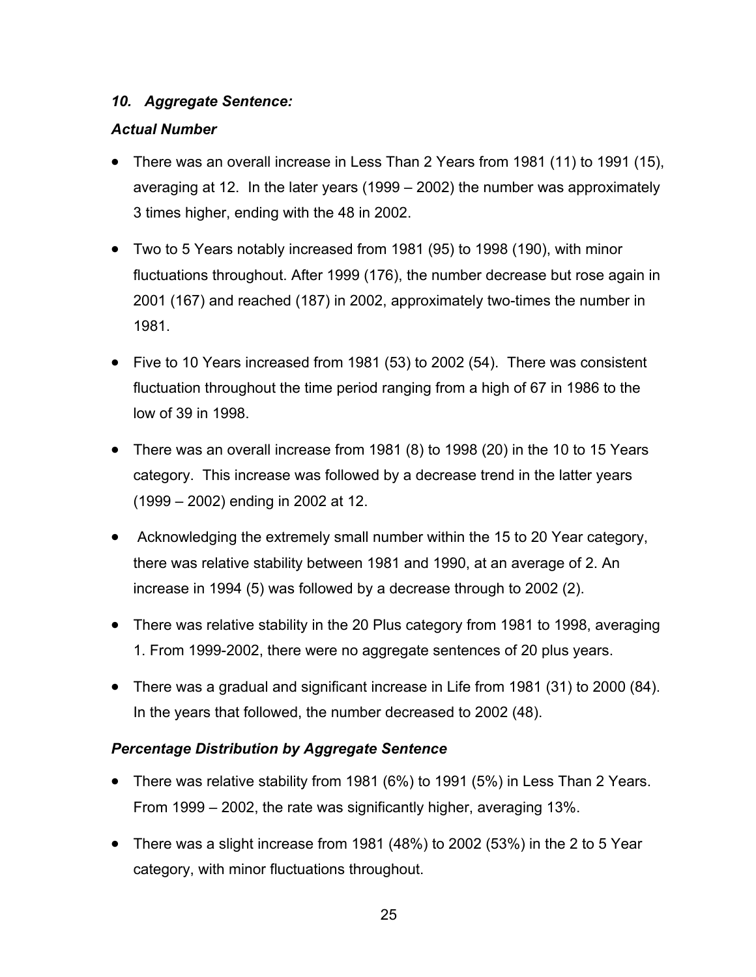#### <span id="page-32-0"></span>*10. Aggregate Sentence:*

## *Actual Number*

- There was an overall increase in Less Than 2 Years from 1981 (11) to 1991 (15), averaging at 12. In the later years (1999 – 2002) the number was approximately 3 times higher, ending with the 48 in 2002.
- Two to 5 Years notably increased from 1981 (95) to 1998 (190), with minor fluctuations throughout. After 1999 (176), the number decrease but rose again in 2001 (167) and reached (187) in 2002, approximately two-times the number in 1981.
- Five to 10 Years increased from 1981 (53) to 2002 (54). There was consistent fluctuation throughout the time period ranging from a high of 67 in 1986 to the low of 39 in 1998.
- There was an overall increase from 1981 (8) to 1998 (20) in the 10 to 15 Years category. This increase was followed by a decrease trend in the latter years (1999 – 2002) ending in 2002 at 12.
- Acknowledging the extremely small number within the 15 to 20 Year category, there was relative stability between 1981 and 1990, at an average of 2. An increase in 1994 (5) was followed by a decrease through to 2002 (2).
- There was relative stability in the 20 Plus category from 1981 to 1998, averaging 1. From 1999-2002, there were no aggregate sentences of 20 plus years.
- There was a gradual and significant increase in Life from 1981 (31) to 2000 (84). In the years that followed, the number decreased to 2002 (48).

## *Percentage Distribution by Aggregate Sentence*

- There was relative stability from 1981 (6%) to 1991 (5%) in Less Than 2 Years. From 1999 – 2002, the rate was significantly higher, averaging 13%.
- There was a slight increase from 1981 (48%) to 2002 (53%) in the 2 to 5 Year category, with minor fluctuations throughout.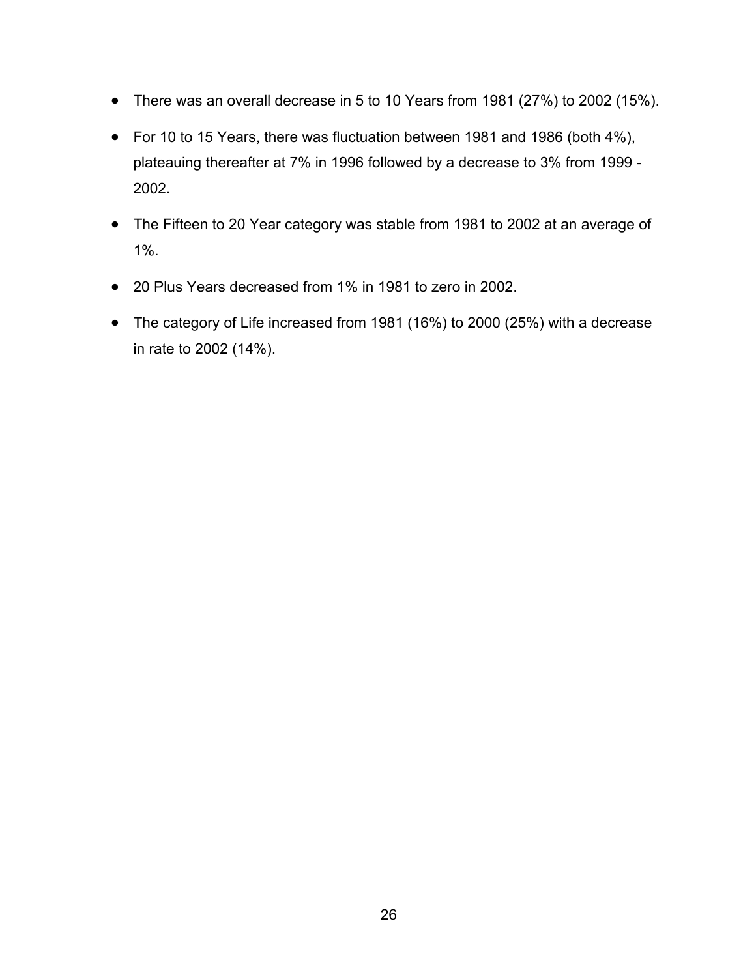- There was an overall decrease in 5 to 10 Years from 1981 (27%) to 2002 (15%).
- For 10 to 15 Years, there was fluctuation between 1981 and 1986 (both 4%), plateauing thereafter at 7% in 1996 followed by a decrease to 3% from 1999 - 2002.
- The Fifteen to 20 Year category was stable from 1981 to 2002 at an average of 1%.
- 20 Plus Years decreased from 1% in 1981 to zero in 2002.
- The category of Life increased from 1981 (16%) to 2000 (25%) with a decrease in rate to 2002 (14%).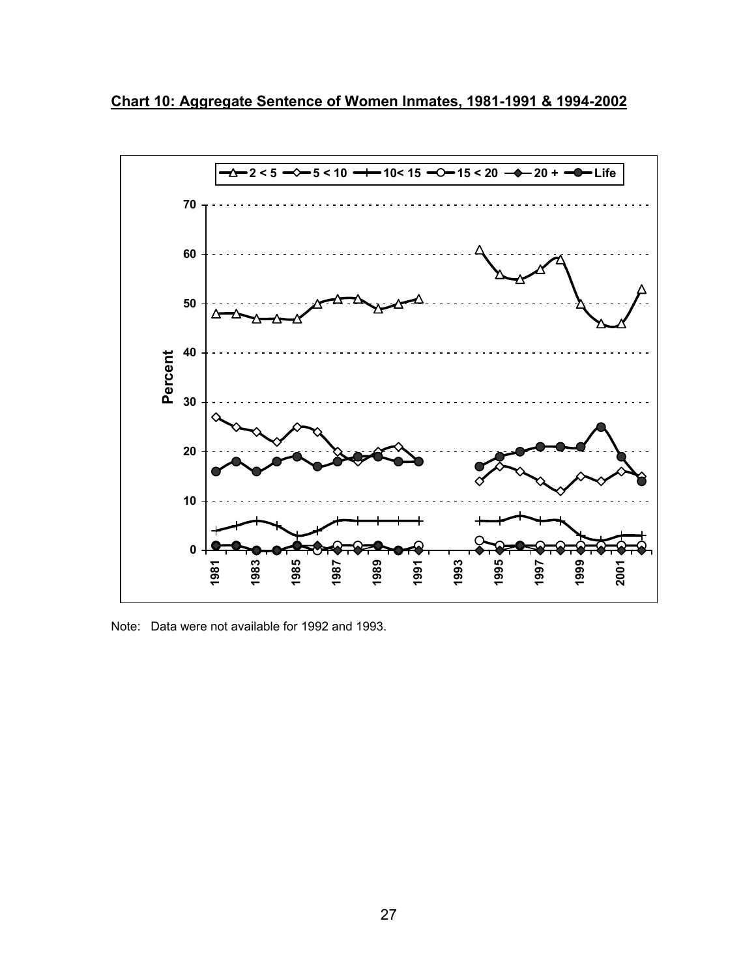<span id="page-34-0"></span>**Chart 10: Aggregate Sentence of Women Inmates, 1981-1991 & 1994-2002**



Note: Data were not available for 1992 and 1993.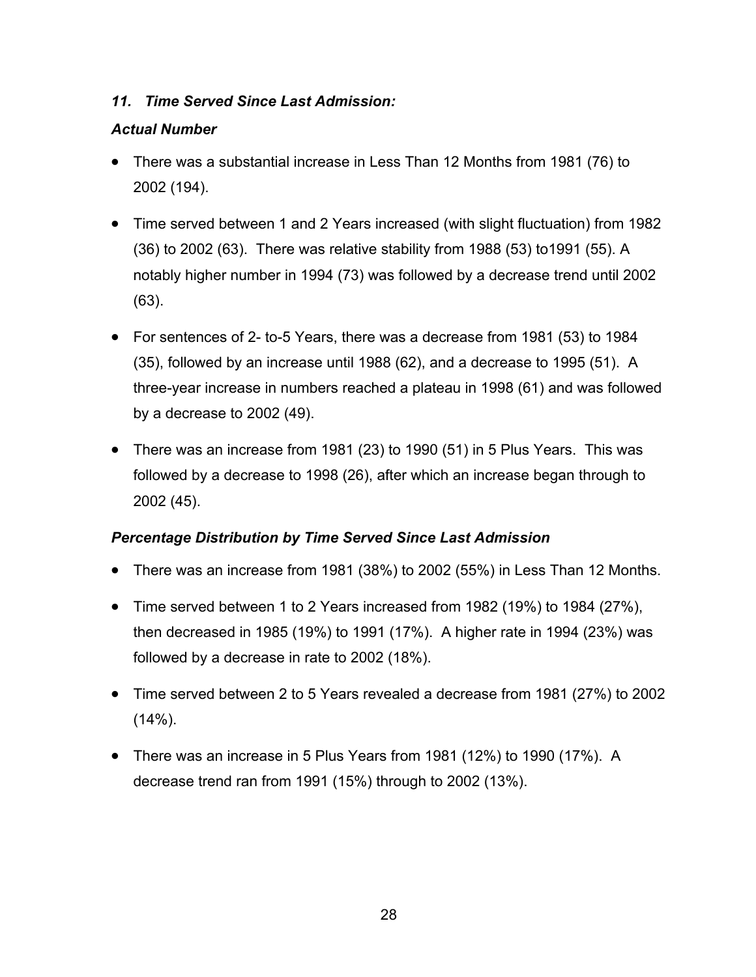## <span id="page-35-0"></span>*11. Time Served Since Last Admission:*

## *Actual Number*

- There was a substantial increase in Less Than 12 Months from 1981 (76) to 2002 (194).
- Time served between 1 and 2 Years increased (with slight fluctuation) from 1982 (36) to 2002 (63). There was relative stability from 1988 (53) to1991 (55). A notably higher number in 1994 (73) was followed by a decrease trend until 2002 (63).
- For sentences of 2- to-5 Years, there was a decrease from 1981 (53) to 1984 (35), followed by an increase until 1988 (62), and a decrease to 1995 (51). A three-year increase in numbers reached a plateau in 1998 (61) and was followed by a decrease to 2002 (49).
- There was an increase from 1981 (23) to 1990 (51) in 5 Plus Years. This was followed by a decrease to 1998 (26), after which an increase began through to 2002 (45).

## *Percentage Distribution by Time Served Since Last Admission*

- There was an increase from 1981 (38%) to 2002 (55%) in Less Than 12 Months.
- Time served between 1 to 2 Years increased from 1982 (19%) to 1984 (27%), then decreased in 1985 (19%) to 1991 (17%). A higher rate in 1994 (23%) was followed by a decrease in rate to 2002 (18%).
- Time served between 2 to 5 Years revealed a decrease from 1981 (27%) to 2002  $(14\%)$ .
- There was an increase in 5 Plus Years from 1981 (12%) to 1990 (17%). A decrease trend ran from 1991 (15%) through to 2002 (13%).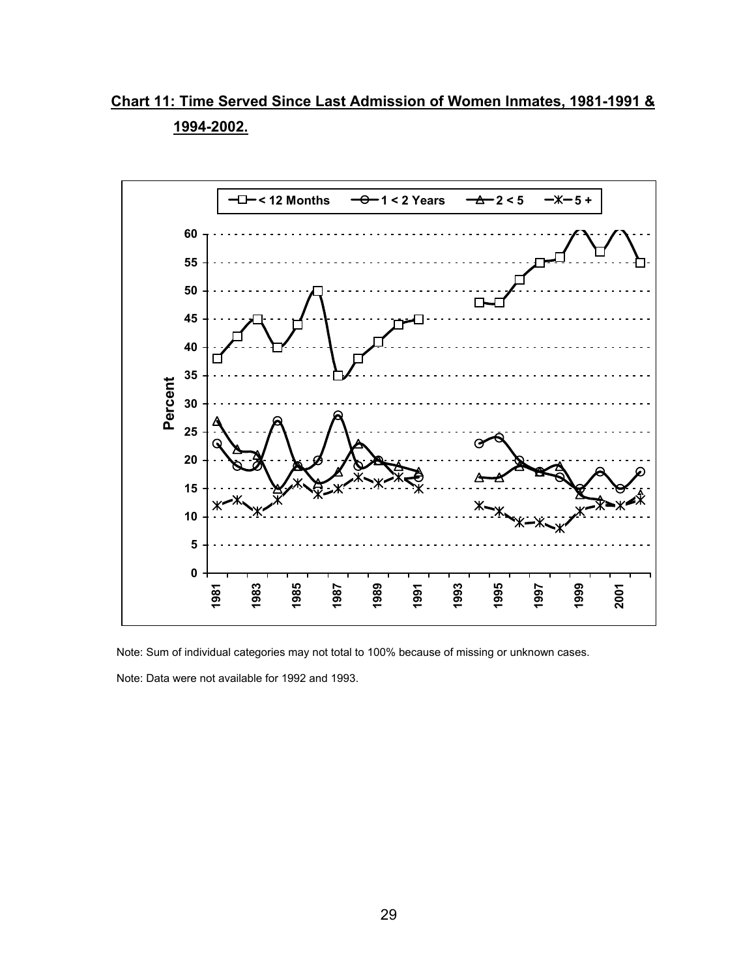<span id="page-36-0"></span>**Chart 11: Time Served Since Last Admission of Women Inmates, 1981-1991 & 1994-2002.**



Note: Sum of individual categories may not total to 100% because of missing or unknown cases.

Note: Data were not available for 1992 and 1993.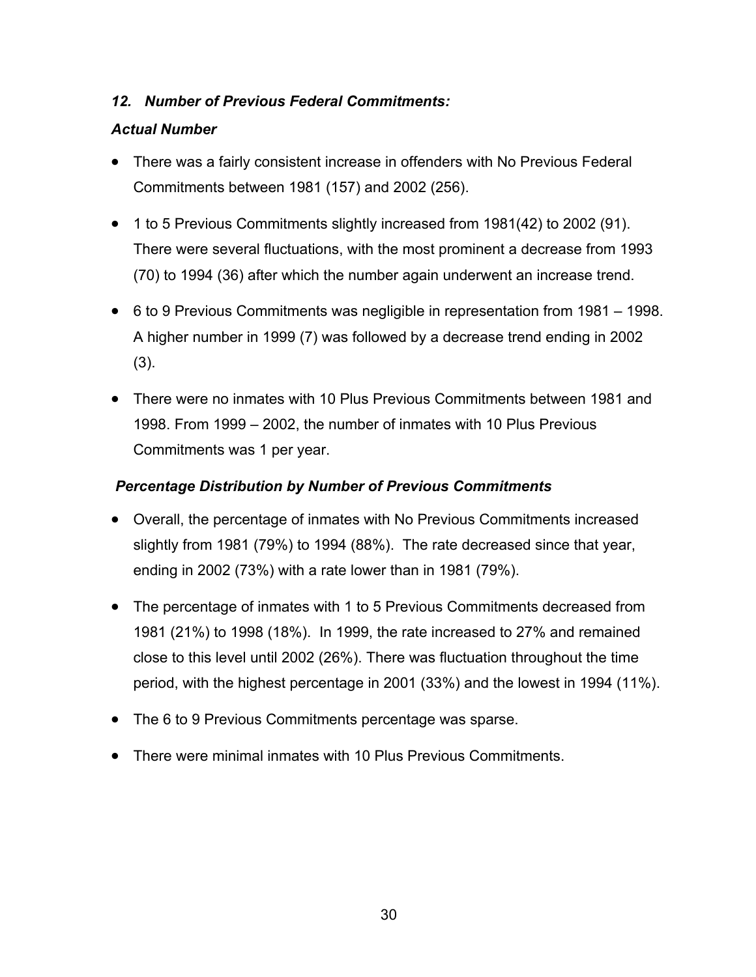## <span id="page-37-0"></span>*12. Number of Previous Federal Commitments:*

#### *Actual Number*

- There was a fairly consistent increase in offenders with No Previous Federal Commitments between 1981 (157) and 2002 (256).
- 1 to 5 Previous Commitments slightly increased from 1981(42) to 2002 (91). There were several fluctuations, with the most prominent a decrease from 1993 (70) to 1994 (36) after which the number again underwent an increase trend.
- 6 to 9 Previous Commitments was negligible in representation from 1981 1998. A higher number in 1999 (7) was followed by a decrease trend ending in 2002 (3).
- There were no inmates with 10 Plus Previous Commitments between 1981 and 1998. From 1999 – 2002, the number of inmates with 10 Plus Previous Commitments was 1 per year.

#### *Percentage Distribution by Number of Previous Commitments*

- Overall, the percentage of inmates with No Previous Commitments increased slightly from 1981 (79%) to 1994 (88%). The rate decreased since that year, ending in 2002 (73%) with a rate lower than in 1981 (79%).
- The percentage of inmates with 1 to 5 Previous Commitments decreased from 1981 (21%) to 1998 (18%). In 1999, the rate increased to 27% and remained close to this level until 2002 (26%). There was fluctuation throughout the time period, with the highest percentage in 2001 (33%) and the lowest in 1994 (11%).
- The 6 to 9 Previous Commitments percentage was sparse.
- There were minimal inmates with 10 Plus Previous Commitments.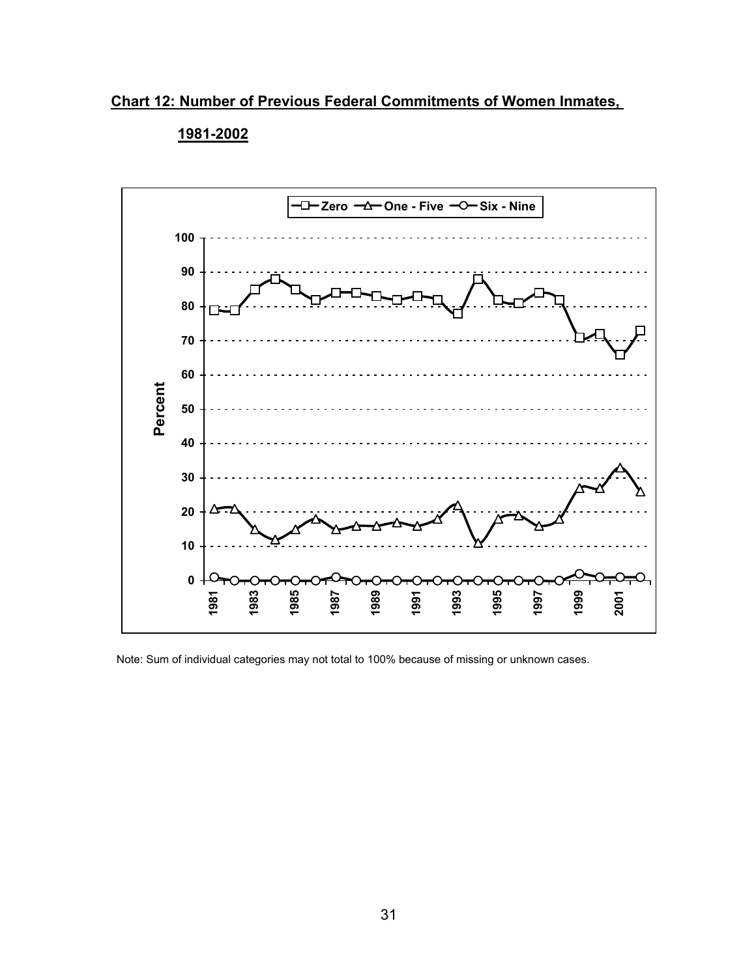<span id="page-38-0"></span>**Chart 12: Number of Previous Federal Commitments of Women Inmates,** 



#### **1981-2002**

Note: Sum of individual categories may not total to 100% because of missing or unknown cases.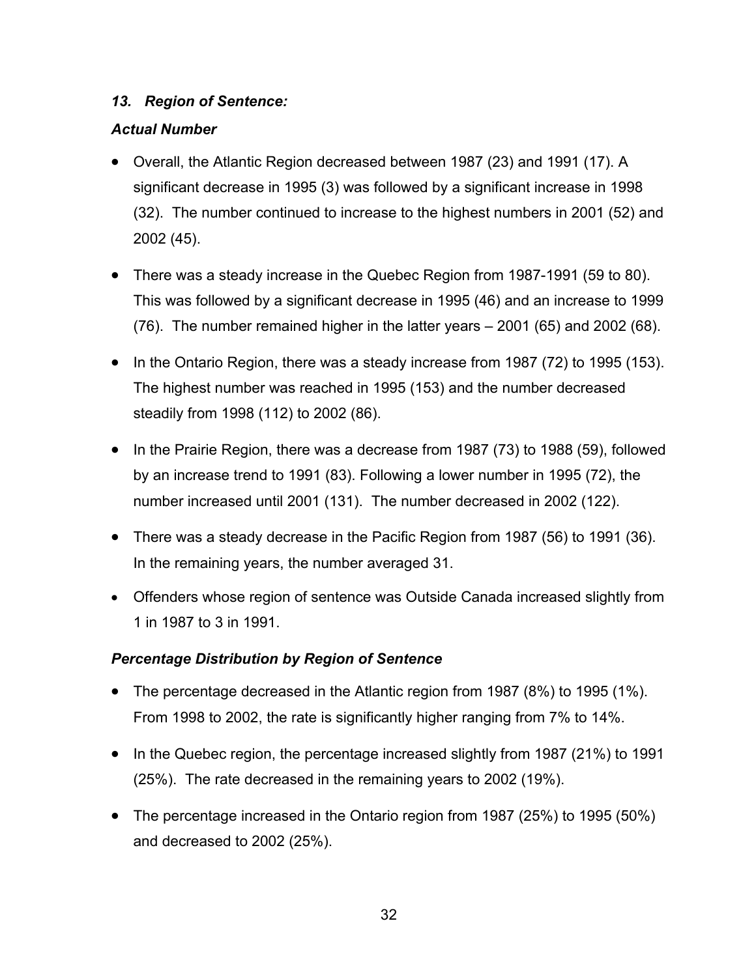#### <span id="page-39-0"></span>*13. Region of Sentence:*

## *Actual Number*

- Overall, the Atlantic Region decreased between 1987 (23) and 1991 (17). A significant decrease in 1995 (3) was followed by a significant increase in 1998 (32). The number continued to increase to the highest numbers in 2001 (52) and 2002 (45).
- There was a steady increase in the Quebec Region from 1987-1991 (59 to 80). This was followed by a significant decrease in 1995 (46) and an increase to 1999 (76). The number remained higher in the latter years – 2001 (65) and 2002 (68).
- In the Ontario Region, there was a steady increase from 1987 (72) to 1995 (153). The highest number was reached in 1995 (153) and the number decreased steadily from 1998 (112) to 2002 (86).
- In the Prairie Region, there was a decrease from 1987 (73) to 1988 (59), followed by an increase trend to 1991 (83). Following a lower number in 1995 (72), the number increased until 2001 (131). The number decreased in 2002 (122).
- There was a steady decrease in the Pacific Region from 1987 (56) to 1991 (36). In the remaining years, the number averaged 31.
- Offenders whose region of sentence was Outside Canada increased slightly from 1 in 1987 to 3 in 1991.

## *Percentage Distribution by Region of Sentence*

- The percentage decreased in the Atlantic region from 1987 (8%) to 1995 (1%). From 1998 to 2002, the rate is significantly higher ranging from 7% to 14%.
- In the Quebec region, the percentage increased slightly from 1987 (21%) to 1991 (25%). The rate decreased in the remaining years to 2002 (19%).
- The percentage increased in the Ontario region from 1987 (25%) to 1995 (50%) and decreased to 2002 (25%).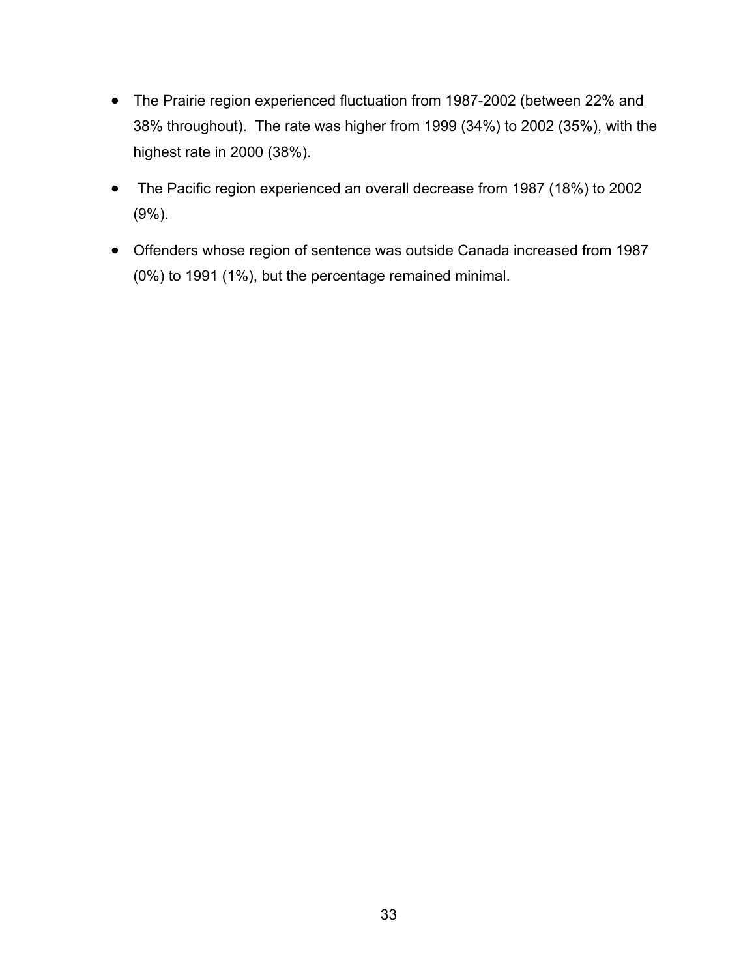- The Prairie region experienced fluctuation from 1987-2002 (between 22% and 38% throughout). The rate was higher from 1999 (34%) to 2002 (35%), with the highest rate in 2000 (38%).
- The Pacific region experienced an overall decrease from 1987 (18%) to 2002 (9%).
- Offenders whose region of sentence was outside Canada increased from 1987 (0%) to 1991 (1%), but the percentage remained minimal.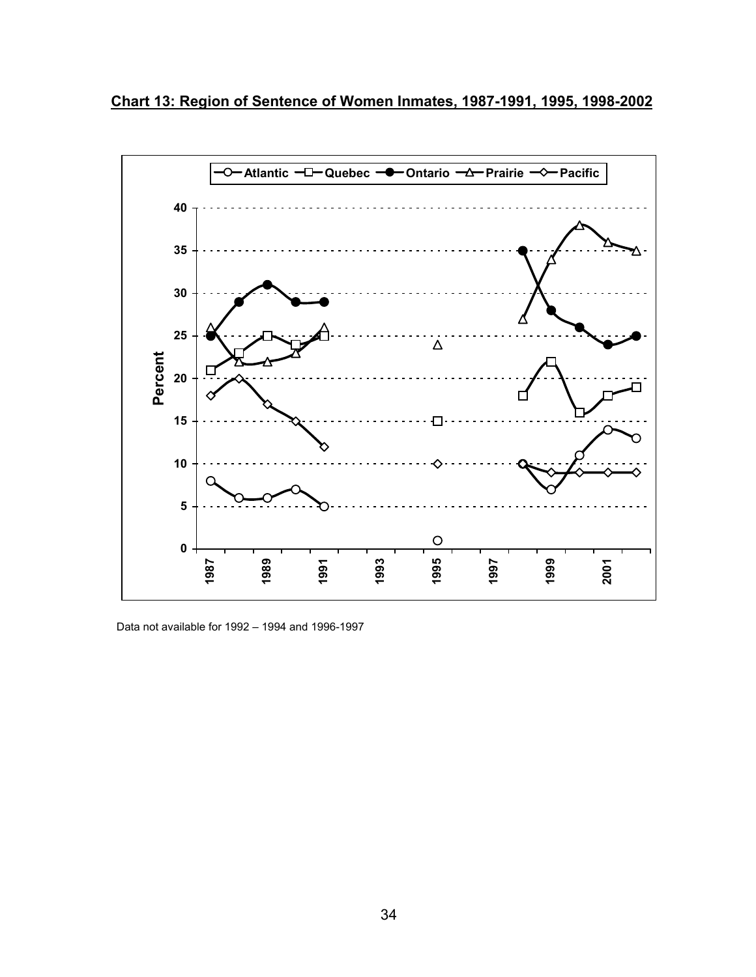<span id="page-41-0"></span>



Data not available for 1992 – 1994 and 1996-1997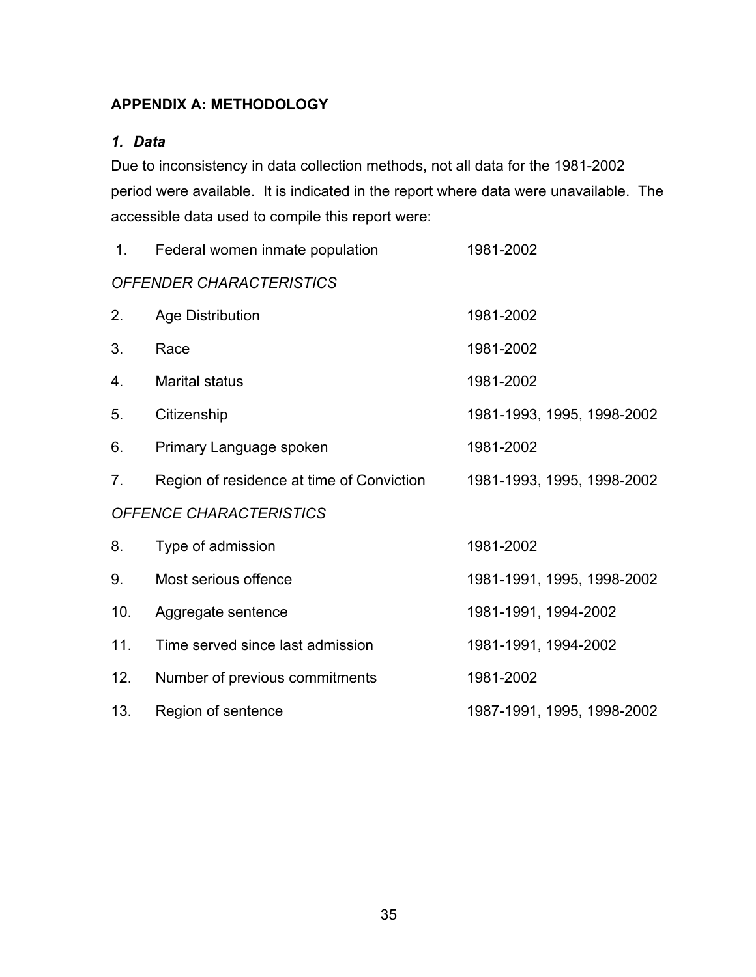## <span id="page-42-0"></span>**APPENDIX A: METHODOLOGY**

## <span id="page-42-1"></span>*1. Data*

Due to inconsistency in data collection methods, not all data for the 1981-2002 period were available. It is indicated in the report where data were unavailable. The accessible data used to compile this report were:

| 1.                      | Federal women inmate population           | 1981-2002                  |  |  |  |
|-------------------------|-------------------------------------------|----------------------------|--|--|--|
|                         | OFFENDER CHARACTERISTICS                  |                            |  |  |  |
| 2.                      | Age Distribution                          | 1981-2002                  |  |  |  |
| 3.                      | Race                                      | 1981-2002                  |  |  |  |
| 4.                      | <b>Marital status</b>                     | 1981-2002                  |  |  |  |
| 5.                      | Citizenship                               | 1981-1993, 1995, 1998-2002 |  |  |  |
| 6.                      | Primary Language spoken                   | 1981-2002                  |  |  |  |
| 7 <sub>1</sub>          | Region of residence at time of Conviction | 1981-1993, 1995, 1998-2002 |  |  |  |
| OFFENCE CHARACTERISTICS |                                           |                            |  |  |  |
| 8.                      | Type of admission                         | 1981-2002                  |  |  |  |
| 9.                      | Most serious offence                      | 1981-1991, 1995, 1998-2002 |  |  |  |
| 10.                     | Aggregate sentence                        | 1981-1991, 1994-2002       |  |  |  |
| 11.                     | Time served since last admission          | 1981-1991, 1994-2002       |  |  |  |
| 12.                     | Number of previous commitments            | 1981-2002                  |  |  |  |
| 13.                     | Region of sentence                        | 1987-1991, 1995, 1998-2002 |  |  |  |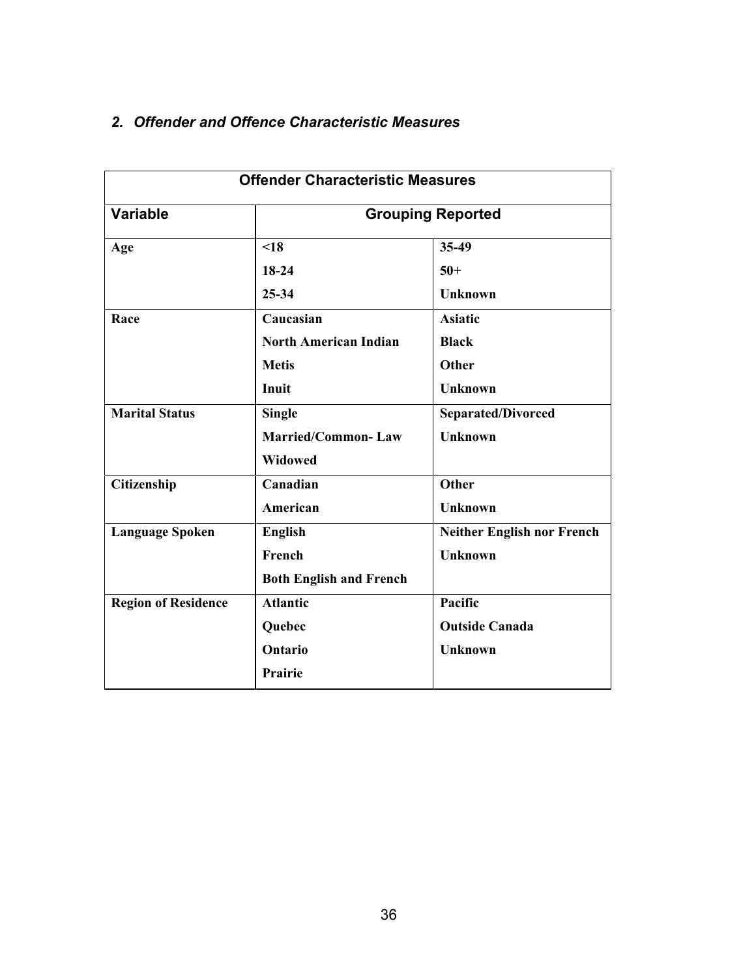|                            | <b>Offender Characteristic Measures</b> |                                   |  |
|----------------------------|-----------------------------------------|-----------------------------------|--|
| <b>Variable</b>            | <b>Grouping Reported</b>                |                                   |  |
| Age                        | $\leq 18$                               | 35-49                             |  |
|                            | $18-24$                                 | $50+$                             |  |
|                            | $25 - 34$                               | <b>Unknown</b>                    |  |
| Race                       | Caucasian                               | <b>Asiatic</b>                    |  |
|                            | <b>North American Indian</b>            | <b>Black</b>                      |  |
|                            | <b>Metis</b>                            | Other                             |  |
|                            | Inuit                                   | <b>Unknown</b>                    |  |
| <b>Marital Status</b>      | <b>Single</b>                           | <b>Separated/Divorced</b>         |  |
|                            | <b>Married/Common-Law</b>               | <b>Unknown</b>                    |  |
|                            | <b>Widowed</b>                          |                                   |  |
| Citizenship                | Canadian                                | <b>Other</b>                      |  |
|                            | American                                | <b>Unknown</b>                    |  |
| <b>Language Spoken</b>     | <b>English</b>                          | <b>Neither English nor French</b> |  |
|                            | French                                  | <b>Unknown</b>                    |  |
|                            | <b>Both English and French</b>          |                                   |  |
| <b>Region of Residence</b> | <b>Atlantic</b>                         | Pacific                           |  |
|                            | Quebec                                  | <b>Outside Canada</b>             |  |
|                            | Ontario                                 | <b>Unknown</b>                    |  |
|                            | <b>Prairie</b>                          |                                   |  |
|                            |                                         |                                   |  |

# <span id="page-43-0"></span>*2. Offender and Offence Characteristic Measures*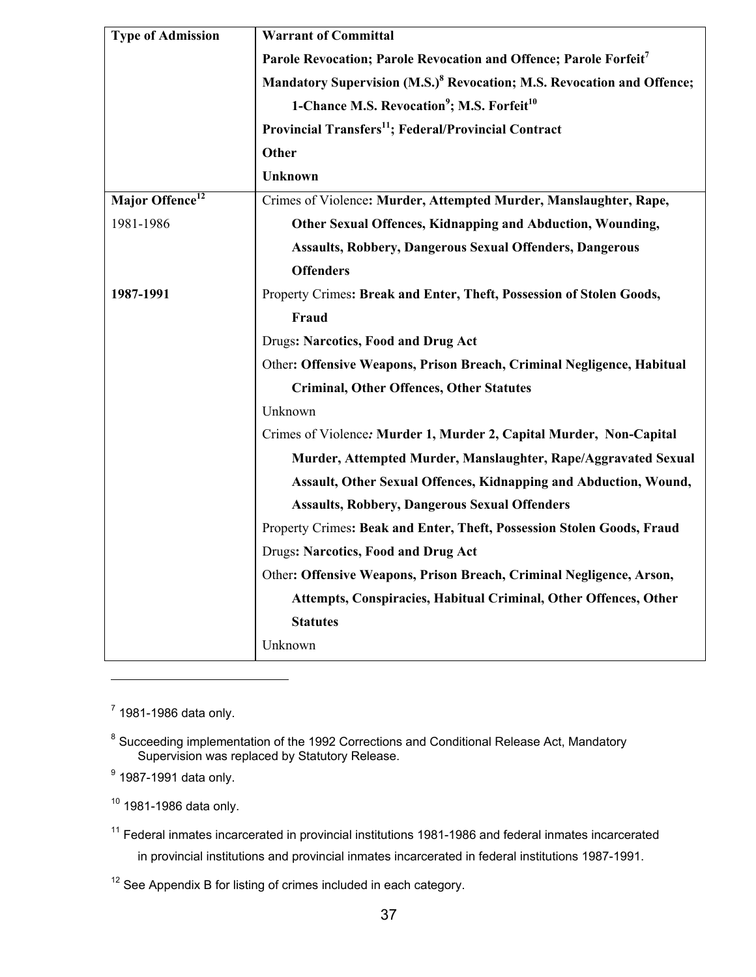| <b>Type of Admission</b>    | <b>Warrant of Committal</b>                                                        |  |  |
|-----------------------------|------------------------------------------------------------------------------------|--|--|
|                             | Parole Revocation; Parole Revocation and Offence; Parole Forfeit7                  |  |  |
|                             | Mandatory Supervision (M.S.) <sup>8</sup> Revocation; M.S. Revocation and Offence; |  |  |
|                             | 1-Chance M.S. Revocation <sup>9</sup> ; M.S. Forfeit <sup>10</sup>                 |  |  |
|                             | Provincial Transfers <sup>11</sup> ; Federal/Provincial Contract                   |  |  |
|                             | Other                                                                              |  |  |
|                             | Unknown                                                                            |  |  |
| Major Offence <sup>12</sup> | Crimes of Violence: Murder, Attempted Murder, Manslaughter, Rape,                  |  |  |
| 1981-1986                   | Other Sexual Offences, Kidnapping and Abduction, Wounding,                         |  |  |
|                             | <b>Assaults, Robbery, Dangerous Sexual Offenders, Dangerous</b>                    |  |  |
|                             | <b>Offenders</b>                                                                   |  |  |
| 1987-1991                   | Property Crimes: Break and Enter, Theft, Possession of Stolen Goods,               |  |  |
|                             | Fraud                                                                              |  |  |
|                             | <b>Drugs: Narcotics, Food and Drug Act</b>                                         |  |  |
|                             | Other: Offensive Weapons, Prison Breach, Criminal Negligence, Habitual             |  |  |
|                             | <b>Criminal, Other Offences, Other Statutes</b>                                    |  |  |
|                             | Unknown                                                                            |  |  |
|                             | Crimes of Violence: Murder 1, Murder 2, Capital Murder, Non-Capital                |  |  |
|                             | Murder, Attempted Murder, Manslaughter, Rape/Aggravated Sexual                     |  |  |
|                             | Assault, Other Sexual Offences, Kidnapping and Abduction, Wound,                   |  |  |
|                             | <b>Assaults, Robbery, Dangerous Sexual Offenders</b>                               |  |  |
|                             | Property Crimes: Beak and Enter, Theft, Possession Stolen Goods, Fraud             |  |  |
|                             | <b>Drugs: Narcotics, Food and Drug Act</b>                                         |  |  |
|                             | Other: Offensive Weapons, Prison Breach, Criminal Negligence, Arson,               |  |  |
|                             | Attempts, Conspiracies, Habitual Criminal, Other Offences, Other                   |  |  |
|                             | <b>Statutes</b>                                                                    |  |  |
|                             | Unknown                                                                            |  |  |
|                             |                                                                                    |  |  |

<span id="page-44-0"></span> $7$  1981-1986 data only.

 $\overline{a}$ 

<span id="page-44-2"></span><sup>9</sup> 1987-1991 data only.

<span id="page-44-3"></span> $10$  1981-1986 data only.

<span id="page-44-5"></span> $12$  See Appendix B for listing of crimes included in each category.

<span id="page-44-1"></span> $8$  Succeeding implementation of the 1992 Corrections and Conditional Release Act, Mandatory Supervision was replaced by Statutory Release.

<span id="page-44-4"></span><sup>11</sup> Federal inmates incarcerated in provincial institutions 1981-1986 and federal inmates incarcerated in provincial institutions and provincial inmates incarcerated in federal institutions 1987-1991.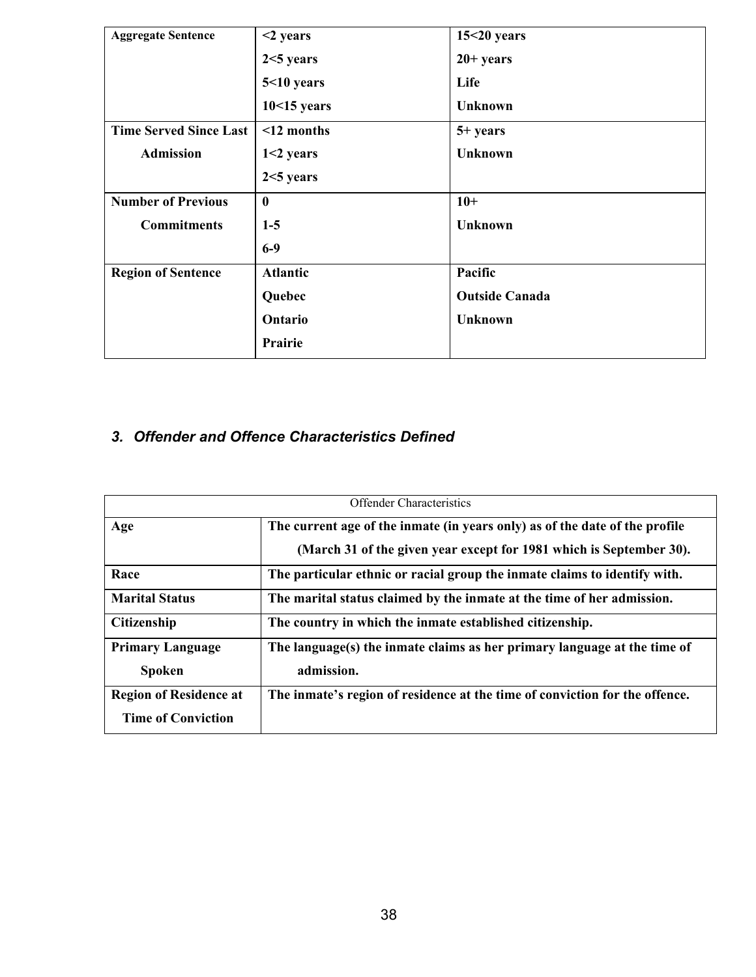| <b>Aggregate Sentence</b>     | $<$ 2 years      | $15<20$ years         |
|-------------------------------|------------------|-----------------------|
|                               |                  |                       |
|                               | $2<5$ years      | $20+ years$           |
|                               | $5<10$ years     | Life                  |
|                               | $10<15$ years    | <b>Unknown</b>        |
| <b>Time Served Since Last</b> | $\leq$ 12 months | $5+ years$            |
| <b>Admission</b>              | $1<2$ years      | <b>Unknown</b>        |
|                               | $2<5$ years      |                       |
| <b>Number of Previous</b>     | $\bf{0}$         | $10+$                 |
| <b>Commitments</b>            | $1-5$            | <b>Unknown</b>        |
|                               | $6-9$            |                       |
| <b>Region of Sentence</b>     | <b>Atlantic</b>  | Pacific               |
|                               | Quebec           | <b>Outside Canada</b> |
|                               | Ontario          | <b>Unknown</b>        |
|                               | Prairie          |                       |

# <span id="page-45-0"></span>*3. Offender and Offence Characteristics Defined*

| <b>Offender Characteristics</b>                                                                                                    |                                                                                                                                                    |  |  |  |
|------------------------------------------------------------------------------------------------------------------------------------|----------------------------------------------------------------------------------------------------------------------------------------------------|--|--|--|
| Age                                                                                                                                | The current age of the inmate (in years only) as of the date of the profile<br>(March 31 of the given year except for 1981 which is September 30). |  |  |  |
| Race                                                                                                                               | The particular ethnic or racial group the inmate claims to identify with.                                                                          |  |  |  |
| <b>Marital Status</b>                                                                                                              | The marital status claimed by the inmate at the time of her admission.                                                                             |  |  |  |
| <b>Citizenship</b>                                                                                                                 | The country in which the inmate established citizenship.                                                                                           |  |  |  |
| The language(s) the inmate claims as her primary language at the time of<br><b>Primary Language</b><br>admission.<br><b>Spoken</b> |                                                                                                                                                    |  |  |  |
| <b>Region of Residence at</b><br><b>Time of Conviction</b>                                                                         | The inmate's region of residence at the time of conviction for the offence.                                                                        |  |  |  |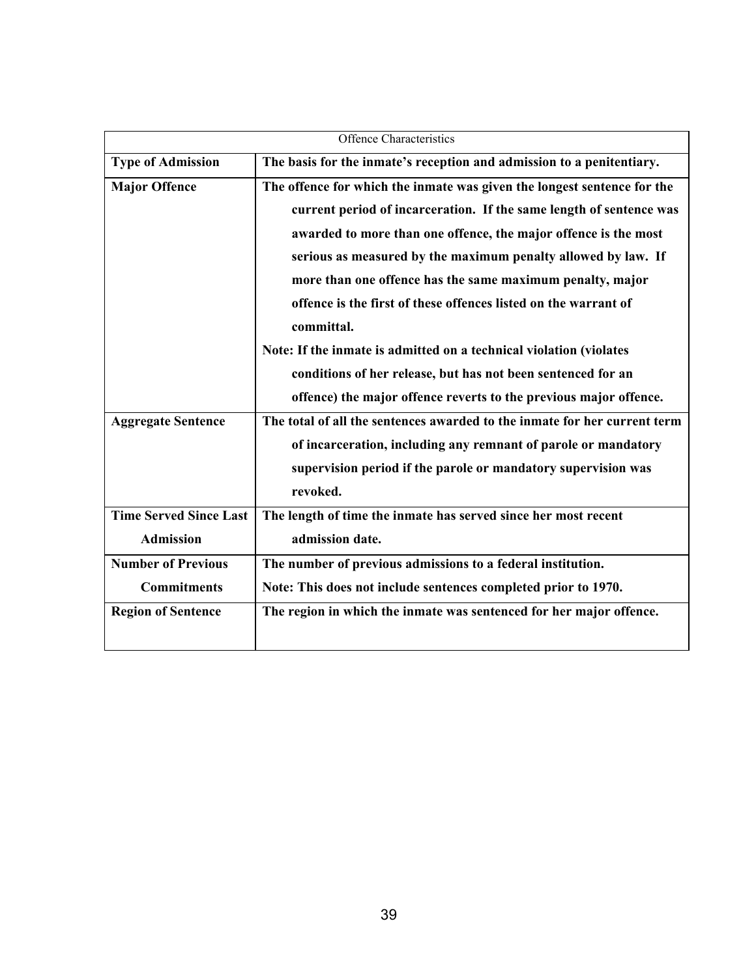| Offence Characteristics       |                                                                           |  |  |  |
|-------------------------------|---------------------------------------------------------------------------|--|--|--|
| <b>Type of Admission</b>      | The basis for the inmate's reception and admission to a penitentiary.     |  |  |  |
| <b>Major Offence</b>          | The offence for which the inmate was given the longest sentence for the   |  |  |  |
|                               | current period of incarceration. If the same length of sentence was       |  |  |  |
|                               | awarded to more than one offence, the major offence is the most           |  |  |  |
|                               | serious as measured by the maximum penalty allowed by law. If             |  |  |  |
|                               | more than one offence has the same maximum penalty, major                 |  |  |  |
|                               | offence is the first of these offences listed on the warrant of           |  |  |  |
|                               | committal.                                                                |  |  |  |
|                               | Note: If the inmate is admitted on a technical violation (violates        |  |  |  |
|                               | conditions of her release, but has not been sentenced for an              |  |  |  |
|                               | offence) the major offence reverts to the previous major offence.         |  |  |  |
| <b>Aggregate Sentence</b>     | The total of all the sentences awarded to the inmate for her current term |  |  |  |
|                               | of incarceration, including any remnant of parole or mandatory            |  |  |  |
|                               | supervision period if the parole or mandatory supervision was             |  |  |  |
|                               | revoked.                                                                  |  |  |  |
| <b>Time Served Since Last</b> | The length of time the inmate has served since her most recent            |  |  |  |
| <b>Admission</b>              | admission date.                                                           |  |  |  |
| <b>Number of Previous</b>     | The number of previous admissions to a federal institution.               |  |  |  |
| <b>Commitments</b>            | Note: This does not include sentences completed prior to 1970.            |  |  |  |
| <b>Region of Sentence</b>     | The region in which the inmate was sentenced for her major offence.       |  |  |  |
|                               |                                                                           |  |  |  |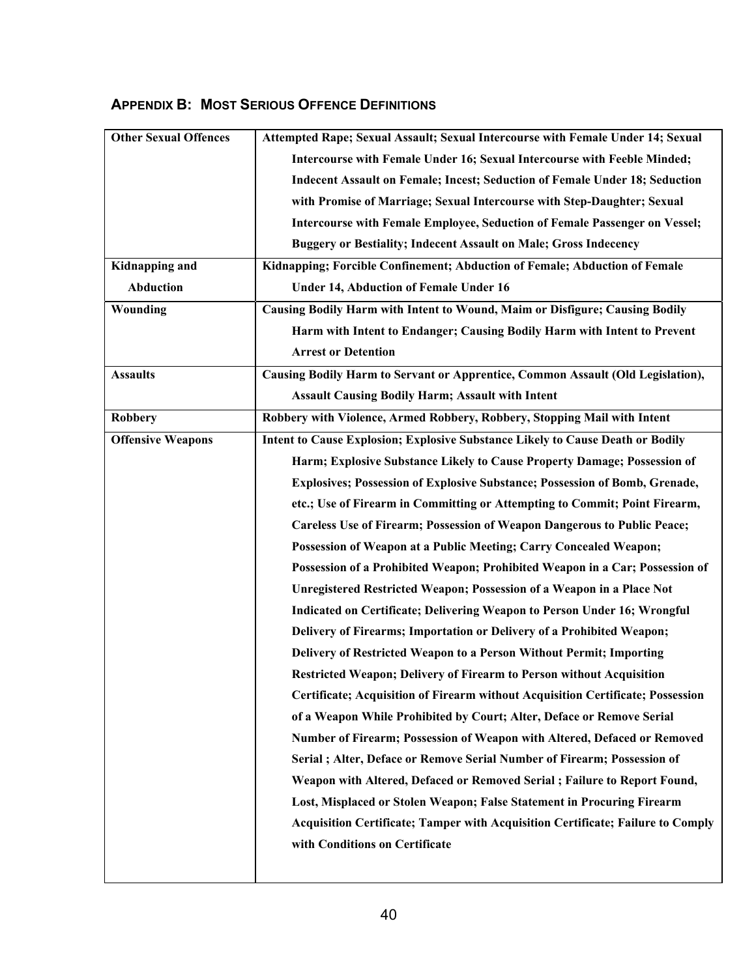## <span id="page-47-0"></span>**APPENDIX B: MOST SERIOUS OFFENCE DEFINITIONS**

| <b>Other Sexual Offences</b> | Attempted Rape; Sexual Assault; Sexual Intercourse with Female Under 14; Sexual        |  |  |
|------------------------------|----------------------------------------------------------------------------------------|--|--|
|                              | Intercourse with Female Under 16; Sexual Intercourse with Feeble Minded;               |  |  |
|                              | <b>Indecent Assault on Female; Incest; Seduction of Female Under 18; Seduction</b>     |  |  |
|                              | with Promise of Marriage; Sexual Intercourse with Step-Daughter; Sexual                |  |  |
|                              | Intercourse with Female Employee, Seduction of Female Passenger on Vessel;             |  |  |
|                              | <b>Buggery or Bestiality; Indecent Assault on Male; Gross Indecency</b>                |  |  |
| <b>Kidnapping and</b>        | Kidnapping; Forcible Confinement; Abduction of Female; Abduction of Female             |  |  |
| Abduction                    | <b>Under 14, Abduction of Female Under 16</b>                                          |  |  |
| Wounding                     | Causing Bodily Harm with Intent to Wound, Maim or Disfigure; Causing Bodily            |  |  |
|                              | Harm with Intent to Endanger; Causing Bodily Harm with Intent to Prevent               |  |  |
|                              | <b>Arrest or Detention</b>                                                             |  |  |
| <b>Assaults</b>              | Causing Bodily Harm to Servant or Apprentice, Common Assault (Old Legislation),        |  |  |
|                              | <b>Assault Causing Bodily Harm; Assault with Intent</b>                                |  |  |
| <b>Robbery</b>               | Robbery with Violence, Armed Robbery, Robbery, Stopping Mail with Intent               |  |  |
| <b>Offensive Weapons</b>     | Intent to Cause Explosion; Explosive Substance Likely to Cause Death or Bodily         |  |  |
|                              | Harm; Explosive Substance Likely to Cause Property Damage; Possession of               |  |  |
|                              | Explosives; Possession of Explosive Substance; Possession of Bomb, Grenade,            |  |  |
|                              | etc.; Use of Firearm in Committing or Attempting to Commit; Point Firearm,             |  |  |
|                              | <b>Careless Use of Firearm; Possession of Weapon Dangerous to Public Peace;</b>        |  |  |
|                              | Possession of Weapon at a Public Meeting; Carry Concealed Weapon;                      |  |  |
|                              | Possession of a Prohibited Weapon; Prohibited Weapon in a Car; Possession of           |  |  |
|                              | <b>Unregistered Restricted Weapon; Possession of a Weapon in a Place Not</b>           |  |  |
|                              | Indicated on Certificate; Delivering Weapon to Person Under 16; Wrongful               |  |  |
|                              | Delivery of Firearms; Importation or Delivery of a Prohibited Weapon;                  |  |  |
|                              | Delivery of Restricted Weapon to a Person Without Permit; Importing                    |  |  |
|                              | <b>Restricted Weapon; Delivery of Firearm to Person without Acquisition</b>            |  |  |
|                              | Certificate; Acquisition of Firearm without Acquisition Certificate; Possession        |  |  |
|                              | of a Weapon While Prohibited by Court; Alter, Deface or Remove Serial                  |  |  |
|                              | Number of Firearm; Possession of Weapon with Altered, Defaced or Removed               |  |  |
|                              | Serial ; Alter, Deface or Remove Serial Number of Firearm; Possession of               |  |  |
|                              | Weapon with Altered, Defaced or Removed Serial; Failure to Report Found,               |  |  |
|                              | Lost, Misplaced or Stolen Weapon; False Statement in Procuring Firearm                 |  |  |
|                              | <b>Acquisition Certificate; Tamper with Acquisition Certificate; Failure to Comply</b> |  |  |
|                              | with Conditions on Certificate                                                         |  |  |
|                              |                                                                                        |  |  |
|                              |                                                                                        |  |  |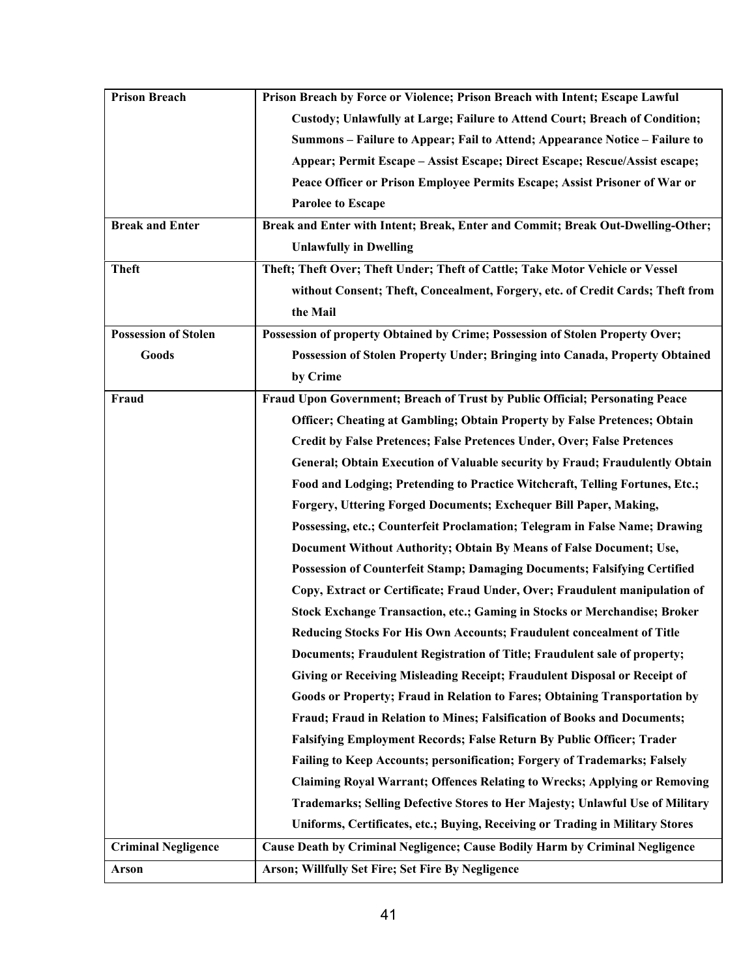| <b>Prison Breach</b>        | Prison Breach by Force or Violence; Prison Breach with Intent; Escape Lawful        |  |  |
|-----------------------------|-------------------------------------------------------------------------------------|--|--|
|                             | Custody; Unlawfully at Large; Failure to Attend Court; Breach of Condition;         |  |  |
|                             | Summons – Failure to Appear; Fail to Attend; Appearance Notice – Failure to         |  |  |
|                             | Appear; Permit Escape - Assist Escape; Direct Escape; Rescue/Assist escape;         |  |  |
|                             | Peace Officer or Prison Employee Permits Escape; Assist Prisoner of War or          |  |  |
|                             | <b>Parolee to Escape</b>                                                            |  |  |
| <b>Break and Enter</b>      | Break and Enter with Intent; Break, Enter and Commit; Break Out-Dwelling-Other;     |  |  |
|                             | <b>Unlawfully in Dwelling</b>                                                       |  |  |
| <b>Theft</b>                | Theft; Theft Over; Theft Under; Theft of Cattle; Take Motor Vehicle or Vessel       |  |  |
|                             | without Consent; Theft, Concealment, Forgery, etc. of Credit Cards; Theft from      |  |  |
|                             | the Mail                                                                            |  |  |
| <b>Possession of Stolen</b> | Possession of property Obtained by Crime; Possession of Stolen Property Over;       |  |  |
| Goods                       | Possession of Stolen Property Under; Bringing into Canada, Property Obtained        |  |  |
|                             | by Crime                                                                            |  |  |
| Fraud                       | Fraud Upon Government; Breach of Trust by Public Official; Personating Peace        |  |  |
|                             | Officer; Cheating at Gambling; Obtain Property by False Pretences; Obtain           |  |  |
|                             | Credit by False Pretences; False Pretences Under, Over; False Pretences             |  |  |
|                             | <b>General; Obtain Execution of Valuable security by Fraud; Fraudulently Obtain</b> |  |  |
|                             | Food and Lodging; Pretending to Practice Witchcraft, Telling Fortunes, Etc.;        |  |  |
|                             | Forgery, Uttering Forged Documents; Exchequer Bill Paper, Making,                   |  |  |
|                             | Possessing, etc.; Counterfeit Proclamation; Telegram in False Name; Drawing         |  |  |
|                             | Document Without Authority; Obtain By Means of False Document; Use,                 |  |  |
|                             | Possession of Counterfeit Stamp; Damaging Documents; Falsifying Certified           |  |  |
|                             | Copy, Extract or Certificate; Fraud Under, Over; Fraudulent manipulation of         |  |  |
|                             | Stock Exchange Transaction, etc.; Gaming in Stocks or Merchandise; Broker           |  |  |
|                             | Reducing Stocks For His Own Accounts; Fraudulent concealment of Title               |  |  |
|                             | Documents; Fraudulent Registration of Title; Fraudulent sale of property;           |  |  |
|                             | Giving or Receiving Misleading Receipt; Fraudulent Disposal or Receipt of           |  |  |
|                             | Goods or Property; Fraud in Relation to Fares; Obtaining Transportation by          |  |  |
|                             | Fraud; Fraud in Relation to Mines; Falsification of Books and Documents;            |  |  |
|                             | Falsifying Employment Records; False Return By Public Officer; Trader               |  |  |
|                             | Failing to Keep Accounts; personification; Forgery of Trademarks; Falsely           |  |  |
|                             | <b>Claiming Royal Warrant; Offences Relating to Wrecks; Applying or Removing</b>    |  |  |
|                             | Trademarks; Selling Defective Stores to Her Majesty; Unlawful Use of Military       |  |  |
|                             | Uniforms, Certificates, etc.; Buying, Receiving or Trading in Military Stores       |  |  |
| <b>Criminal Negligence</b>  | Cause Death by Criminal Negligence; Cause Bodily Harm by Criminal Negligence        |  |  |
| Arson                       | Arson; Willfully Set Fire; Set Fire By Negligence                                   |  |  |
|                             |                                                                                     |  |  |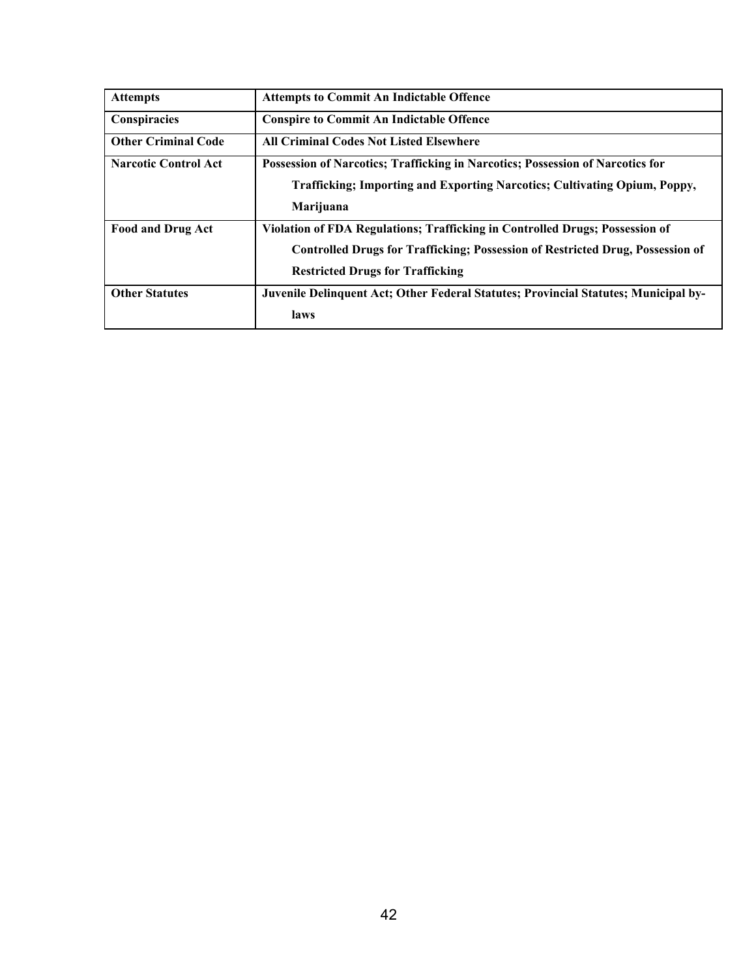| <b>Attempts</b>             | <b>Attempts to Commit An Indictable Offence</b>                                       |  |  |
|-----------------------------|---------------------------------------------------------------------------------------|--|--|
| Conspiracies                | <b>Conspire to Commit An Indictable Offence</b>                                       |  |  |
| <b>Other Criminal Code</b>  | <b>All Criminal Codes Not Listed Elsewhere</b>                                        |  |  |
| <b>Narcotic Control Act</b> | <b>Possession of Narcotics; Trafficking in Narcotics; Possession of Narcotics for</b> |  |  |
|                             | Trafficking; Importing and Exporting Narcotics; Cultivating Opium, Poppy,             |  |  |
|                             | Marijuana                                                                             |  |  |
| <b>Food and Drug Act</b>    | Violation of FDA Regulations; Trafficking in Controlled Drugs; Possession of          |  |  |
|                             | <b>Controlled Drugs for Trafficking; Possession of Restricted Drug, Possession of</b> |  |  |
|                             | <b>Restricted Drugs for Trafficking</b>                                               |  |  |
| <b>Other Statutes</b>       | Juvenile Delinquent Act; Other Federal Statutes; Provincial Statutes; Municipal by-   |  |  |
|                             | laws                                                                                  |  |  |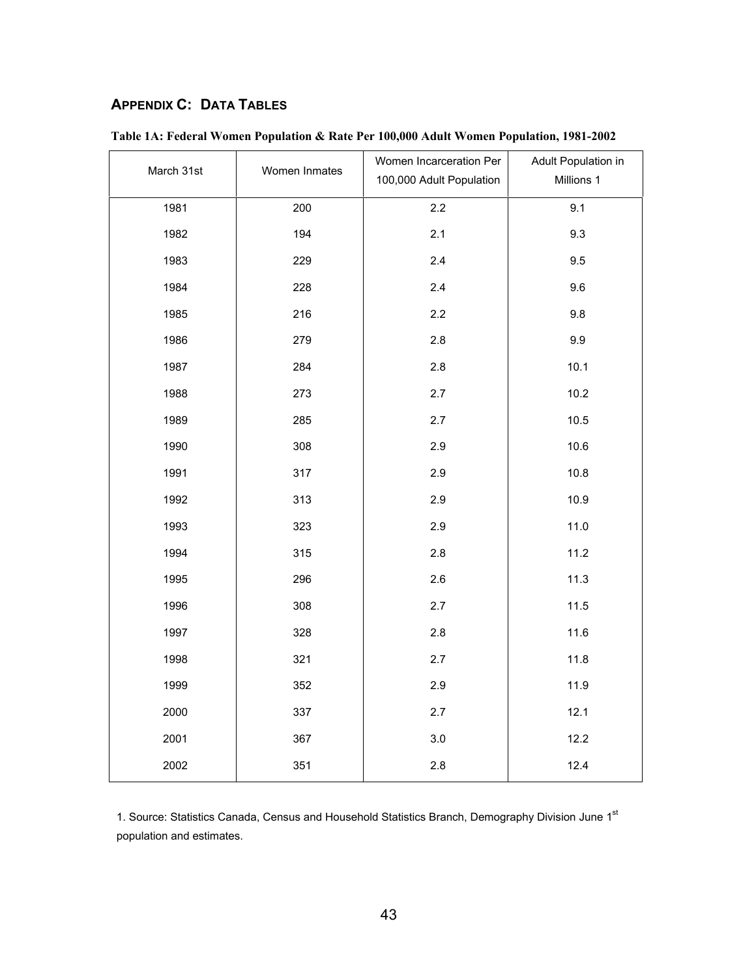# <span id="page-50-0"></span>**APPENDIX C: DATA TABLES**

| March 31st | Women Inmates | Women Incarceration Per<br>100,000 Adult Population | Adult Population in<br>Millions 1 |
|------------|---------------|-----------------------------------------------------|-----------------------------------|
| 1981       | 200           | 2.2                                                 | 9.1                               |
| 1982       | 194           | 2.1                                                 | 9.3                               |
| 1983       | 229           | 2.4                                                 | 9.5                               |
| 1984       | 228           | 2.4                                                 | 9.6                               |
| 1985       | 216           | 2.2                                                 | 9.8                               |
| 1986       | 279           | 2.8                                                 | 9.9                               |
| 1987       | 284           | 2.8                                                 | 10.1                              |
| 1988       | 273           | 2.7                                                 | 10.2                              |
| 1989       | 285           | 2.7                                                 | 10.5                              |
| 1990       | 308           | 2.9                                                 | 10.6                              |
| 1991       | 317           | 2.9                                                 | 10.8                              |
| 1992       | 313           | 2.9                                                 | 10.9                              |
| 1993       | 323           | 2.9                                                 | 11.0                              |
| 1994       | 315           | 2.8                                                 | 11.2                              |
| 1995       | 296           | 2.6                                                 | 11.3                              |
| 1996       | 308           | 2.7                                                 | 11.5                              |
| 1997       | 328           | 2.8                                                 | 11.6                              |
| 1998       | 321           | 2.7                                                 | 11.8                              |
| 1999       | 352           | 2.9                                                 | 11.9                              |
| 2000       | 337           | 2.7                                                 | 12.1                              |
| 2001       | 367           | $3.0\,$                                             | 12.2                              |
| 2002       | 351           | 2.8                                                 | 12.4                              |

1. Source: Statistics Canada, Census and Household Statistics Branch, Demography Division June 1st population and estimates.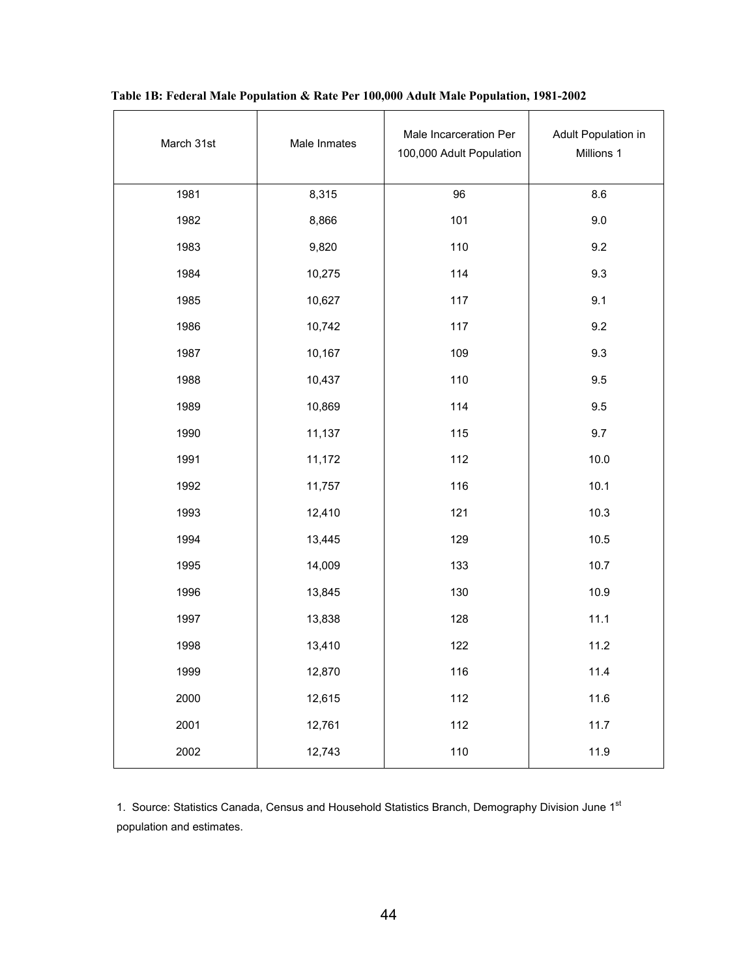| March 31st | Male Inmates | Male Incarceration Per<br>100,000 Adult Population | Adult Population in<br>Millions 1 |
|------------|--------------|----------------------------------------------------|-----------------------------------|
| 1981       | 8,315        | 96                                                 | 8.6                               |
| 1982       | 8,866        | 101                                                | 9.0                               |
| 1983       | 9,820        | 110                                                | 9.2                               |
| 1984       | 10,275       | 114                                                | 9.3                               |
| 1985       | 10,627       | 117                                                | 9.1                               |
| 1986       | 10,742       | 117                                                | 9.2                               |
| 1987       | 10,167       | 109                                                | 9.3                               |
| 1988       | 10,437       | 110                                                | 9.5                               |
| 1989       | 10,869       | 114                                                | 9.5                               |
| 1990       | 11,137       | 115                                                | 9.7                               |
| 1991       | 11,172       | 112                                                | 10.0                              |
| 1992       | 11,757       | 116                                                | 10.1                              |
| 1993       | 12,410       | 121                                                | 10.3                              |
| 1994       | 13,445       | 129                                                | 10.5                              |
| 1995       | 14,009       | 133                                                | 10.7                              |
| 1996       | 13,845       | 130                                                | 10.9                              |
| 1997       | 13,838       | 128                                                | 11.1                              |
| 1998       | 13,410       | 122                                                | 11.2                              |
| 1999       | 12,870       | 116                                                | 11.4                              |
| 2000       | 12,615       | 112                                                | 11.6                              |
| 2001       | 12,761       | 112                                                | 11.7                              |
| 2002       | 12,743       | 110                                                | 11.9                              |

| Table 1B: Federal Male Population & Rate Per 100,000 Adult Male Population, 1981-2002 |  |  |  |  |  |  |  |  |  |  |  |  |  |  |
|---------------------------------------------------------------------------------------|--|--|--|--|--|--|--|--|--|--|--|--|--|--|
|---------------------------------------------------------------------------------------|--|--|--|--|--|--|--|--|--|--|--|--|--|--|

1. Source: Statistics Canada, Census and Household Statistics Branch, Demography Division June 1st population and estimates.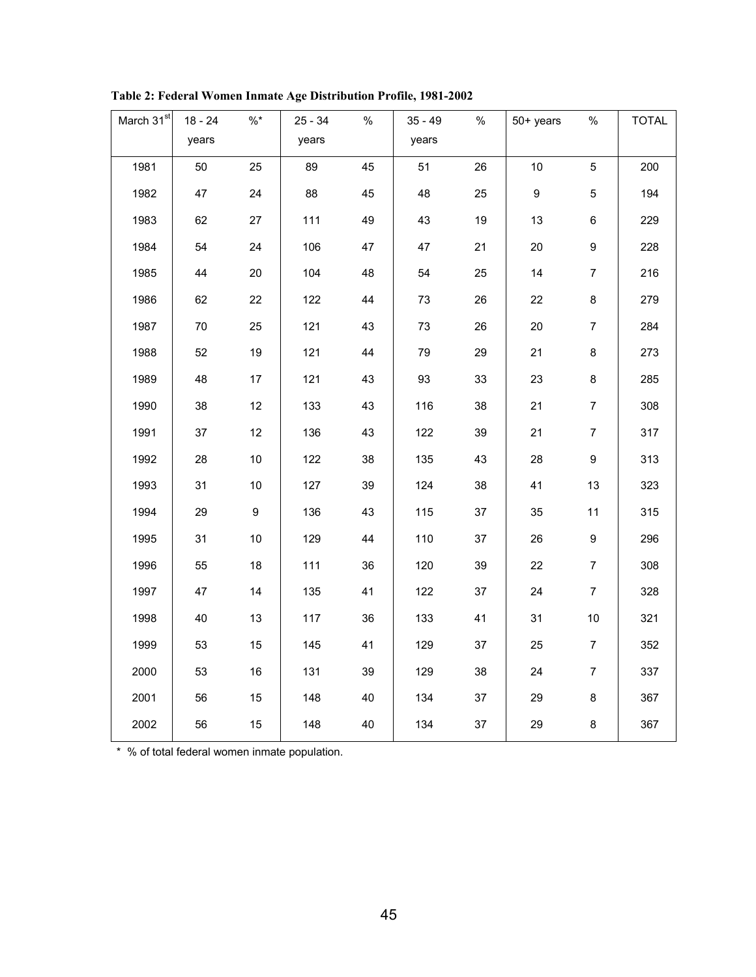| March 31 <sup>st</sup> | $18 - 24$ | $\% *$ | $25 - 34$ | $\%$ | $35 - 49$ | $\%$ | 50+ years        | $\%$             | <b>TOTAL</b> |
|------------------------|-----------|--------|-----------|------|-----------|------|------------------|------------------|--------------|
|                        | years     |        | years     |      | years     |      |                  |                  |              |
| 1981                   | 50        | 25     | 89        | 45   | 51        | 26   | $10$             | 5                | 200          |
| 1982                   | 47        | 24     | 88        | 45   | 48        | 25   | $\boldsymbol{9}$ | 5                | 194          |
| 1983                   | 62        | 27     | 111       | 49   | 43        | 19   | 13               | 6                | 229          |
| 1984                   | 54        | 24     | 106       | 47   | 47        | 21   | 20               | 9                | 228          |
| 1985                   | 44        | 20     | 104       | 48   | 54        | 25   | 14               | $\overline{7}$   | 216          |
| 1986                   | 62        | 22     | 122       | 44   | 73        | 26   | 22               | 8                | 279          |
| 1987                   | 70        | 25     | 121       | 43   | 73        | 26   | 20               | $\overline{7}$   | 284          |
| 1988                   | 52        | 19     | 121       | 44   | 79        | 29   | 21               | 8                | 273          |
| 1989                   | 48        | 17     | 121       | 43   | 93        | 33   | 23               | 8                | 285          |
| 1990                   | 38        | 12     | 133       | 43   | 116       | 38   | 21               | $\overline{7}$   | 308          |
| 1991                   | 37        | 12     | 136       | 43   | 122       | 39   | 21               | $\overline{7}$   | 317          |
| 1992                   | 28        | 10     | 122       | 38   | 135       | 43   | 28               | 9                | 313          |
| 1993                   | 31        | $10$   | 127       | 39   | 124       | 38   | 41               | 13               | 323          |
| 1994                   | 29        | $9\,$  | 136       | 43   | 115       | 37   | 35               | 11               | 315          |
| 1995                   | 31        | $10$   | 129       | 44   | 110       | 37   | 26               | 9                | 296          |
| 1996                   | 55        | 18     | 111       | 36   | 120       | 39   | 22               | $\boldsymbol{7}$ | 308          |
| 1997                   | 47        | 14     | 135       | 41   | 122       | 37   | 24               | $\overline{7}$   | 328          |
| 1998                   | 40        | 13     | 117       | 36   | 133       | 41   | 31               | $10\,$           | 321          |
| 1999                   | 53        | 15     | 145       | 41   | 129       | 37   | 25               | $\overline{7}$   | 352          |
| 2000                   | 53        | 16     | 131       | 39   | 129       | 38   | 24               | $\boldsymbol{7}$ | 337          |
| 2001                   | 56        | 15     | 148       | 40   | 134       | 37   | 29               | 8                | 367          |
| 2002                   | 56        | 15     | 148       | 40   | 134       | 37   | 29               | 8                | 367          |

**Table 2: Federal Women Inmate Age Distribution Profile, 1981-2002**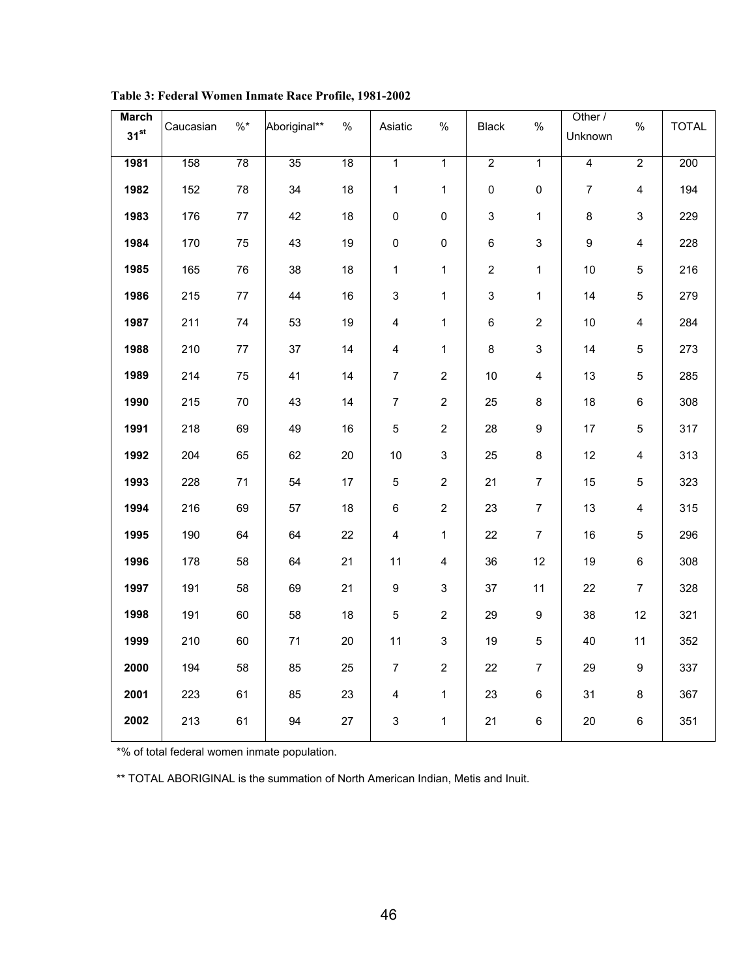| March<br>31 <sup>st</sup> | Caucasian | $\% *$ | Aboriginal** | $\%$ | Asiatic                 | $\%$                    | <b>Black</b>        | $\%$           | Other /<br>Unknown | $\%$                    | <b>TOTAL</b> |
|---------------------------|-----------|--------|--------------|------|-------------------------|-------------------------|---------------------|----------------|--------------------|-------------------------|--------------|
| 1981                      | 158       | 78     | 35           | 18   | $\overline{1}$          | $\overline{1}$          | $\overline{2}$      | $\overline{1}$ | $\overline{4}$     | $\overline{2}$          | 200          |
| 1982                      | 152       | 78     | 34           | 18   | $\mathbf{1}$            | $\mathbf{1}$            | $\mathsf{O}\xspace$ | $\pmb{0}$      | $\overline{7}$     | $\overline{4}$          | 194          |
| 1983                      | 176       | $77\,$ | 42           | 18   | $\mathsf 0$             | 0                       | $\mathfrak{S}$      | $\mathbf{1}$   | 8                  | $\mathsf 3$             | 229          |
| 1984                      | 170       | 75     | 43           | 19   | $\pmb{0}$               | 0                       | 6                   | 3              | 9                  | $\overline{4}$          | 228          |
| 1985                      | 165       | 76     | 38           | 18   | $\mathbf{1}$            | $\mathbf{1}$            | $\overline{2}$      | $\mathbf{1}$   | 10                 | $\sqrt{5}$              | 216          |
| 1986                      | 215       | 77     | 44           | 16   | $\mathsf 3$             | $\mathbf{1}$            | $\mathfrak{S}$      | 1              | 14                 | $\sqrt{5}$              | 279          |
| 1987                      | 211       | 74     | 53           | 19   | $\overline{\mathbf{4}}$ | $\mathbf{1}$            | $\,6\,$             | $\overline{2}$ | 10                 | 4                       | 284          |
| 1988                      | 210       | $77\,$ | 37           | 14   | $\overline{\mathbf{4}}$ | $\mathbf{1}$            | 8                   | $\mathfrak{S}$ | 14                 | $\sqrt{5}$              | 273          |
| 1989                      | 214       | 75     | 41           | 14   | $\overline{7}$          | $\overline{2}$          | 10 <sub>1</sub>     | $\overline{4}$ | 13                 | $\overline{5}$          | 285          |
| 1990                      | 215       | $70\,$ | 43           | 14   | $\overline{7}$          | $\overline{2}$          | 25                  | 8              | 18                 | $\,6\,$                 | 308          |
| 1991                      | 218       | 69     | 49           | 16   | 5                       | $\overline{2}$          | 28                  | 9              | 17                 | $\sqrt{5}$              | 317          |
| 1992                      | 204       | 65     | 62           | 20   | 10                      | 3                       | 25                  | 8              | 12                 | $\overline{\mathbf{4}}$ | 313          |
| 1993                      | 228       | 71     | 54           | 17   | 5                       | $\overline{2}$          | 21                  | $\overline{7}$ | 15                 | 5                       | 323          |
| 1994                      | 216       | 69     | 57           | 18   | 6                       | $\overline{2}$          | 23                  | $\overline{7}$ | 13                 | $\overline{\mathbf{4}}$ | 315          |
| 1995                      | 190       | 64     | 64           | 22   | $\overline{\mathbf{4}}$ | $\mathbf{1}$            | 22                  | $\overline{7}$ | 16                 | $\sqrt{5}$              | 296          |
| 1996                      | 178       | 58     | 64           | 21   | 11                      | $\overline{\mathbf{4}}$ | 36                  | 12             | 19                 | $\,6\,$                 | 308          |
| 1997                      | 191       | 58     | 69           | 21   | 9                       | 3                       | 37                  | 11             | 22                 | $\overline{7}$          | 328          |
| 1998                      | 191       | 60     | 58           | 18   | 5                       | $\overline{2}$          | 29                  | 9              | 38                 | 12                      | 321          |
| 1999                      | 210       | 60     | 71           | 20   | 11                      | 3                       | 19                  | 5              | 40                 | 11                      | 352          |
| 2000                      | 194       | 58     | 85           | 25   | $\overline{7}$          | $\overline{2}$          | 22                  | $\overline{7}$ | 29                 | 9                       | 337          |
| 2001                      | 223       | 61     | 85           | 23   | $\overline{\mathbf{4}}$ | $\mathbf{1}$            | 23                  | 6              | 31                 | $\bf 8$                 | 367          |
| 2002                      | 213       | 61     | 94           | 27   | $\mathfrak{S}$          | $\mathbf{1}$            | 21                  | 6              | 20                 | $\,6\,$                 | 351          |
|                           |           |        |              |      |                         |                         |                     |                |                    |                         |              |

**Table 3: Federal Women Inmate Race Profile, 1981-2002**

\*% of total federal women inmate population.

\*\* TOTAL ABORIGINAL is the summation of North American Indian, Metis and Inuit.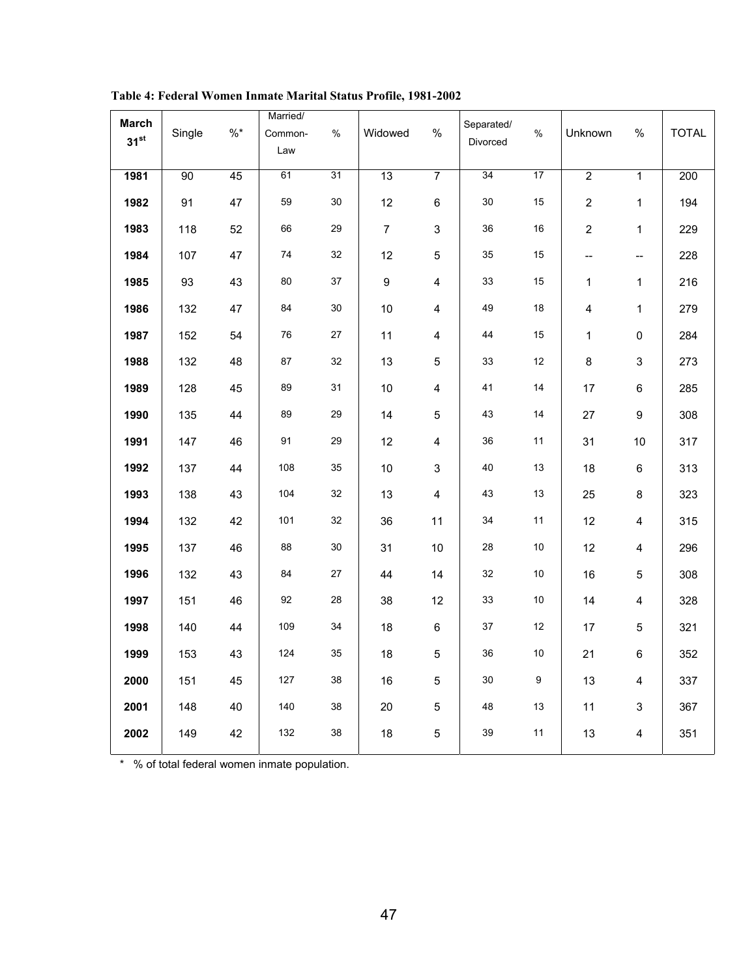| <b>March</b> |        |       | Married/ |      |                |                         | Separated/ |               |                |                          |              |
|--------------|--------|-------|----------|------|----------------|-------------------------|------------|---------------|----------------|--------------------------|--------------|
| $31^{st}$    | Single | $\%*$ | Common-  | $\%$ | Widowed        | $\%$                    | Divorced   | $\frac{0}{0}$ | Unknown        | $\%$                     | <b>TOTAL</b> |
|              |        |       | Law      |      |                |                         |            |               |                |                          |              |
| 1981         | 90     | 45    | 61       | 31   | 13             | $\overline{7}$          | 34         | 17            | $\overline{2}$ | $\mathbf{1}$             | 200          |
|              |        |       |          |      |                |                         |            |               |                |                          |              |
| 1982         | 91     | 47    | 59       | 30   | 12             | $\,6\,$                 | 30         | 15            | $\overline{2}$ | $\mathbf{1}$             | 194          |
| 1983         | 118    | 52    | 66       | 29   | $\overline{7}$ | 3                       | 36         | 16            | $\overline{2}$ | $\mathbf{1}$             | 229          |
| 1984         | 107    | 47    | 74       | 32   | 12             | $\sqrt{5}$              | 35         | 15            | --             | $\overline{\phantom{a}}$ | 228          |
| 1985         | 93     | 43    | 80       | 37   | 9              | $\overline{\mathbf{4}}$ | 33         | 15            | 1              | 1                        | 216          |
| 1986         | 132    | 47    | 84       | 30   | 10             | 4                       | 49         | 18            | 4              | 1                        | 279          |
| 1987         | 152    | 54    | 76       | 27   | 11             | 4                       | 44         | 15            | 1              | 0                        | 284          |
| 1988         | 132    | 48    | 87       | 32   | 13             | $\mathbf 5$             | 33         | 12            | 8              | $\mathfrak{S}$           | 273          |
| 1989         | 128    | 45    | 89       | 31   | 10             | $\overline{\mathbf{4}}$ | 41         | 14            | 17             | 6                        | 285          |
| 1990         | 135    | 44    | 89       | 29   | 14             | $\overline{5}$          | 43         | 14            | 27             | 9                        | 308          |
| 1991         | 147    | 46    | 91       | 29   | 12             | 4                       | 36         | 11            | 31             | 10                       | 317          |
| 1992         | 137    | 44    | 108      | 35   | 10             | $\mathfrak{S}$          | 40         | 13            | 18             | 6                        | 313          |
| 1993         | 138    | 43    | 104      | 32   | 13             | $\overline{\mathbf{4}}$ | 43         | 13            | 25             | 8                        | 323          |
| 1994         | 132    | 42    | 101      | 32   | 36             | 11                      | 34         | 11            | 12             | $\overline{\mathbf{4}}$  | 315          |
| 1995         | 137    | 46    | 88       | 30   | 31             | 10                      | 28         | 10            | 12             | 4                        | 296          |
| 1996         | 132    | 43    | 84       | 27   | 44             | 14                      | 32         | 10            | 16             | 5                        | 308          |
| 1997         | 151    | 46    | 92       | 28   | 38             | 12                      | 33         | 10            | 14             | 4                        | 328          |
| 1998         | 140    | 44    | 109      | 34   | 18             | $\,6\,$                 | 37         | 12            | 17             | 5                        | 321          |
| 1999         | 153    | 43    | 124      | 35   | 18             | $\sqrt{5}$              | 36         | 10            | 21             | 6                        | 352          |
| 2000         | 151    | 45    | 127      | 38   | 16             | $\mathbf 5$             | 30         | 9             | 13             | $\overline{\mathbf{4}}$  | 337          |
| 2001         | 148    | 40    | 140      | 38   | 20             | $\sqrt{5}$              | 48         | 13            | 11             | 3                        | 367          |
| 2002         | 149    | 42    | 132      | 38   | 18             | $\mathbf 5$             | 39         | 11            | 13             | $\overline{\mathbf{4}}$  | 351          |
|              |        |       |          |      |                |                         |            |               |                |                          |              |

**Table 4: Federal Women Inmate Marital Status Profile, 1981-2002**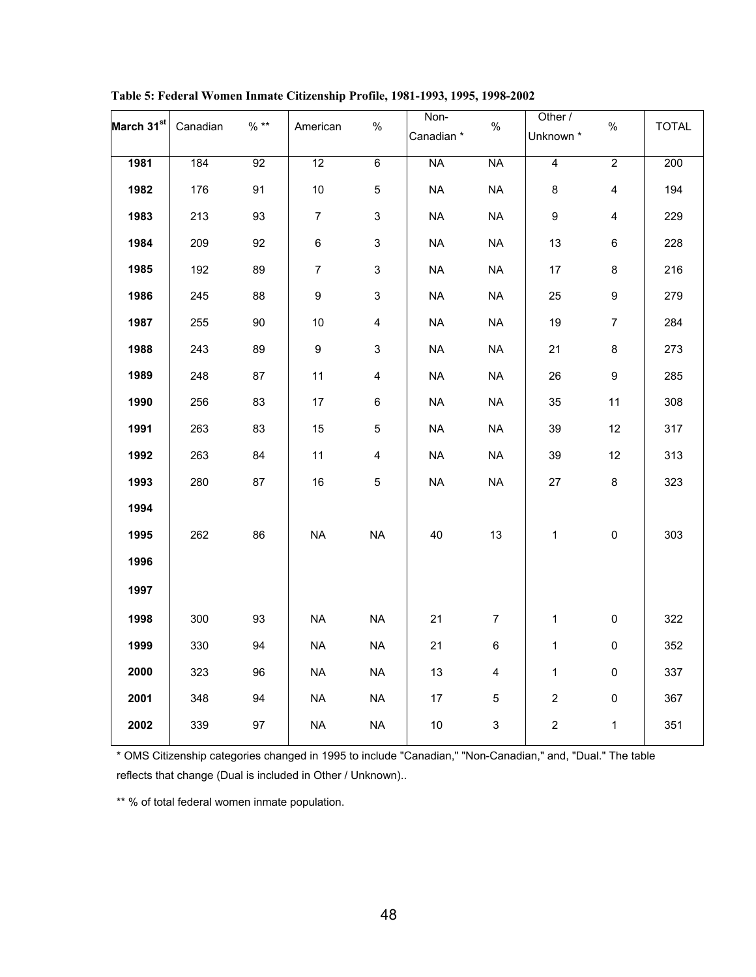| March 31 <sup>st</sup> | Canadian | $%$ ** | American        | $\%$                    | Non-<br>Canadian* | $\%$           | Other /<br>Unknown *    | $\%$                    | <b>TOTAL</b> |
|------------------------|----------|--------|-----------------|-------------------------|-------------------|----------------|-------------------------|-------------------------|--------------|
| 1981                   | 184      | 92     | $\overline{12}$ | $6\overline{6}$         | <b>NA</b>         | <b>NA</b>      | $\overline{4}$          | $\overline{2}$          | 200          |
|                        |          |        |                 |                         |                   |                |                         |                         |              |
| 1982                   | 176      | 91     | 10              | 5                       | <b>NA</b>         | <b>NA</b>      | 8                       | $\overline{\mathbf{4}}$ | 194          |
| 1983                   | 213      | 93     | $\overline{7}$  | $\mathbf{3}$            | <b>NA</b>         | NA             | 9                       | $\overline{\mathbf{4}}$ | 229          |
| 1984                   | 209      | 92     | 6               | $\mathbf{3}$            | <b>NA</b>         | <b>NA</b>      | 13                      | 6                       | 228          |
| 1985                   | 192      | 89     | $\overline{7}$  | $\mathbf{3}$            | <b>NA</b>         | <b>NA</b>      | 17                      | 8                       | 216          |
| 1986                   | 245      | 88     | 9               | 3                       | <b>NA</b>         | <b>NA</b>      | 25                      | 9                       | 279          |
| 1987                   | 255      | 90     | 10              | 4                       | <b>NA</b>         | <b>NA</b>      | 19                      | $\overline{7}$          | 284          |
| 1988                   | 243      | 89     | 9               | 3                       | <b>NA</b>         | <b>NA</b>      | 21                      | 8                       | 273          |
| 1989                   | 248      | 87     | 11              | $\overline{\mathbf{4}}$ | <b>NA</b>         | <b>NA</b>      | 26                      | 9                       | 285          |
| 1990                   | 256      | 83     | 17              | 6                       | <b>NA</b>         | <b>NA</b>      | 35                      | 11                      | 308          |
| 1991                   | 263      | 83     | 15              | 5                       | <b>NA</b>         | <b>NA</b>      | 39                      | 12                      | 317          |
| 1992                   | 263      | 84     | 11              | $\overline{4}$          | <b>NA</b>         | <b>NA</b>      | 39                      | 12                      | 313          |
| 1993                   | 280      | 87     | 16              | 5                       | <b>NA</b>         | <b>NA</b>      | 27                      | 8                       | 323          |
| 1994                   |          |        |                 |                         |                   |                |                         |                         |              |
| 1995                   | 262      | 86     | <b>NA</b>       | <b>NA</b>               | 40                | 13             | 1                       | $\pmb{0}$               | 303          |
| 1996                   |          |        |                 |                         |                   |                |                         |                         |              |
| 1997                   |          |        |                 |                         |                   |                |                         |                         |              |
| 1998                   | 300      | 93     | <b>NA</b>       | <b>NA</b>               | 21                | $\overline{7}$ | 1                       | $\pmb{0}$               | 322          |
| 1999                   | 330      | 94     | <b>NA</b>       | NA                      | 21                | 6              | 1                       | $\pmb{0}$               | 352          |
| 2000                   | 323      | 96     | <b>NA</b>       | $\sf NA$                | 13                | 4              | 1                       | $\mathsf 0$             | 337          |
| 2001                   | 348      | 94     | <b>NA</b>       | <b>NA</b>               | 17                | 5              | $\overline{\mathbf{c}}$ | $\pmb{0}$               | 367          |
| 2002                   | 339      | 97     | <b>NA</b>       | $\sf NA$                | $10$              | $\mathbf{3}$   | $\overline{\mathbf{c}}$ | $\mathbf{1}$            | 351          |
|                        |          |        |                 |                         |                   |                |                         |                         |              |

**Table 5: Federal Women Inmate Citizenship Profile, 1981-1993, 1995, 1998-2002**

\* OMS Citizenship categories changed in 1995 to include "Canadian," "Non-Canadian," and, "Dual." The table reflects that change (Dual is included in Other / Unknown)..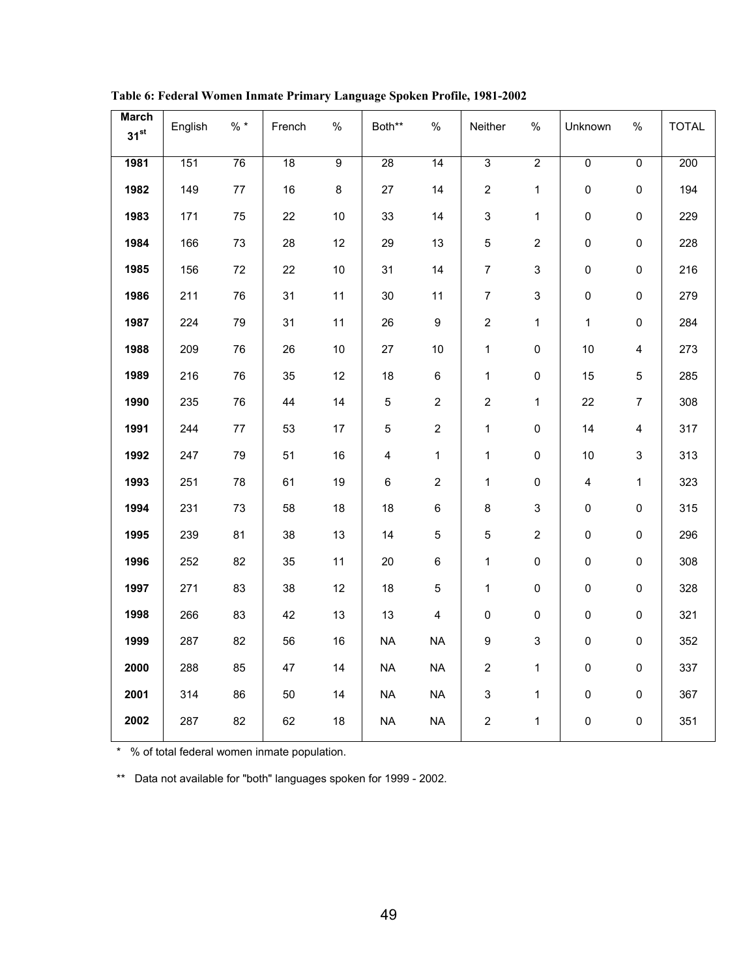| <b>March</b><br>31 <sup>st</sup> | English | $\% *$ | French | $\%$           | Both**                  | $\%$             | Neither                   | $\%$           | Unknown                 | $\%$                    | <b>TOTAL</b> |
|----------------------------------|---------|--------|--------|----------------|-------------------------|------------------|---------------------------|----------------|-------------------------|-------------------------|--------------|
|                                  |         |        |        |                |                         |                  |                           |                |                         |                         |              |
| 1981                             | 151     | 76     | 18     | $\overline{9}$ | 28                      | 14               | $\overline{3}$            | $\overline{2}$ | $\overline{0}$          | $\overline{0}$          | 200          |
| 1982                             | 149     | $77\,$ | 16     | $\bf 8$        | 27                      | 14               | $\overline{2}$            | $\mathbf 1$    | $\mathsf{O}\xspace$     | $\pmb{0}$               | 194          |
| 1983                             | 171     | 75     | 22     | $10$           | 33                      | 14               | $\mathsf 3$               | $\mathbf{1}$   | $\pmb{0}$               | $\pmb{0}$               | 229          |
| 1984                             | 166     | 73     | 28     | 12             | 29                      | 13               | $\mathbf 5$               | $\overline{2}$ | $\mathsf{O}\xspace$     | $\pmb{0}$               | 228          |
| 1985                             | 156     | $72\,$ | 22     | $10$           | 31                      | 14               | $\overline{7}$            | 3              | $\pmb{0}$               | $\pmb{0}$               | 216          |
| 1986                             | 211     | 76     | 31     | 11             | 30                      | 11               | $\overline{7}$            | $\mathfrak{S}$ | $\pmb{0}$               | $\pmb{0}$               | 279          |
| 1987                             | 224     | 79     | 31     | 11             | 26                      | $\boldsymbol{9}$ | $\overline{2}$            | $\mathbf{1}$   | $\mathbf{1}$            | $\pmb{0}$               | 284          |
| 1988                             | 209     | 76     | 26     | $10$           | 27                      | 10               | $\mathbf{1}$              | $\pmb{0}$      | 10                      | $\overline{\mathbf{4}}$ | 273          |
| 1989                             | 216     | 76     | 35     | 12             | 18                      | $\,6\,$          | $\mathbf{1}$              | $\pmb{0}$      | 15                      | 5                       | 285          |
| 1990                             | 235     | 76     | 44     | 14             | 5                       | $\overline{2}$   | $\mathbf{2}$              | $\mathbf{1}$   | 22                      | $\overline{7}$          | 308          |
| 1991                             | 244     | 77     | 53     | 17             | $\,$ 5 $\,$             | $\overline{2}$   | $\mathbf{1}$              | $\mathsf 0$    | 14                      | $\overline{4}$          | 317          |
| 1992                             | 247     | 79     | 51     | 16             | $\overline{\mathbf{4}}$ | $\mathbf{1}$     | $\mathbf{1}$              | $\mathsf 0$    | $10\,$                  | $\mathfrak{S}$          | 313          |
| 1993                             | 251     | 78     | 61     | 19             | 6                       | $\overline{2}$   | $\mathbf{1}$              | $\pmb{0}$      | $\overline{\mathbf{4}}$ | $\mathbf{1}$            | 323          |
| 1994                             | 231     | 73     | 58     | 18             | 18                      | $\,6\,$          | $\bf 8$                   | 3              | 0                       | $\pmb{0}$               | 315          |
| 1995                             | 239     | 81     | 38     | 13             | 14                      | $\sqrt{5}$       | $\mathbf 5$               | $\overline{2}$ | $\mathsf{O}\xspace$     | $\pmb{0}$               | 296          |
| 1996                             | 252     | 82     | 35     | 11             | 20                      | $\,6\,$          | $\mathbf{1}$              | $\mathsf 0$    | $\mathsf{O}\xspace$     | $\pmb{0}$               | 308          |
| 1997                             | 271     | 83     | 38     | 12             | 18                      | $\sqrt{5}$       | $\mathbf{1}$              | 0              | $\mathsf{O}\xspace$     | $\pmb{0}$               | 328          |
| 1998                             | 266     | 83     | 42     | 13             | 13                      | $\overline{4}$   | $\pmb{0}$                 | $\mathsf 0$    | $\pmb{0}$               | $\pmb{0}$               | 321          |
| 1999                             | 287     | 82     | 56     | 16             | $\sf NA$                | <b>NA</b>        | $\boldsymbol{9}$          | 3              | $\pmb{0}$               | $\pmb{0}$               | 352          |
| 2000                             | 288     | 85     | 47     | 14             | <b>NA</b>               | <b>NA</b>        | $\overline{2}$            | $\mathbf{1}$   | $\mathsf{O}\xspace$     | $\pmb{0}$               | 337          |
| 2001                             | 314     | 86     | $50\,$ | 14             | <b>NA</b>               | $\sf NA$         | $\ensuremath{\mathsf{3}}$ | $\mathbf{1}$   | $\mathsf{O}\xspace$     | $\pmb{0}$               | 367          |
| 2002                             | 287     | 82     | 62     | $18$           | <b>NA</b>               | <b>NA</b>        | $\boldsymbol{2}$          | 1              | $\pmb{0}$               | $\pmb{0}$               | 351          |
|                                  |         |        |        |                |                         |                  |                           |                |                         |                         |              |

**Table 6: Federal Women Inmate Primary Language Spoken Profile, 1981-2002**

\* % of total federal women inmate population.

\*\* Data not available for "both" languages spoken for 1999 - 2002.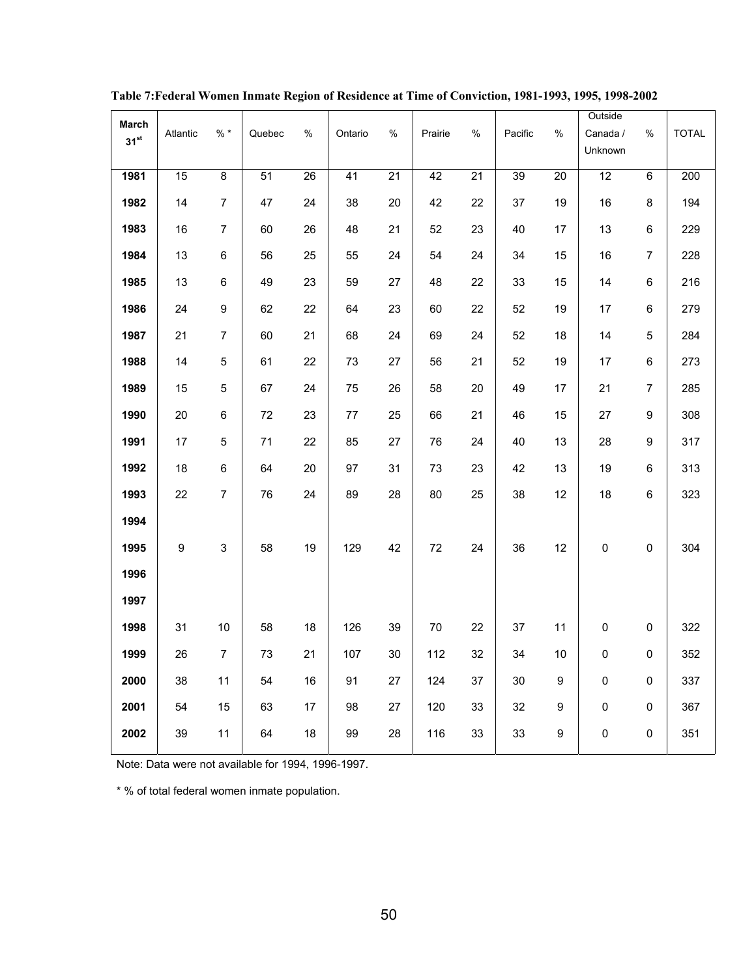| March            |                  |                |        |                 |                 |                 |         |                 |                 |                  | Outside     |                |                  |
|------------------|------------------|----------------|--------|-----------------|-----------------|-----------------|---------|-----------------|-----------------|------------------|-------------|----------------|------------------|
| 31 <sup>st</sup> | Atlantic         | $%$ *          | Quebec | %               | Ontario         | %               | Prairie | %               | Pacific         | $\%$             | Canada /    | $\%$           | <b>TOTAL</b>     |
|                  |                  |                |        |                 |                 |                 |         |                 |                 |                  | Unknown     |                |                  |
| 1981             | 15               | 8              | 51     | $\overline{26}$ | $\overline{41}$ | $\overline{21}$ | 42      | $\overline{21}$ | $\overline{39}$ | $\overline{20}$  | 12          | 6              | $\overline{200}$ |
| 1982             | 14               | $\overline{7}$ | 47     | 24              | 38              | 20              | 42      | 22              | 37              | 19               | 16          | 8              | 194              |
| 1983             | 16               | $\overline{7}$ | 60     | 26              | 48              | 21              | 52      | 23              | 40              | 17               | 13          | 6              | 229              |
| 1984             | 13               | 6              | 56     | 25              | 55              | 24              | 54      | 24              | 34              | 15               | 16          | $\overline{7}$ | 228              |
| 1985             | 13               | 6              | 49     | 23              | 59              | 27              | 48      | 22              | 33              | 15               | 14          | 6              | 216              |
| 1986             | 24               | 9              | 62     | 22              | 64              | 23              | 60      | 22              | 52              | 19               | 17          | 6              | 279              |
| 1987             | 21               | 7              | 60     | 21              | 68              | 24              | 69      | 24              | 52              | 18               | 14          | 5              | 284              |
| 1988             | 14               | 5              | 61     | 22              | 73              | 27              | 56      | 21              | 52              | 19               | 17          | 6              | 273              |
| 1989             | 15               | 5              | 67     | 24              | 75              | 26              | 58      | 20              | 49              | 17               | 21          | $\overline{7}$ | 285              |
| 1990             | 20               | 6              | 72     | 23              | $77\,$          | 25              | 66      | 21              | 46              | 15               | 27          | 9              | 308              |
| 1991             | 17               | 5              | 71     | 22              | 85              | 27              | 76      | 24              | 40              | 13               | 28          | 9              | 317              |
| 1992             | 18               | 6              | 64     | 20              | 97              | 31              | 73      | 23              | 42              | 13               | 19          | 6              | 313              |
| 1993             | 22               | 7              | 76     | 24              | 89              | 28              | 80      | 25              | 38              | 12               | 18          | 6              | 323              |
| 1994             |                  |                |        |                 |                 |                 |         |                 |                 |                  |             |                |                  |
| 1995             | $\boldsymbol{9}$ | 3              | 58     | 19              | 129             | 42              | 72      | 24              | 36              | 12               | $\mathsf 0$ | 0              | 304              |
| 1996             |                  |                |        |                 |                 |                 |         |                 |                 |                  |             |                |                  |
| 1997             |                  |                |        |                 |                 |                 |         |                 |                 |                  |             |                |                  |
| 1998             | 31               | 10             | 58     | 18              | 126             | 39              | $70\,$  | 22              | 37              | 11               | 0           | 0              | 322              |
| 1999             | 26               | $\overline{7}$ | 73     | 21              | 107             | 30              | 112     | 32              | 34              | 10               | $\mathsf 0$ | 0              | 352              |
| 2000             | 38               | 11             | 54     | 16              | 91              | 27              | 124     | 37              | 30              | 9                | $\mathsf 0$ | 0              | 337              |
| 2001             | 54               | 15             | 63     | 17              | 98              | 27              | 120     | 33              | 32              | 9                | $\pmb{0}$   | 0              | 367              |
| 2002             | 39               | 11             | 64     | 18              | 99              | 28              | 116     | 33              | 33              | $\boldsymbol{9}$ | $\mathbf 0$ | 0              | 351              |
|                  |                  |                |        |                 |                 |                 |         |                 |                 |                  |             |                |                  |

**Table 7:Federal Women Inmate Region of Residence at Time of Conviction, 1981-1993, 1995, 1998-2002**

Note: Data were not available for 1994, 1996-1997.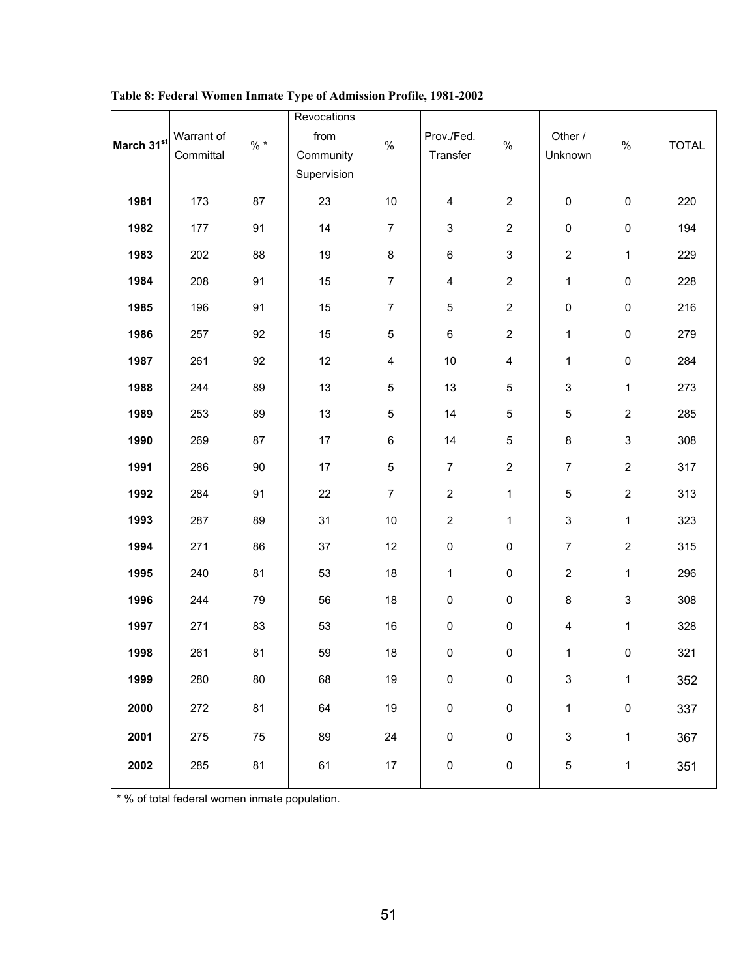| March 31st | Warrant of<br>Committal | $% *$ | Revocations<br>from<br>Community<br>Supervision | $\%$                    | Prov./Fed.<br>Transfer  | $\%$                    | Other /<br>Unknown | $\%$                      | <b>TOTAL</b> |
|------------|-------------------------|-------|-------------------------------------------------|-------------------------|-------------------------|-------------------------|--------------------|---------------------------|--------------|
| 1981       | 173                     | 87    | 23                                              | 10                      | $\overline{4}$          | $\overline{2}$          | $\overline{0}$     | $\overline{0}$            | 220          |
| 1982       | 177                     | 91    | 14                                              | $\boldsymbol{7}$        | 3                       | $\overline{c}$          | $\pmb{0}$          | $\pmb{0}$                 | 194          |
| 1983       | 202                     | 88    | 19                                              | 8                       | $\,6\,$                 | 3                       | $\overline{c}$     | $\mathbf{1}$              | 229          |
| 1984       | 208                     | 91    | 15                                              | $\overline{7}$          | $\overline{\mathbf{4}}$ | $\overline{2}$          | $\mathbf{1}$       | $\pmb{0}$                 | 228          |
| 1985       | 196                     | 91    | 15                                              | $\overline{7}$          | $\mathbf 5$             | $\overline{c}$          | $\pmb{0}$          | $\pmb{0}$                 | 216          |
| 1986       | 257                     | 92    | 15                                              | $\sqrt{5}$              | $\,6\,$                 | $\overline{c}$          | $\mathbf{1}$       | $\pmb{0}$                 | 279          |
| 1987       | 261                     | 92    | 12                                              | $\overline{\mathbf{4}}$ | $10$                    | $\overline{\mathbf{4}}$ | $\mathbf{1}$       | $\pmb{0}$                 | 284          |
| 1988       | 244                     | 89    | 13                                              | $\mathbf 5$             | 13                      | 5                       | 3                  | $\mathbf{1}$              | 273          |
| 1989       | 253                     | 89    | 13                                              | $\sqrt{5}$              | 14                      | 5                       | 5                  | $\overline{2}$            | 285          |
| 1990       | 269                     | 87    | 17                                              | $\,6\,$                 | 14                      | 5                       | $\bf 8$            | $\ensuremath{\mathsf{3}}$ | 308          |
| 1991       | 286                     | 90    | 17                                              | $\mathbf 5$             | $\overline{7}$          | $\overline{2}$          | $\overline{7}$     | $\overline{2}$            | 317          |
| 1992       | 284                     | 91    | 22                                              | $\overline{7}$          | $\sqrt{2}$              | $\mathbf{1}$            | 5                  | $\boldsymbol{2}$          | 313          |
| 1993       | 287                     | 89    | 31                                              | 10                      | $\boldsymbol{2}$        | 1                       | 3                  | $\mathbf{1}$              | 323          |
| 1994       | 271                     | 86    | 37                                              | 12                      | $\pmb{0}$               | 0                       | $\overline{7}$     | $\boldsymbol{2}$          | 315          |
| 1995       | 240                     | 81    | 53                                              | 18                      | $\mathbf{1}$            | 0                       | $\sqrt{2}$         | $\mathbf{1}$              | 296          |
| 1996       | 244                     | 79    | 56                                              | 18                      | $\pmb{0}$               | $\mathsf 0$             | $\bf 8$            | $\ensuremath{\mathsf{3}}$ | 308          |
| 1997       | 271                     | 83    | 53                                              | 16                      | $\pmb{0}$               | $\mathsf 0$             | 4                  | $\mathbf{1}$              | 328          |
| 1998       | 261                     | 81    | 59                                              | 18                      | $\pmb{0}$               | $\pmb{0}$               | $\mathbf{1}$       | $\pmb{0}$                 | 321          |
| 1999       | 280                     | 80    | 68                                              | 19                      | $\pmb{0}$               | $\mathsf 0$             | 3                  | $\mathbf 1$               | 352          |
| 2000       | 272                     | 81    | 64                                              | 19                      | $\pmb{0}$               | $\mathsf{O}\xspace$     | $\mathbf 1$        | $\pmb{0}$                 | 337          |
| 2001       | 275                     | 75    | 89                                              | 24                      | $\pmb{0}$               | 0                       | 3                  | $\mathbf 1$               | 367          |
| 2002       | 285                     | 81    | 61                                              | $17\,$                  | $\pmb{0}$               | $\mathsf{O}\xspace$     | $\mathbf 5$        | $\mathbf{1}$              | 351          |
|            |                         |       |                                                 |                         |                         |                         |                    |                           |              |

**Table 8: Federal Women Inmate Type of Admission Profile, 1981-2002**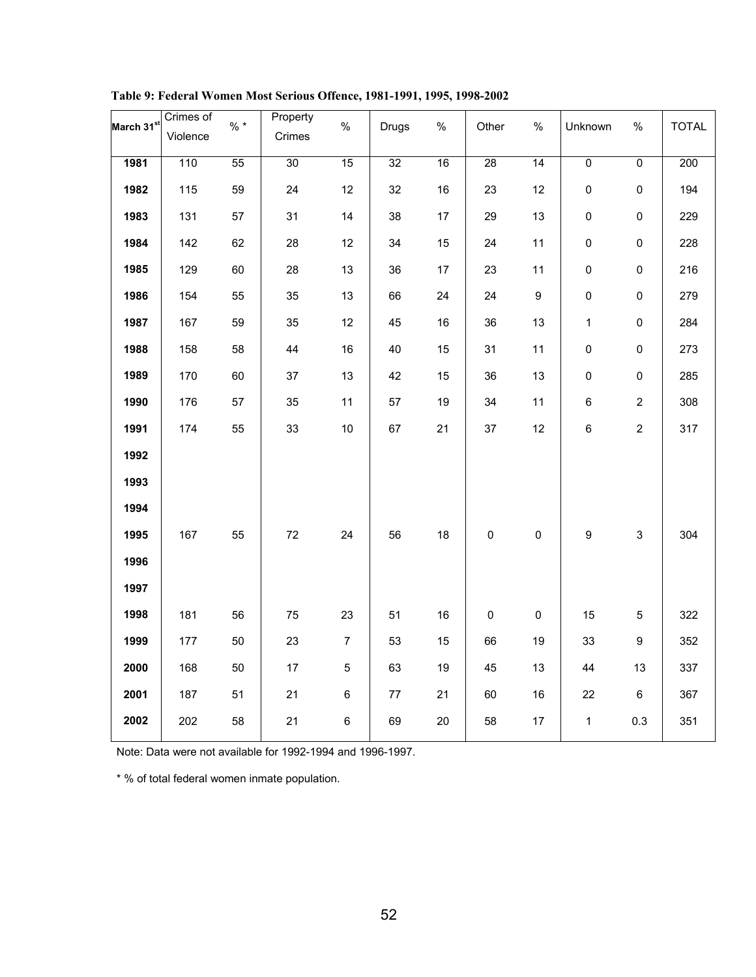| March 31 <sup>st</sup> | Crimes of | $\% *$ | Property | $\%$           |              | $\%$   |                     | $\%$                |                     | $\%$                      |              |
|------------------------|-----------|--------|----------|----------------|--------------|--------|---------------------|---------------------|---------------------|---------------------------|--------------|
|                        | Violence  |        | Crimes   |                | <b>Drugs</b> |        | Other               |                     | Unknown             |                           | <b>TOTAL</b> |
| 1981                   | 110       | 55     | 30       | 15             | 32           | 16     | 28                  | 14                  | $\overline{0}$      | $\overline{0}$            | 200          |
| 1982                   | 115       | 59     | 24       | 12             | 32           | 16     | 23                  | 12                  | $\mathsf{O}\xspace$ | $\mathsf{O}\xspace$       | 194          |
| 1983                   | 131       | 57     | 31       | 14             | 38           | 17     | 29                  | 13                  | $\mathsf{O}\xspace$ | $\mathsf{O}\xspace$       | 229          |
| 1984                   | 142       | 62     | 28       | 12             | 34           | 15     | 24                  | 11                  | $\pmb{0}$           | $\pmb{0}$                 | 228          |
| 1985                   | 129       | 60     | 28       | 13             | 36           | 17     | 23                  | 11                  | $\pmb{0}$           | $\pmb{0}$                 | 216          |
| 1986                   | 154       | 55     | 35       | 13             | 66           | 24     | 24                  | $\boldsymbol{9}$    | $\pmb{0}$           | $\mathsf 0$               | 279          |
| 1987                   | 167       | 59     | 35       | 12             | 45           | $16\,$ | 36                  | 13                  | $\mathbf{1}$        | $\mathsf{O}\xspace$       | 284          |
| 1988                   | 158       | 58     | 44       | $16\,$         | 40           | 15     | 31                  | 11                  | $\pmb{0}$           | $\mathsf{O}\xspace$       | 273          |
| 1989                   | 170       | 60     | 37       | 13             | 42           | 15     | 36                  | 13                  | $\mathsf{O}\xspace$ | $\mathsf{O}\xspace$       | 285          |
| 1990                   | 176       | 57     | 35       | 11             | 57           | 19     | 34                  | 11                  | $\,6\,$             | $\overline{c}$            | 308          |
| 1991                   | 174       | 55     | 33       | $10$           | 67           | 21     | $37\,$              | 12                  | $\,6\,$             | $\overline{c}$            | 317          |
| 1992                   |           |        |          |                |              |        |                     |                     |                     |                           |              |
| 1993                   |           |        |          |                |              |        |                     |                     |                     |                           |              |
| 1994                   |           |        |          |                |              |        |                     |                     |                     |                           |              |
| 1995                   | 167       | 55     | $72\,$   | 24             | 56           | 18     | $\mathsf{O}\xspace$ | $\mathsf{O}\xspace$ | $\boldsymbol{9}$    | $\ensuremath{\mathsf{3}}$ | 304          |
| 1996                   |           |        |          |                |              |        |                     |                     |                     |                           |              |
| 1997                   |           |        |          |                |              |        |                     |                     |                     |                           |              |
| 1998                   | 181       | 56     | 75       | 23             | 51           | $16\,$ | $\pmb{0}$           | $\pmb{0}$           | 15                  | $\,$ 5 $\,$               | 322          |
| 1999                   | 177       | 50     | 23       | $\overline{7}$ | 53           | 15     | 66                  | 19                  | 33                  | 9                         | 352          |
| 2000                   | 168       | 50     | 17       | $\sqrt{5}$     | 63           | 19     | 45                  | 13                  | 44                  | 13                        | 337          |
| 2001                   | 187       | 51     | 21       | 6              | $77\,$       | 21     | 60                  | $16\,$              | 22                  | $\,6\,$                   | 367          |
| 2002                   | 202       | 58     | 21       | 6              | 69           | 20     | 58                  | $17\,$              | $\mathbf 1$         | $0.3\,$                   | 351          |

**Table 9: Federal Women Most Serious Offence, 1981-1991, 1995, 1998-2002**

Note: Data were not available for 1992-1994 and 1996-1997.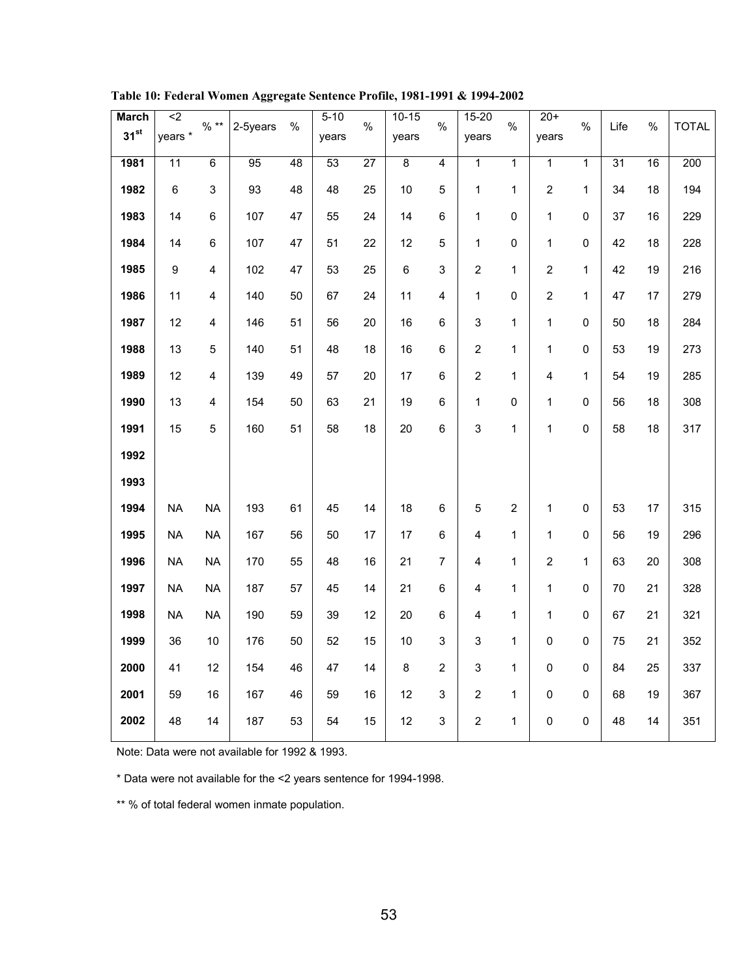| $\overline{2}$  |                |        |                 | $5 - 10$        |                 | $10 - 15$      |                | $15 - 20$               |                | $20+$                   |                |                 |                 |              |
|-----------------|----------------|--------|-----------------|-----------------|-----------------|----------------|----------------|-------------------------|----------------|-------------------------|----------------|-----------------|-----------------|--------------|
| years *         |                |        |                 | years           |                 | years          |                | years                   |                | years                   |                |                 |                 | <b>TOTAL</b> |
| $\overline{11}$ | $\overline{6}$ | 95     | $\overline{48}$ | $\overline{53}$ | $\overline{27}$ | $\overline{8}$ | 4              | 1                       | 1              | 1                       | $\overline{1}$ | $\overline{31}$ | $\overline{16}$ | 200          |
| 6               | 3              | 93     | 48              | 48              | 25              | 10             | 5              | 1                       | 1              | $\sqrt{2}$              | 1              | 34              | 18              | 194          |
| 14              | 6              | 107    | 47              | 55              | 24              | 14             | 6              | 1                       | 0              | $\mathbf{1}$            | 0              | 37              | 16              | 229          |
| 14              | $\,6\,$        | 107    | 47              | 51              | 22              | 12             | 5              | 1                       | 0              | $\mathbf{1}$            | $\mathbf 0$    | 42              | 18              | 228          |
| 9               | 4              | 102    | 47              | 53              | 25              | 6              | 3              | $\overline{c}$          | 1              | 2                       | 1              | 42              | 19              | 216          |
| 11              | 4              | 140    | 50              | 67              | 24              | 11             | 4              | 1                       | 0              | 2                       | 1              | 47              | 17              | 279          |
| 12              | 4              | 146    | 51              | 56              | 20              | 16             | 6              | 3                       | 1              | 1                       | $\mathbf 0$    | 50              | 18              | 284          |
| 13              | 5              | 140    | 51              | 48              | 18              | 16             | 6              | $\overline{c}$          | 1              | 1                       | $\mathbf 0$    | 53              | 19              | 273          |
| 12              | 4              | 139    | 49              | 57              | 20              | 17             | 6              | $\overline{c}$          | 1              | $\overline{\mathbf{4}}$ | 1              | 54              | 19              | 285          |
| 13              | 4              | 154    | 50              | 63              | 21              | 19             | 6              | 1                       | 0              | 1                       | $\mathbf 0$    | 56              | 18              | 308          |
| 15              | 5              | 160    | 51              | 58              | 18              | 20             | 6              | 3                       | 1              | 1                       | 0              | 58              | 18              | 317          |
|                 |                |        |                 |                 |                 |                |                |                         |                |                         |                |                 |                 |              |
|                 |                |        |                 |                 |                 |                |                |                         |                |                         |                |                 |                 |              |
| <b>NA</b>       | <b>NA</b>      | 193    | 61              | 45              | 14              | 18             | 6              | 5                       | $\overline{2}$ | 1                       | $\pmb{0}$      | 53              | 17              | 315          |
| <b>NA</b>       | <b>NA</b>      | 167    | 56              | 50              | 17              | 17             | 6              | 4                       | 1              | 1                       | 0              | 56              | 19              | 296          |
| <b>NA</b>       | <b>NA</b>      | 170    | 55              | 48              | 16              | 21             | $\overline{7}$ | 4                       | 1              | $\boldsymbol{2}$        | 1              | 63              | 20              | 308          |
| <b>NA</b>       | <b>NA</b>      | 187    | 57              | 45              | 14              | 21             | 6              | 4                       | 1              | $\mathbf 1$             | 0              | 70              | 21              | 328          |
| <b>NA</b>       | <b>NA</b>      | 190    | 59              | 39              | 12              | 20             | 6              | 4                       | 1              | $\mathbf 1$             | 0              | 67              | 21              | 321          |
| 36              | 10             | 176    | 50              | 52              | 15              | 10             | 3              | 3                       | 1              | 0                       | 0              | 75              | 21              | 352          |
| 41              | 12             | 154    | 46              | 47              | 14              | 8              | $\overline{c}$ | 3                       | 1              | $\pmb{0}$               | $\mathbf 0$    | 84              | 25              | 337          |
| 59              | 16             | 167    | 46              | 59              | 16              | 12             | 3              | $\overline{c}$          | 1              | 0                       | 0              | 68              | 19              | 367          |
| 48              | 14             | 187    | 53              | 54              | 15              | 12             | 3              | $\overline{\mathbf{c}}$ | $\mathbf 1$    | 0                       | $\pmb{0}$      | 48              | 14              | 351          |
|                 |                | $%$ ** | 2-5years        | %               |                 | $\%$           |                | $\%$                    |                | $\%$                    |                | $\%$            | Life            | $\%$         |

**Table 10: Federal Women Aggregate Sentence Profile, 1981-1991 & 1994-2002**

Note: Data were not available for 1992 & 1993.

\* Data were not available for the <2 years sentence for 1994-1998.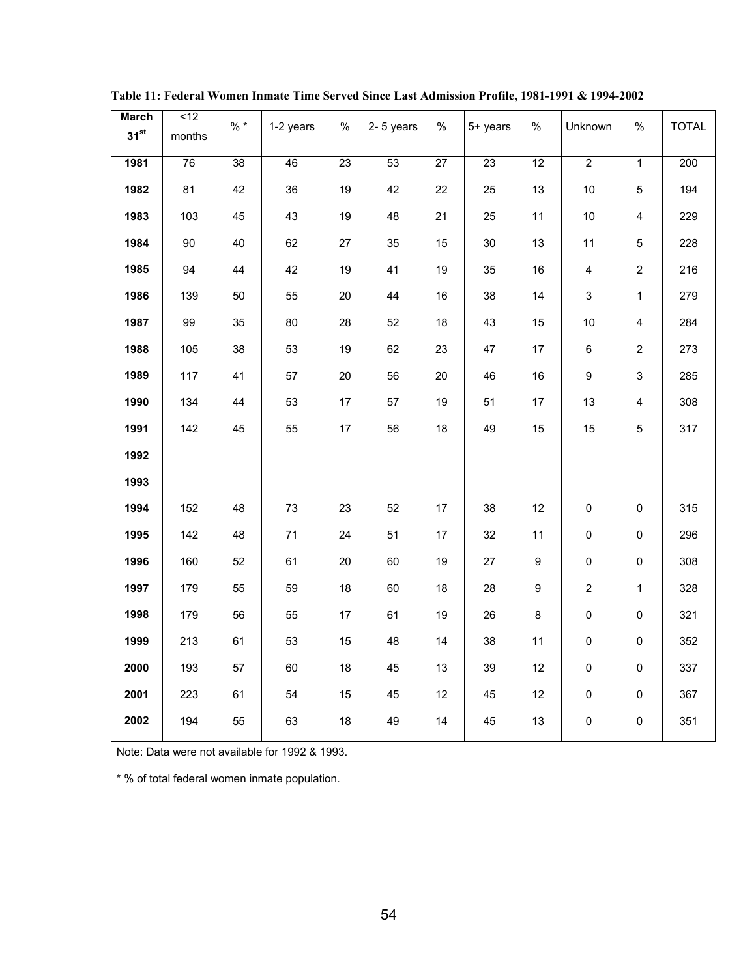| $\overline{512}$ | $\% *$ | 1-2 years | $\%$ |    | %         | 5+ years | $\%$ | Unknown          | $\%$                    | <b>TOTAL</b> |
|------------------|--------|-----------|------|----|-----------|----------|------|------------------|-------------------------|--------------|
|                  |        |           |      |    |           |          |      |                  |                         |              |
| 76               | 38     | 46        | 23   | 53 | 27        | 23       | 12   | $\overline{2}$   | $\overline{1}$          | 200          |
| 81               | 42     | 36        | 19   | 42 | 22        | 25       | 13   | $10\,$           | $\overline{5}$          | 194          |
| 103              | 45     | 43        | 19   | 48 | 21        | 25       | 11   | $10\,$           | $\overline{\mathbf{4}}$ | 229          |
| 90               | 40     | 62        | 27   | 35 | 15        | 30       | 13   | 11               | $\overline{5}$          | 228          |
| 94               | 44     | 42        | 19   | 41 | 19        | 35       | 16   | $\overline{4}$   | $\overline{c}$          | 216          |
| 139              | 50     | 55        | 20   | 44 | 16        | 38       | 14   | 3                | $\mathbf{1}$            | 279          |
| 99               | 35     | 80        | 28   | 52 | 18        | 43       | 15   | 10               | $\overline{\mathbf{4}}$ | 284          |
| 105              | 38     | 53        | 19   | 62 | 23        | 47       | 17   | $6\phantom{a}$   | $\overline{2}$          | 273          |
| 117              | 41     | 57        | 20   | 56 | 20        | 46       | 16   | $\boldsymbol{9}$ | $\mathfrak{S}$          | 285          |
| 134              | 44     | 53        | 17   | 57 | 19        | 51       | 17   | 13               | $\overline{\mathbf{4}}$ | 308          |
| 142              | 45     | 55        | 17   | 56 | 18        | 49       | 15   | 15               | $\overline{5}$          | 317          |
|                  |        |           |      |    |           |          |      |                  |                         |              |
|                  |        |           |      |    |           |          |      |                  |                         |              |
| 152              | 48     | 73        | 23   | 52 | 17        | 38       | 12   | $\pmb{0}$        | $\pmb{0}$               | 315          |
| 142              | 48     | 71        | 24   | 51 | 17        | 32       | 11   | $\pmb{0}$        | $\mathsf 0$             | 296          |
| 160              | 52     | 61        | 20   | 60 | 19        | 27       | 9    | $\pmb{0}$        | $\mathsf 0$             | 308          |
| 179              | 55     | 59        | 18   | 60 | 18        | 28       | 9    | $\overline{2}$   | $\mathbf 1$             | 328          |
| 179              | 56     | 55        | 17   | 61 | 19        | 26       | 8    | $\pmb{0}$        | $\pmb{0}$               | 321          |
| 213              | 61     | 53        | 15   | 48 | 14        | 38       | 11   | $\pmb{0}$        | $\pmb{0}$               | 352          |
| 193              | 57     | 60        | 18   | 45 | 13        | 39       | 12   | $\pmb{0}$        | $\pmb{0}$               | 337          |
| 223              | 61     | 54        | 15   | 45 | 12        | 45       | 12   | $\pmb{0}$        | $\pmb{0}$               | 367          |
| 194              | 55     | 63        | 18   | 49 | 14        | 45       | 13   | $\pmb{0}$        | $\mathsf{O}\xspace$     | 351          |
|                  | months |           |      |    | 2-5 years |          |      |                  |                         |              |

**Table 11: Federal Women Inmate Time Served Since Last Admission Profile, 1981-1991 & 1994-2002**

Note: Data were not available for 1992 & 1993.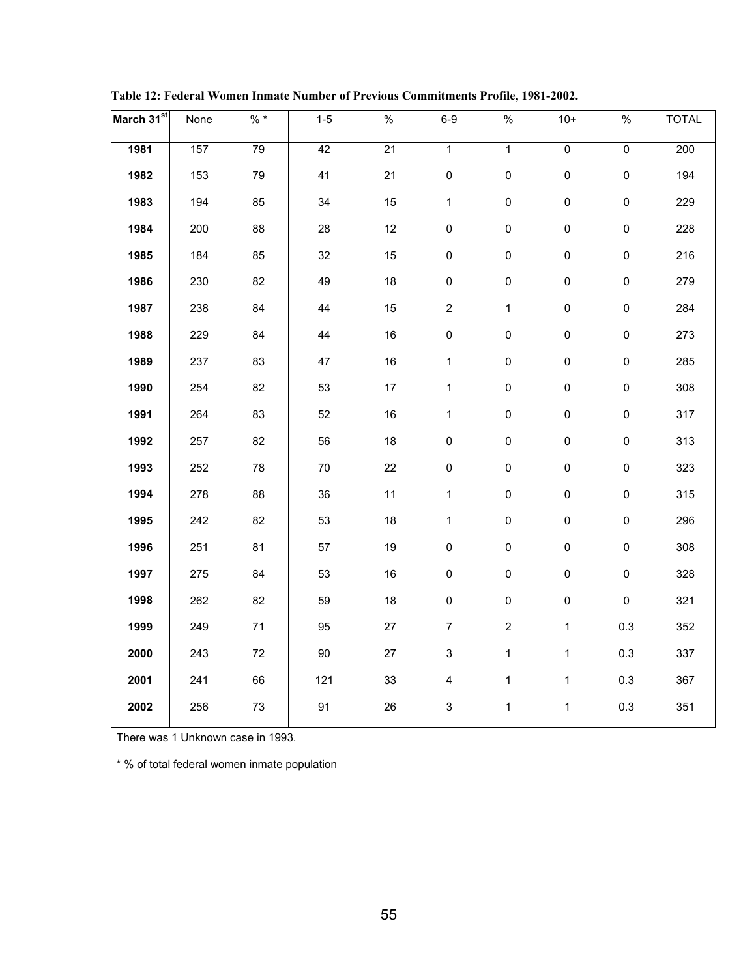| March 31st | None | $\% *$ | $1-5$  | $\%$   | $6-9$                     | $\%$                | $10+$          | $\%$           | <b>TOTAL</b> |
|------------|------|--------|--------|--------|---------------------------|---------------------|----------------|----------------|--------------|
| 1981       | 157  | 79     | 42     | 21     | $\overline{1}$            | $\overline{1}$      | $\overline{0}$ | $\overline{0}$ | 200          |
| 1982       | 153  | 79     | 41     | 21     | $\pmb{0}$                 | $\pmb{0}$           | $\mathsf 0$    | $\mathbf 0$    | 194          |
| 1983       | 194  | 85     | 34     | 15     | $\mathbf{1}$              | $\pmb{0}$           | $\pmb{0}$      | $\pmb{0}$      | 229          |
| 1984       | 200  | 88     | 28     | 12     | $\pmb{0}$                 | $\mathsf{O}\xspace$ | $\mathsf 0$    | $\mathsf 0$    | 228          |
| 1985       | 184  | 85     | 32     | 15     | $\pmb{0}$                 | $\mathsf{O}\xspace$ | $\mathsf 0$    | $\pmb{0}$      | 216          |
| 1986       | 230  | 82     | 49     | $18\,$ | $\mathsf 0$               | $\mathsf{O}\xspace$ | $\mathsf 0$    | $\mathsf 0$    | 279          |
| 1987       | 238  | 84     | 44     | 15     | $\boldsymbol{2}$          | $\mathbf{1}$        | $\mathsf 0$    | $\mathsf 0$    | 284          |
| 1988       | 229  | 84     | 44     | 16     | $\pmb{0}$                 | $\mathsf{O}\xspace$ | $\mathsf 0$    | $\pmb{0}$      | 273          |
| 1989       | 237  | 83     | 47     | 16     | $\mathbf 1$               | $\mathsf{O}\xspace$ | $\mathsf 0$    | $\pmb{0}$      | 285          |
| 1990       | 254  | 82     | 53     | $17\,$ | $\mathbf{1}$              | $\mathsf{O}\xspace$ | $\pmb{0}$      | $\pmb{0}$      | 308          |
| 1991       | 264  | 83     | 52     | $16\,$ | $\mathbf{1}$              | $\pmb{0}$           | $\mathsf 0$    | $\pmb{0}$      | 317          |
| 1992       | 257  | 82     | 56     | 18     | $\pmb{0}$                 | $\mathsf 0$         | $\pmb{0}$      | $\pmb{0}$      | 313          |
| 1993       | 252  | 78     | 70     | 22     | $\pmb{0}$                 | $\mathsf{O}\xspace$ | $\pmb{0}$      | $\pmb{0}$      | 323          |
| 1994       | 278  | 88     | 36     | 11     | $\mathbf{1}$              | $\mathsf{O}\xspace$ | $\pmb{0}$      | $\mathsf 0$    | 315          |
| 1995       | 242  | 82     | 53     | 18     | $\mathbf{1}$              | $\mathsf{O}\xspace$ | $\mathsf 0$    | $\mathsf 0$    | 296          |
| 1996       | 251  | 81     | 57     | $19$   | $\pmb{0}$                 | $\mathsf{O}\xspace$ | $\pmb{0}$      | $\mathsf 0$    | 308          |
| 1997       | 275  | 84     | 53     | $16\,$ | $\pmb{0}$                 | $\mathsf 0$         | $\mathsf 0$    | $\pmb{0}$      | 328          |
| 1998       | 262  | 82     | 59     | 18     | $\mathsf 0$               | $\mathsf{O}\xspace$ | $\mathsf 0$    | $\pmb{0}$      | 321          |
| 1999       | 249  | $71$   | 95     | $27\,$ | $\overline{7}$            | $\overline{c}$      | $\mathbf{1}$   | 0.3            | 352          |
| 2000       | 243  | $72\,$ | $90\,$ | 27     | $\ensuremath{\mathsf{3}}$ | $\mathbf{1}$        | $\mathbf{1}$   | $0.3\,$        | 337          |
| 2001       | 241  | 66     | 121    | 33     | $\overline{\mathbf{4}}$   | $\mathbf{1}$        | $\mathbf{1}$   | $0.3\,$        | 367          |
| 2002       | 256  | $73\,$ | 91     | 26     | 3                         | $\mathbf{1}$        | 1              | $0.3\,$        | 351          |

**Table 12: Federal Women Inmate Number of Previous Commitments Profile, 1981-2002.**

There was 1 Unknown case in 1993.